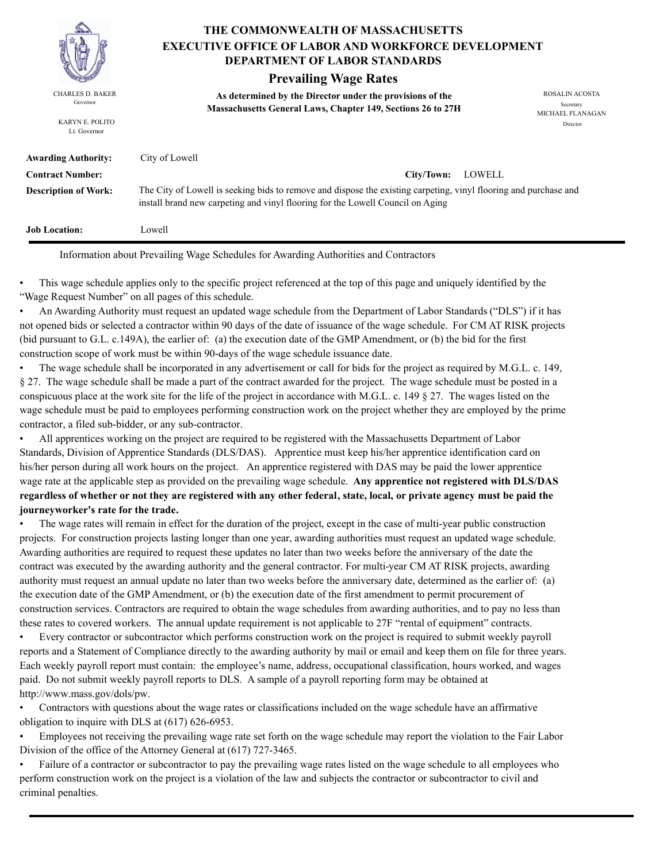

KARYN E. POLITO Lt. Governor

### **THE COMMONWEALTH OF MASSACHUSETTS DEPARTMENT OF LABOR STANDARDS EXECUTIVE OFFICE OF LABOR AND WORKFORCE DEVELOPMENT**

### **Prevailing Wage Rates**

**As determined by the Director under the provisions of the**  CHARLES D. BAKER ROSALIN ACOSTA Governor<br>**Massachusetts General Laws, Chapter 149, Sections 26 to 27H** 

MICHAEL FLANAGAN Director

| <b>Awarding Authority:</b>  | City of Lowell                                                                                                                                                                                     |
|-----------------------------|----------------------------------------------------------------------------------------------------------------------------------------------------------------------------------------------------|
| <b>Contract Number:</b>     | LOWELL<br>City/Town:                                                                                                                                                                               |
| <b>Description of Work:</b> | The City of Lowell is seeking bids to remove and dispose the existing carpeting, vinyl flooring and purchase and<br>install brand new carpeting and vinyl flooring for the Lowell Council on Aging |
| <b>Job Location:</b>        | Lowell                                                                                                                                                                                             |

Information about Prevailing Wage Schedules for Awarding Authorities and Contractors

• This wage schedule applies only to the specific project referenced at the top of this page and uniquely identified by the "Wage Request Number" on all pages of this schedule.

• An Awarding Authority must request an updated wage schedule from the Department of Labor Standards ("DLS") if it has not opened bids or selected a contractor within 90 days of the date of issuance of the wage schedule. For CM AT RISK projects (bid pursuant to G.L. c.149A), the earlier of: (a) the execution date of the GMP Amendment, or (b) the bid for the first construction scope of work must be within 90-days of the wage schedule issuance date.

• The wage schedule shall be incorporated in any advertisement or call for bids for the project as required by M.G.L. c. 149, § 27. The wage schedule shall be made a part of the contract awarded for the project. The wage schedule must be posted in a conspicuous place at the work site for the life of the project in accordance with M.G.L. c. 149 § 27. The wages listed on the wage schedule must be paid to employees performing construction work on the project whether they are employed by the prime contractor, a filed sub-bidder, or any sub-contractor.

• All apprentices working on the project are required to be registered with the Massachusetts Department of Labor Standards, Division of Apprentice Standards (DLS/DAS). Apprentice must keep his/her apprentice identification card on his/her person during all work hours on the project. An apprentice registered with DAS may be paid the lower apprentice wage rate at the applicable step as provided on the prevailing wage schedule. **Any apprentice not registered with DLS/DAS regardless of whether or not they are registered with any other federal, state, local, or private agency must be paid the journeyworker's rate for the trade.**

• The wage rates will remain in effect for the duration of the project, except in the case of multi-year public construction projects. For construction projects lasting longer than one year, awarding authorities must request an updated wage schedule. Awarding authorities are required to request these updates no later than two weeks before the anniversary of the date the contract was executed by the awarding authority and the general contractor. For multi-year CM AT RISK projects, awarding authority must request an annual update no later than two weeks before the anniversary date, determined as the earlier of: (a) the execution date of the GMP Amendment, or (b) the execution date of the first amendment to permit procurement of construction services. Contractors are required to obtain the wage schedules from awarding authorities, and to pay no less than these rates to covered workers. The annual update requirement is not applicable to 27F "rental of equipment" contracts.

• Every contractor or subcontractor which performs construction work on the project is required to submit weekly payroll reports and a Statement of Compliance directly to the awarding authority by mail or email and keep them on file for three years. Each weekly payroll report must contain: the employee's name, address, occupational classification, hours worked, and wages paid. Do not submit weekly payroll reports to DLS. A sample of a payroll reporting form may be obtained at http://www.mass.gov/dols/pw.

• Contractors with questions about the wage rates or classifications included on the wage schedule have an affirmative obligation to inquire with DLS at (617) 626-6953.

• Employees not receiving the prevailing wage rate set forth on the wage schedule may report the violation to the Fair Labor Division of the office of the Attorney General at (617) 727-3465.

• Failure of a contractor or subcontractor to pay the prevailing wage rates listed on the wage schedule to all employees who perform construction work on the project is a violation of the law and subjects the contractor or subcontractor to civil and criminal penalties.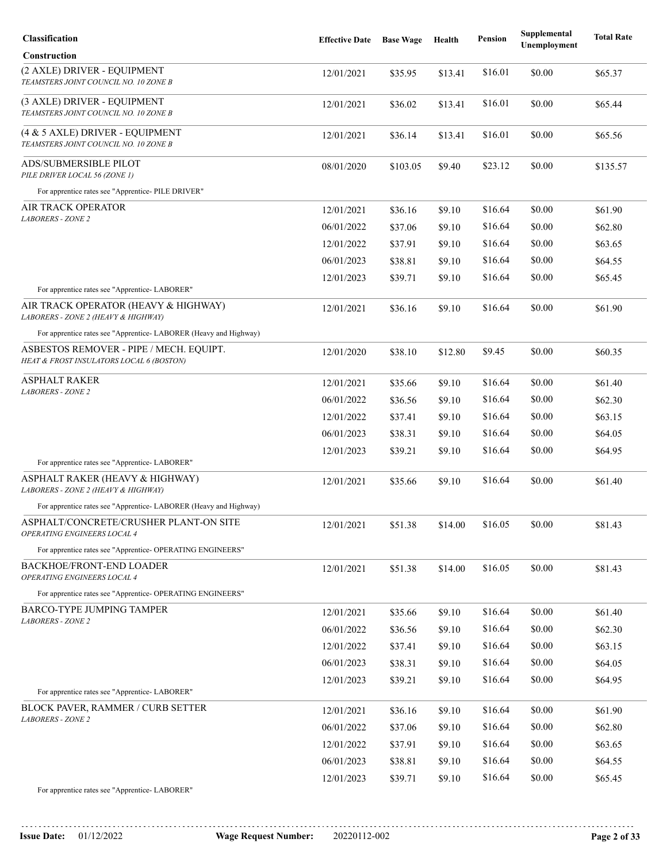| Classification                                                                      | <b>Effective Date</b> | <b>Base Wage</b> | Health  | <b>Pension</b> | Supplemental<br>Unemployment | <b>Total Rate</b> |
|-------------------------------------------------------------------------------------|-----------------------|------------------|---------|----------------|------------------------------|-------------------|
| <b>Construction</b>                                                                 |                       |                  |         |                |                              |                   |
| (2 AXLE) DRIVER - EQUIPMENT<br>TEAMSTERS JOINT COUNCIL NO. 10 ZONE B                | 12/01/2021            | \$35.95          | \$13.41 | \$16.01        | \$0.00                       | \$65.37           |
| (3 AXLE) DRIVER - EQUIPMENT<br>TEAMSTERS JOINT COUNCIL NO. 10 ZONE B                | 12/01/2021            | \$36.02          | \$13.41 | \$16.01        | \$0.00                       | \$65.44           |
| (4 & 5 AXLE) DRIVER - EQUIPMENT<br>TEAMSTERS JOINT COUNCIL NO. 10 ZONE B            | 12/01/2021            | \$36.14          | \$13.41 | \$16.01        | \$0.00                       | \$65.56           |
| ADS/SUBMERSIBLE PILOT<br>PILE DRIVER LOCAL 56 (ZONE 1)                              | 08/01/2020            | \$103.05         | \$9.40  | \$23.12        | \$0.00                       | \$135.57          |
| For apprentice rates see "Apprentice- PILE DRIVER"                                  |                       |                  |         |                |                              |                   |
| AIR TRACK OPERATOR                                                                  | 12/01/2021            | \$36.16          | \$9.10  | \$16.64        | \$0.00                       | \$61.90           |
| <b>LABORERS - ZONE 2</b>                                                            | 06/01/2022            | \$37.06          | \$9.10  | \$16.64        | \$0.00                       | \$62.80           |
|                                                                                     | 12/01/2022            | \$37.91          | \$9.10  | \$16.64        | \$0.00                       | \$63.65           |
|                                                                                     | 06/01/2023            | \$38.81          | \$9.10  | \$16.64        | \$0.00                       | \$64.55           |
|                                                                                     | 12/01/2023            | \$39.71          | \$9.10  | \$16.64        | \$0.00                       | \$65.45           |
| For apprentice rates see "Apprentice-LABORER"                                       |                       |                  |         |                |                              |                   |
| AIR TRACK OPERATOR (HEAVY & HIGHWAY)<br>LABORERS - ZONE 2 (HEAVY & HIGHWAY)         | 12/01/2021            | \$36.16          | \$9.10  | \$16.64        | \$0.00                       | \$61.90           |
| For apprentice rates see "Apprentice- LABORER (Heavy and Highway)                   |                       |                  |         |                |                              |                   |
| ASBESTOS REMOVER - PIPE / MECH. EQUIPT.<br>HEAT & FROST INSULATORS LOCAL 6 (BOSTON) | 12/01/2020            | \$38.10          | \$12.80 | \$9.45         | \$0.00                       | \$60.35           |
| <b>ASPHALT RAKER</b>                                                                | 12/01/2021            | \$35.66          | \$9.10  | \$16.64        | \$0.00                       | \$61.40           |
| <b>LABORERS - ZONE 2</b>                                                            | 06/01/2022            | \$36.56          | \$9.10  | \$16.64        | \$0.00                       | \$62.30           |
|                                                                                     | 12/01/2022            | \$37.41          | \$9.10  | \$16.64        | \$0.00                       | \$63.15           |
|                                                                                     | 06/01/2023            | \$38.31          | \$9.10  | \$16.64        | \$0.00                       | \$64.05           |
|                                                                                     | 12/01/2023            | \$39.21          | \$9.10  | \$16.64        | \$0.00                       | \$64.95           |
| For apprentice rates see "Apprentice- LABORER"                                      |                       |                  |         |                |                              |                   |
| ASPHALT RAKER (HEAVY & HIGHWAY)<br>LABORERS - ZONE 2 (HEAVY & HIGHWAY)              | 12/01/2021            | \$35.66          | \$9.10  | \$16.64        | \$0.00                       | \$61.40           |
| For apprentice rates see "Apprentice-LABORER (Heavy and Highway)                    |                       |                  |         |                |                              |                   |
| ASPHALT/CONCRETE/CRUSHER PLANT-ON SITE<br>OPERATING ENGINEERS LOCAL 4               | 12/01/2021            | \$51.38          | \$14.00 | \$16.05        | \$0.00                       | \$81.43           |
| For apprentice rates see "Apprentice- OPERATING ENGINEERS"                          |                       |                  |         |                |                              |                   |
| <b>BACKHOE/FRONT-END LOADER</b><br>OPERATING ENGINEERS LOCAL 4                      | 12/01/2021            | \$51.38          | \$14.00 | \$16.05        | \$0.00                       | \$81.43           |
| For apprentice rates see "Apprentice- OPERATING ENGINEERS"                          |                       |                  |         |                |                              |                   |
| BARCO-TYPE JUMPING TAMPER<br>LABORERS - ZONE 2                                      | 12/01/2021            | \$35.66          | \$9.10  | \$16.64        | \$0.00                       | \$61.40           |
|                                                                                     | 06/01/2022            | \$36.56          | \$9.10  | \$16.64        | \$0.00                       | \$62.30           |
|                                                                                     | 12/01/2022            | \$37.41          | \$9.10  | \$16.64        | \$0.00                       | \$63.15           |
|                                                                                     | 06/01/2023            | \$38.31          | \$9.10  | \$16.64        | \$0.00                       | \$64.05           |
|                                                                                     | 12/01/2023            | \$39.21          | \$9.10  | \$16.64        | \$0.00                       | \$64.95           |
| For apprentice rates see "Apprentice-LABORER"                                       |                       |                  |         |                |                              |                   |
| <b>BLOCK PAVER, RAMMER / CURB SETTER</b><br><b>LABORERS - ZONE 2</b>                | 12/01/2021            | \$36.16          | \$9.10  | \$16.64        | \$0.00                       | \$61.90           |
|                                                                                     | 06/01/2022            | \$37.06          | \$9.10  | \$16.64        | \$0.00                       | \$62.80           |
|                                                                                     | 12/01/2022            | \$37.91          | \$9.10  | \$16.64        | \$0.00                       | \$63.65           |
|                                                                                     | 06/01/2023            | \$38.81          | \$9.10  | \$16.64        | \$0.00                       | \$64.55           |
|                                                                                     | 12/01/2023            | \$39.71          | \$9.10  | \$16.64        | \$0.00                       | \$65.45           |
| For apprentice rates see "Apprentice- LABORER"                                      |                       |                  |         |                |                              |                   |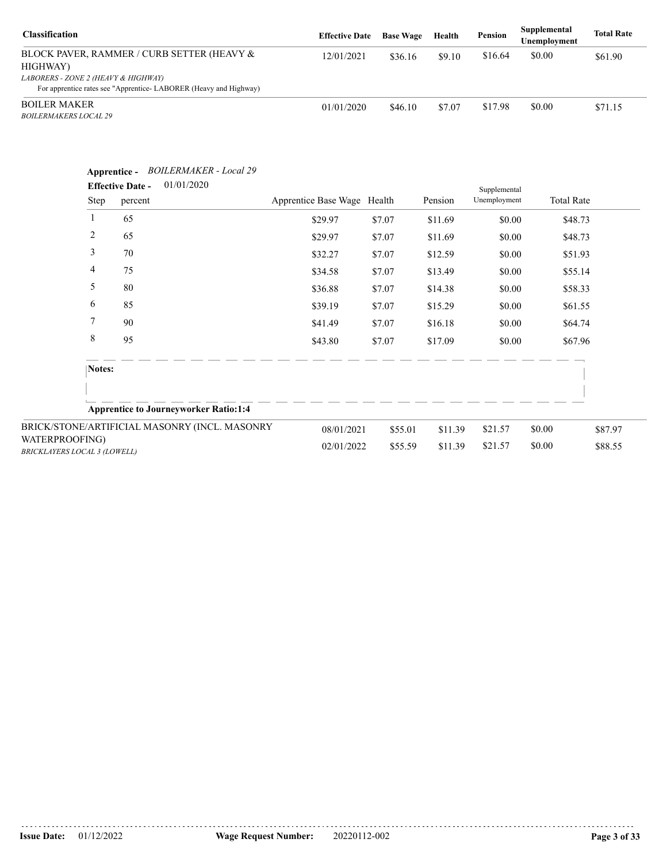| <b>Classification</b>                                                                                   | <b>Effective Date</b> | <b>Base Wage</b> | Health | Pension | Supplemental<br>Unemployment | <b>Total Rate</b> |
|---------------------------------------------------------------------------------------------------------|-----------------------|------------------|--------|---------|------------------------------|-------------------|
| BLOCK PAVER, RAMMER / CURB SETTER (HEAVY &<br>HIGHWAY)                                                  | 12/01/2021            | \$36.16          | \$9.10 | \$16.64 | \$0.00                       | \$61.90           |
| LABORERS - ZONE 2 (HEAVY & HIGHWAY)<br>For apprentice rates see "Apprentice-LABORER (Heavy and Highway) |                       |                  |        |         |                              |                   |
| <b>BOILER MAKER</b><br><b>BOILERMAKERS LOCAL 29</b>                                                     | 01/01/2020            | \$46.10          | \$7.07 | \$17.98 | \$0.00                       | \$71.15           |

|                                                       | Apprentice -<br><b>Effective Date -</b><br>Step<br>percent | <b>BOILERMAKER</b> - Local 29<br>01/01/2020   | Apprentice Base Wage Health |         | Pension | Supplemental<br>Unemployment | <b>Total Rate</b> |         |
|-------------------------------------------------------|------------------------------------------------------------|-----------------------------------------------|-----------------------------|---------|---------|------------------------------|-------------------|---------|
|                                                       | $\mathbf{1}$<br>65                                         |                                               | \$29.97                     | \$7.07  | \$11.69 | \$0.00                       |                   | \$48.73 |
|                                                       | 2<br>65                                                    |                                               | \$29.97                     | \$7.07  | \$11.69 | \$0.00                       |                   | \$48.73 |
|                                                       | 3<br>70                                                    |                                               | \$32.27                     | \$7.07  | \$12.59 | \$0.00                       |                   | \$51.93 |
|                                                       | 4<br>75                                                    |                                               | \$34.58                     | \$7.07  | \$13.49 | \$0.00                       |                   | \$55.14 |
|                                                       | 5<br>80                                                    |                                               | \$36.88                     | \$7.07  | \$14.38 | \$0.00                       |                   | \$58.33 |
|                                                       | 6<br>85                                                    |                                               | \$39.19                     | \$7.07  | \$15.29 | \$0.00                       |                   | \$61.55 |
|                                                       | $\overline{7}$<br>90                                       |                                               | \$41.49                     | \$7.07  | \$16.18 | \$0.00                       |                   | \$64.74 |
|                                                       | 8<br>95                                                    |                                               | \$43.80                     | \$7.07  | \$17.09 | \$0.00                       |                   | \$67.96 |
|                                                       | Notes:                                                     |                                               |                             |         |         |                              |                   |         |
|                                                       |                                                            | <b>Apprentice to Journeyworker Ratio:1:4</b>  |                             |         |         |                              |                   |         |
|                                                       |                                                            | BRICK/STONE/ARTIFICIAL MASONRY (INCL. MASONRY | 08/01/2021                  | \$55.01 | \$11.39 | \$21.57                      | \$0.00            | \$87.97 |
| WATERPROOFING)<br><b>BRICKLAYERS LOCAL 3 (LOWELL)</b> |                                                            |                                               | 02/01/2022                  | \$55.59 | \$11.39 | \$21.57                      | \$0.00            | \$88.55 |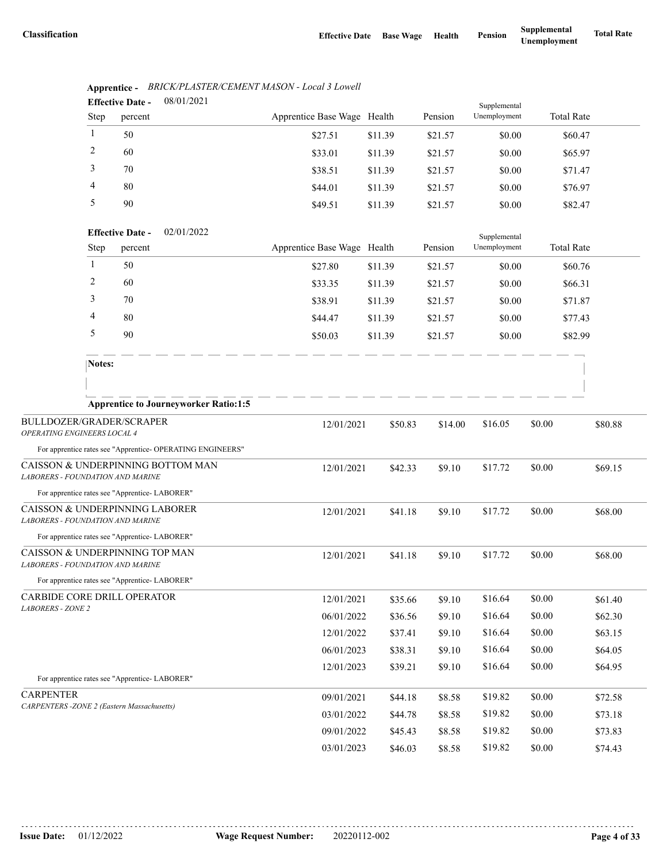|                                                                                           |        | <b>Effective Date -</b> | 08/01/2021                                                 |                             |         |         | Supplemental |                   |         |
|-------------------------------------------------------------------------------------------|--------|-------------------------|------------------------------------------------------------|-----------------------------|---------|---------|--------------|-------------------|---------|
|                                                                                           | Step   | percent                 |                                                            | Apprentice Base Wage Health |         | Pension | Unemployment | <b>Total Rate</b> |         |
|                                                                                           | 1      | 50                      |                                                            | \$27.51                     | \$11.39 | \$21.57 | \$0.00       | \$60.47           |         |
|                                                                                           | 2      | 60                      |                                                            | \$33.01                     | \$11.39 | \$21.57 | \$0.00       | \$65.97           |         |
|                                                                                           | 3      | 70                      |                                                            | \$38.51                     | \$11.39 | \$21.57 | \$0.00       | \$71.47           |         |
|                                                                                           | 4      | 80                      |                                                            | \$44.01                     | \$11.39 | \$21.57 | \$0.00       | \$76.97           |         |
|                                                                                           | 5      | 90                      |                                                            | \$49.51                     | \$11.39 | \$21.57 | \$0.00       | \$82.47           |         |
|                                                                                           |        | <b>Effective Date -</b> | 02/01/2022                                                 |                             |         |         | Supplemental |                   |         |
|                                                                                           | Step   | percent                 |                                                            | Apprentice Base Wage Health |         | Pension | Unemployment | <b>Total Rate</b> |         |
|                                                                                           | 1      | 50                      |                                                            | \$27.80                     | \$11.39 | \$21.57 | \$0.00       | \$60.76           |         |
|                                                                                           | 2      | 60                      |                                                            | \$33.35                     | \$11.39 | \$21.57 | \$0.00       | \$66.31           |         |
|                                                                                           | 3      | 70                      |                                                            | \$38.91                     | \$11.39 | \$21.57 | \$0.00       | \$71.87           |         |
|                                                                                           | 4      | 80                      |                                                            | \$44.47                     | \$11.39 | \$21.57 | \$0.00       | \$77.43           |         |
|                                                                                           | 5      | 90                      |                                                            | \$50.03                     | \$11.39 | \$21.57 | \$0.00       | \$82.99           |         |
|                                                                                           | Notes: |                         |                                                            |                             |         |         |              |                   |         |
|                                                                                           |        |                         |                                                            |                             |         |         |              |                   |         |
|                                                                                           |        |                         | <b>Apprentice to Journeyworker Ratio:1:5</b>               |                             |         |         |              |                   |         |
| BULLDOZER/GRADER/SCRAPER                                                                  |        |                         |                                                            | 12/01/2021                  | \$50.83 | \$14.00 | \$16.05      | \$0.00            | \$80.88 |
| OPERATING ENGINEERS LOCAL 4                                                               |        |                         |                                                            |                             |         |         |              |                   |         |
| CAISSON & UNDERPINNING BOTTOM MAN                                                         |        |                         | For apprentice rates see "Apprentice- OPERATING ENGINEERS" |                             |         |         |              |                   |         |
| LABORERS - FOUNDATION AND MARINE                                                          |        |                         |                                                            | 12/01/2021                  | \$42.33 | \$9.10  | \$17.72      | \$0.00            | \$69.15 |
| For apprentice rates see "Apprentice- LABORER"                                            |        |                         |                                                            |                             |         |         |              |                   |         |
| CAISSON & UNDERPINNING LABORER                                                            |        |                         |                                                            | 12/01/2021                  | \$41.18 | \$9.10  | \$17.72      | \$0.00            | \$68.00 |
| <b>LABORERS - FOUNDATION AND MARINE</b><br>For apprentice rates see "Apprentice- LABORER" |        |                         |                                                            |                             |         |         |              |                   |         |
| CAISSON & UNDERPINNING TOP MAN<br><b>LABORERS - FOUNDATION AND MARINE</b>                 |        |                         |                                                            | 12/01/2021                  | \$41.18 | \$9.10  | \$17.72      | \$0.00            | \$68.00 |
| For apprentice rates see "Apprentice-LABORER"                                             |        |                         |                                                            |                             |         |         |              |                   |         |
| CARBIDE CORE DRILL OPERATOR                                                               |        |                         |                                                            | 12/01/2021                  | \$35.66 | \$9.10  | \$16.64      | \$0.00            | \$61.40 |
| <b>LABORERS - ZONE 2</b>                                                                  |        |                         |                                                            | 06/01/2022                  | \$36.56 | \$9.10  | \$16.64      | \$0.00            | \$62.30 |
|                                                                                           |        |                         |                                                            | 12/01/2022                  | \$37.41 | \$9.10  | \$16.64      | \$0.00            | \$63.15 |
|                                                                                           |        |                         |                                                            | 06/01/2023                  | \$38.31 | \$9.10  | \$16.64      | \$0.00            | \$64.05 |
|                                                                                           |        |                         |                                                            | 12/01/2023                  | \$39.21 | \$9.10  | \$16.64      | \$0.00            | \$64.95 |
| For apprentice rates see "Apprentice- LABORER"                                            |        |                         |                                                            |                             |         |         |              |                   |         |
| <b>CARPENTER</b><br><b>CARPENTERS - ZONE 2 (Eastern Massachusetts)</b>                    |        |                         |                                                            | 09/01/2021                  | \$44.18 | \$8.58  | \$19.82      | \$0.00            | \$72.58 |
|                                                                                           |        |                         |                                                            | 03/01/2022                  | \$44.78 | \$8.58  | \$19.82      | \$0.00            | \$73.18 |
|                                                                                           |        |                         |                                                            | 09/01/2022                  | \$45.43 | \$8.58  | \$19.82      | \$0.00            | \$73.83 |
|                                                                                           |        |                         |                                                            | 03/01/2023                  | \$46.03 | \$8.58  | \$19.82      | \$0.00            | \$74.43 |

#### **Apprentice -** *BRICK/PLASTER/CEMENT MASON - Local 3 Lowell* 08/01/2021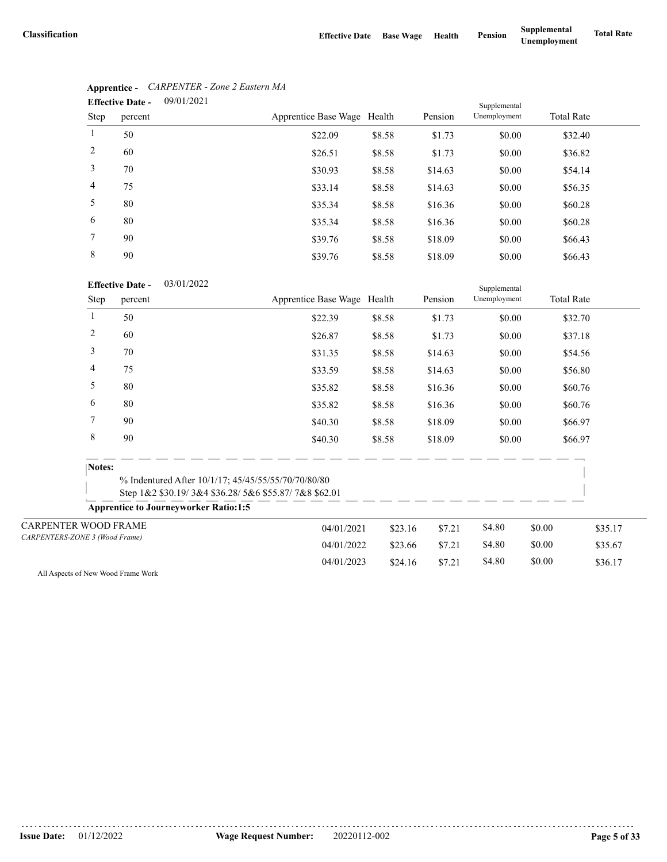|      | 09/01/2021<br><b>Effective Date -</b> |                             |        |         | Supplemental |                   |
|------|---------------------------------------|-----------------------------|--------|---------|--------------|-------------------|
| Step | percent                               | Apprentice Base Wage Health |        | Pension | Unemployment | <b>Total Rate</b> |
| 1    | 50                                    | \$22.09                     | \$8.58 | \$1.73  | \$0.00       | \$32.40           |
| 2    | 60                                    | \$26.51                     | \$8.58 | \$1.73  | \$0.00       | \$36.82           |
| 3    | 70                                    | \$30.93                     | \$8.58 | \$14.63 | \$0.00       | \$54.14           |
| 4    | 75                                    | \$33.14                     | \$8.58 | \$14.63 | \$0.00       | \$56.35           |
| 5    | 80                                    | \$35.34                     | \$8.58 | \$16.36 | \$0.00       | \$60.28           |
| 6    | 80                                    | \$35.34                     | \$8.58 | \$16.36 | \$0.00       | \$60.28           |
| 7    | 90                                    | \$39.76                     | \$8.58 | \$18.09 | \$0.00       | \$66.43           |
| 8    | 90                                    | \$39.76                     | \$8.58 | \$18.09 | \$0.00       | \$66.43           |

# **Apprentice -** *CARPENTER - Zone 2 Eastern MA*

#### 03/01/2022 **Effective Date -**

|                                |                | <b>Effective Date -</b><br>03/01/2022        |                                                                                                             |         |         | Supplemental |        |                   |
|--------------------------------|----------------|----------------------------------------------|-------------------------------------------------------------------------------------------------------------|---------|---------|--------------|--------|-------------------|
|                                | Step           | percent                                      | Apprentice Base Wage Health                                                                                 |         | Pension | Unemployment |        | <b>Total Rate</b> |
|                                | 1              | 50                                           | \$22.39                                                                                                     | \$8.58  | \$1.73  | \$0.00       |        | \$32.70           |
|                                | $\overline{c}$ | 60                                           | \$26.87                                                                                                     | \$8.58  | \$1.73  | \$0.00       |        | \$37.18           |
|                                | 3              | 70                                           | \$31.35                                                                                                     | \$8.58  | \$14.63 | \$0.00       |        | \$54.56           |
|                                | 4              | 75                                           | \$33.59                                                                                                     | \$8.58  | \$14.63 | \$0.00       |        | \$56.80           |
|                                | 5              | 80                                           | \$35.82                                                                                                     | \$8.58  | \$16.36 | \$0.00       |        | \$60.76           |
|                                | 6              | 80                                           | \$35.82                                                                                                     | \$8.58  | \$16.36 | \$0.00       |        | \$60.76           |
|                                | 7              | 90                                           | \$40.30                                                                                                     | \$8.58  | \$18.09 | \$0.00       |        | \$66.97           |
|                                | 8              | 90                                           | \$40.30                                                                                                     | \$8.58  | \$18.09 | \$0.00       |        | \$66.97           |
|                                | Notes:         |                                              |                                                                                                             |         |         |              |        |                   |
|                                |                |                                              | % Indentured After 10/1/17; 45/45/55/55/70/70/80/80<br>Step 1&2 \$30.19/3&4 \$36.28/5&6 \$55.87/7&8 \$62.01 |         |         |              |        |                   |
|                                |                | <b>Apprentice to Journeyworker Ratio:1:5</b> |                                                                                                             |         |         |              |        |                   |
| <b>CARPENTER WOOD FRAME</b>    |                |                                              | 04/01/2021                                                                                                  | \$23.16 | \$7.21  | \$4.80       | \$0.00 | \$35.17           |
| CARPENTERS-ZONE 3 (Wood Frame) |                |                                              | 04/01/2022                                                                                                  | \$23.66 | \$7.21  | \$4.80       | \$0.00 | \$35.67           |
|                                |                |                                              | 04/01/2023                                                                                                  | \$24.16 | \$7.21  | \$4.80       | \$0.00 | \$36.17           |

All Aspects of New Wood Frame Work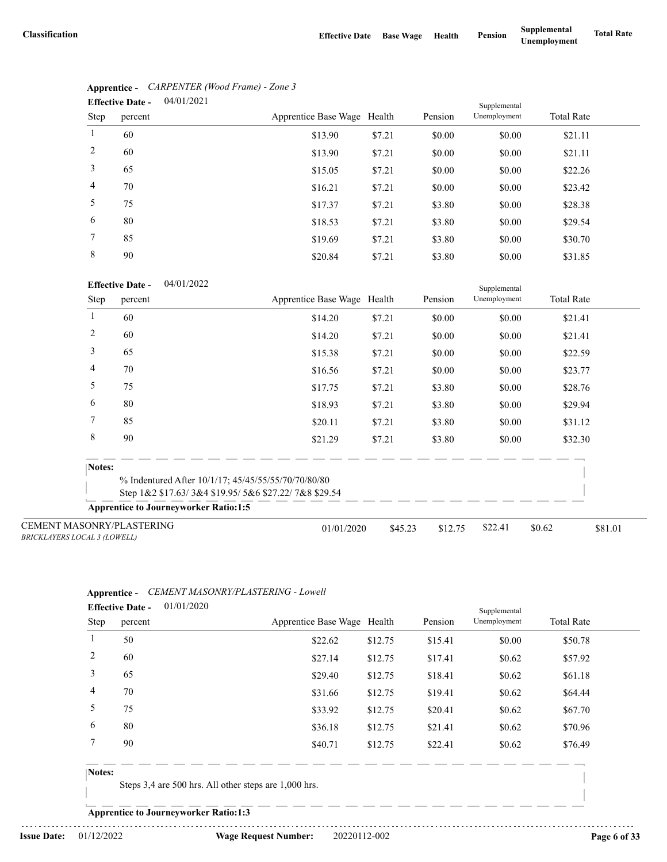|                | 04/01/2021<br><b>Effective Date -</b> |                             |        |         | Supplemental |                   |
|----------------|---------------------------------------|-----------------------------|--------|---------|--------------|-------------------|
| Step           | percent                               | Apprentice Base Wage Health |        | Pension | Unemployment | <b>Total Rate</b> |
| 1              | 60                                    | \$13.90                     | \$7.21 | \$0.00  | \$0.00       | \$21.11           |
| 2              | 60                                    | \$13.90                     | \$7.21 | \$0.00  | \$0.00       | \$21.11           |
| 3              | 65                                    | \$15.05                     | \$7.21 | \$0.00  | \$0.00       | \$22.26           |
| $\overline{4}$ | 70                                    | \$16.21                     | \$7.21 | \$0.00  | \$0.00       | \$23.42           |
| 5              | 75                                    | \$17.37                     | \$7.21 | \$3.80  | \$0.00       | \$28.38           |
| 6              | 80                                    | \$18.53                     | \$7.21 | \$3.80  | \$0.00       | \$29.54           |
| 7              | 85                                    | \$19.69                     | \$7.21 | \$3.80  | \$0.00       | \$30.70           |
| 8              | 90                                    | \$20.84                     | \$7.21 | \$3.80  | \$0.00       | \$31.85           |

# **Apprentice -** *CARPENTER (Wood Frame) - Zone 3*

#### 04/01/2022 **Effective Date -**

|                                                                         | <b>Effective Date -</b><br>04/01/2022                |                                                     |         |         |              |                   |         |  |
|-------------------------------------------------------------------------|------------------------------------------------------|-----------------------------------------------------|---------|---------|--------------|-------------------|---------|--|
| Step                                                                    | percent                                              | Apprentice Base Wage Health                         |         | Pension | Unemployment | <b>Total Rate</b> |         |  |
|                                                                         | 60                                                   | \$14.20                                             | \$7.21  | \$0.00  | \$0.00       | \$21.41           |         |  |
| 2                                                                       | 60                                                   | \$14.20                                             | \$7.21  | \$0.00  | \$0.00       | \$21.41           |         |  |
| 3                                                                       | 65                                                   | \$15.38                                             | \$7.21  | \$0.00  | \$0.00       | \$22.59           |         |  |
| 4                                                                       | 70                                                   | \$16.56                                             | \$7.21  | \$0.00  | \$0.00       | \$23.77           |         |  |
| 5                                                                       | 75                                                   | \$17.75                                             | \$7.21  | \$3.80  | \$0.00       | \$28.76           |         |  |
| 6                                                                       | 80                                                   | \$18.93                                             | \$7.21  | \$3.80  | \$0.00       | \$29.94           |         |  |
| 7                                                                       | 85                                                   | \$20.11                                             | \$7.21  | \$3.80  | \$0.00       | \$31.12           |         |  |
| 8                                                                       | 90                                                   | \$21.29                                             | \$7.21  | \$3.80  | \$0.00       | \$32.30           |         |  |
| Notes:                                                                  |                                                      |                                                     |         |         |              |                   |         |  |
|                                                                         |                                                      | % Indentured After 10/1/17; 45/45/55/55/70/70/80/80 |         |         |              |                   |         |  |
|                                                                         | Step 1&2 \$17.63/3&4 \$19.95/5&6 \$27.22/7&8 \$29.54 |                                                     |         |         |              |                   |         |  |
|                                                                         | <b>Apprentice to Journeyworker Ratio:1:5</b>         |                                                     |         |         |              |                   |         |  |
| <b>CEMENT MASONRY/PLASTERING</b><br><b>BRICKLAYERS LOCAL 3 (LOWELL)</b> |                                                      | 01/01/2020                                          | \$45.23 | \$12.75 | \$22.41      | \$0.62            | \$81.01 |  |

### **Apprentice -** *CEMENT MASONRY/PLASTERING - Lowell*

| <b>Effective Date -</b> |         | 01/01/2020 |                             |         |         | Supplemental |                   |  |
|-------------------------|---------|------------|-----------------------------|---------|---------|--------------|-------------------|--|
| Step                    | percent |            | Apprentice Base Wage Health |         | Pension | Unemployment | <b>Total Rate</b> |  |
|                         | 50      |            | \$22.62                     | \$12.75 | \$15.41 | \$0.00       | \$50.78           |  |
| 2                       | 60      |            | \$27.14                     | \$12.75 | \$17.41 | \$0.62       | \$57.92           |  |
| 3                       | 65      |            | \$29.40                     | \$12.75 | \$18.41 | \$0.62       | \$61.18           |  |
| $\overline{4}$          | 70      |            | \$31.66                     | \$12.75 | \$19.41 | \$0.62       | \$64.44           |  |
| 5                       | 75      |            | \$33.92                     | \$12.75 | \$20.41 | \$0.62       | \$67.70           |  |
| 6                       | 80      |            | \$36.18                     | \$12.75 | \$21.41 | \$0.62       | \$70.96           |  |
|                         | 90      |            | \$40.71                     | \$12.75 | \$22.41 | \$0.62       | \$76.49           |  |

#### **Notes:**

Steps 3,4 are 500 hrs. All other steps are 1,000 hrs.

**Apprentice to Journeyworker Ratio:1:3**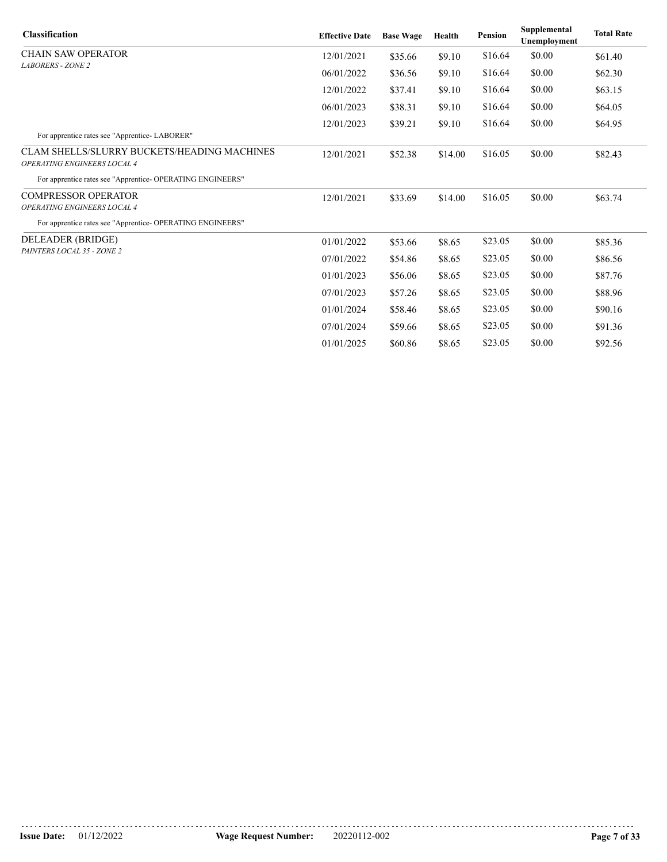| <b>Classification</b>                                                      | <b>Effective Date</b> | <b>Base Wage</b> | Health  | <b>Pension</b> | Supplemental<br>Unemployment | <b>Total Rate</b> |
|----------------------------------------------------------------------------|-----------------------|------------------|---------|----------------|------------------------------|-------------------|
| <b>CHAIN SAW OPERATOR</b>                                                  | 12/01/2021            | \$35.66          | \$9.10  | \$16.64        | \$0.00                       | \$61.40           |
| <b>LABORERS - ZONE 2</b>                                                   | 06/01/2022            | \$36.56          | \$9.10  | \$16.64        | \$0.00                       | \$62.30           |
|                                                                            | 12/01/2022            | \$37.41          | \$9.10  | \$16.64        | \$0.00                       | \$63.15           |
|                                                                            | 06/01/2023            | \$38.31          | \$9.10  | \$16.64        | \$0.00                       | \$64.05           |
|                                                                            | 12/01/2023            | \$39.21          | \$9.10  | \$16.64        | \$0.00                       | \$64.95           |
| For apprentice rates see "Apprentice-LABORER"                              |                       |                  |         |                |                              |                   |
| CLAM SHELLS/SLURRY BUCKETS/HEADING MACHINES<br>OPERATING ENGINEERS LOCAL 4 | 12/01/2021            | \$52.38          | \$14.00 | \$16.05        | \$0.00                       | \$82.43           |
| For apprentice rates see "Apprentice- OPERATING ENGINEERS"                 |                       |                  |         |                |                              |                   |
| <b>COMPRESSOR OPERATOR</b>                                                 | 12/01/2021            | \$33.69          | \$14.00 | \$16.05        | \$0.00                       | \$63.74           |
| OPERATING ENGINEERS LOCAL 4                                                |                       |                  |         |                |                              |                   |
| For apprentice rates see "Apprentice- OPERATING ENGINEERS"                 |                       |                  |         |                |                              |                   |
| DELEADER (BRIDGE)                                                          | 01/01/2022            | \$53.66          | \$8.65  | \$23.05        | \$0.00                       | \$85.36           |
| PAINTERS LOCAL 35 - ZONE 2                                                 | 07/01/2022            | \$54.86          | \$8.65  | \$23.05        | \$0.00                       | \$86.56           |
|                                                                            | 01/01/2023            | \$56.06          | \$8.65  | \$23.05        | \$0.00                       | \$87.76           |
|                                                                            | 07/01/2023            | \$57.26          | \$8.65  | \$23.05        | \$0.00                       | \$88.96           |
|                                                                            | 01/01/2024            | \$58.46          | \$8.65  | \$23.05        | \$0.00                       | \$90.16           |
|                                                                            | 07/01/2024            | \$59.66          | \$8.65  | \$23.05        | \$0.00                       | \$91.36           |
|                                                                            | 01/01/2025            | \$60.86          | \$8.65  | \$23.05        | \$0.00                       | \$92.56           |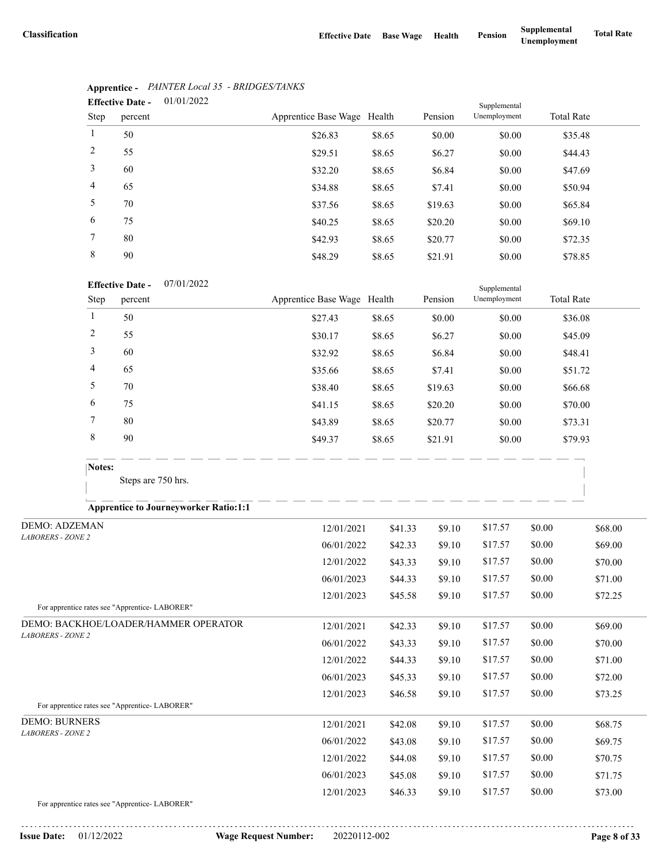|                | 01/01/2022<br><b>Effective Date -</b> | Supplemental                |        |         |              |                   |
|----------------|---------------------------------------|-----------------------------|--------|---------|--------------|-------------------|
| Step           | percent                               | Apprentice Base Wage Health |        | Pension | Unemployment | <b>Total Rate</b> |
| 1              | 50                                    | \$26.83                     | \$8.65 | \$0.00  | \$0.00       | \$35.48           |
| 2              | 55                                    | \$29.51                     | \$8.65 | \$6.27  | \$0.00       | \$44.43           |
| 3              | 60                                    | \$32.20                     | \$8.65 | \$6.84  | \$0.00       | \$47.69           |
| $\overline{4}$ | 65                                    | \$34.88                     | \$8.65 | \$7.41  | \$0.00       | \$50.94           |
| 5              | 70                                    | \$37.56                     | \$8.65 | \$19.63 | \$0.00       | \$65.84           |
| 6              | 75                                    | \$40.25                     | \$8.65 | \$20.20 | \$0.00       | \$69.10           |
| 7              | 80                                    | \$42.93                     | \$8.65 | \$20.77 | \$0.00       | \$72.35           |
| 8              | 90                                    | \$48.29                     | \$8.65 | \$21.91 | \$0.00       | \$78.85           |

### **Apprentice -** *PAINTER Local 35 - BRIDGES/TANKS*

#### 07/01/2022 **Effective Date -**

|      | <b>Effective Date -</b><br>0//01/2022 |                             |        |         | Supplemental |                   |  |
|------|---------------------------------------|-----------------------------|--------|---------|--------------|-------------------|--|
| Step | percent                               | Apprentice Base Wage Health |        | Pension | Unemployment | <b>Total Rate</b> |  |
|      | 50                                    | \$27.43                     | \$8.65 | \$0.00  | \$0.00       | \$36.08           |  |
| 2    | 55                                    | \$30.17                     | \$8.65 | \$6.27  | \$0.00       | \$45.09           |  |
| 3    | 60                                    | \$32.92                     | \$8.65 | \$6.84  | \$0.00       | \$48.41           |  |
| 4    | 65                                    | \$35.66                     | \$8.65 | \$7.41  | \$0.00       | \$51.72           |  |
| 5    | 70                                    | \$38.40                     | \$8.65 | \$19.63 | \$0.00       | \$66.68           |  |
| 6    | 75                                    | \$41.15                     | \$8.65 | \$20.20 | \$0.00       | \$70.00           |  |
|      | 80                                    | \$43.89                     | \$8.65 | \$20.77 | \$0.00       | \$73.31           |  |
| 8    | 90                                    | \$49.37                     | \$8.65 | \$21.91 | \$0.00       | \$79.93           |  |

Steps are 750 hrs.

### **Apprentice to Journeyworker Ratio:1:1**

| <b>DEMO: ADZEMAN</b>                          | 12/01/2021 | \$41.33 | \$9.10 | \$17.57 | \$0.00 | \$68.00 |
|-----------------------------------------------|------------|---------|--------|---------|--------|---------|
| <b>LABORERS - ZONE 2</b>                      | 06/01/2022 | \$42.33 | \$9.10 | \$17.57 | \$0.00 | \$69.00 |
|                                               | 12/01/2022 | \$43.33 | \$9.10 | \$17.57 | \$0.00 | \$70.00 |
|                                               | 06/01/2023 | \$44.33 | \$9.10 | \$17.57 | \$0.00 | \$71.00 |
|                                               | 12/01/2023 | \$45.58 | \$9.10 | \$17.57 | \$0.00 | \$72.25 |
| For apprentice rates see "Apprentice-LABORER" |            |         |        |         |        |         |
| DEMO: BACKHOE/LOADER/HAMMER OPERATOR          | 12/01/2021 | \$42.33 | \$9.10 | \$17.57 | \$0.00 | \$69.00 |
| <b>LABORERS - ZONE 2</b>                      | 06/01/2022 | \$43.33 | \$9.10 | \$17.57 | \$0.00 | \$70.00 |
|                                               | 12/01/2022 | \$44.33 | \$9.10 | \$17.57 | \$0.00 | \$71.00 |
|                                               | 06/01/2023 | \$45.33 | \$9.10 | \$17.57 | \$0.00 | \$72.00 |
|                                               | 12/01/2023 | \$46.58 | \$9.10 | \$17.57 | \$0.00 | \$73.25 |
| For apprentice rates see "Apprentice-LABORER" |            |         |        |         |        |         |
| <b>DEMO: BURNERS</b>                          | 12/01/2021 | \$42.08 | \$9.10 | \$17.57 | \$0.00 | \$68.75 |
| <b>LABORERS - ZONE 2</b>                      | 06/01/2022 | \$43.08 | \$9.10 | \$17.57 | \$0.00 | \$69.75 |
|                                               | 12/01/2022 | \$44.08 | \$9.10 | \$17.57 | \$0.00 | \$70.75 |
|                                               | 06/01/2023 | \$45.08 | \$9.10 | \$17.57 | \$0.00 | \$71.75 |
|                                               | 12/01/2023 | \$46.33 | \$9.10 | \$17.57 | \$0.00 | \$73.00 |
|                                               |            |         |        |         |        |         |

For apprentice rates see "Apprentice- LABORER"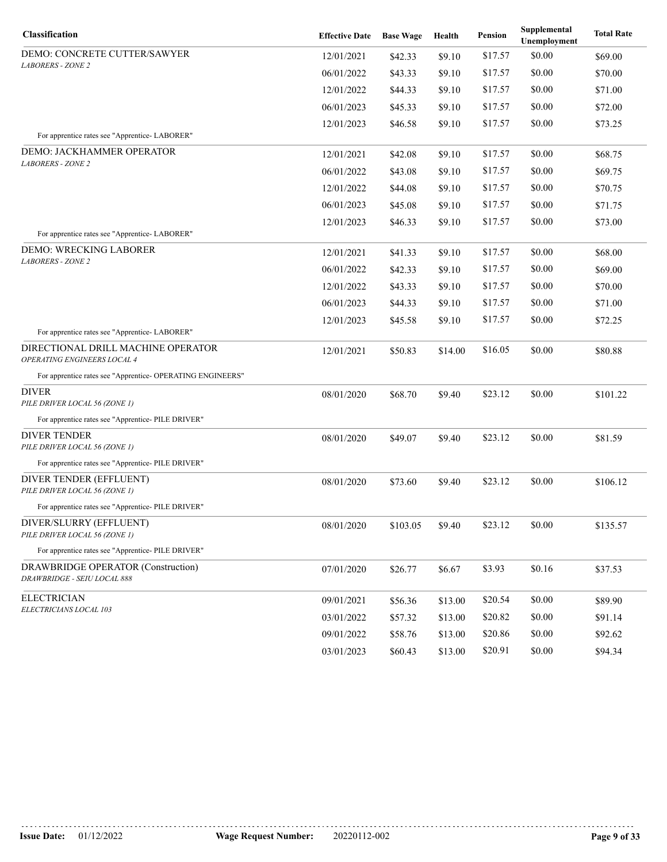| Classification                                                    | <b>Effective Date</b> | <b>Base Wage</b> | Health  | Pension | Supplemental<br>Unemployment | <b>Total Rate</b> |
|-------------------------------------------------------------------|-----------------------|------------------|---------|---------|------------------------------|-------------------|
| DEMO: CONCRETE CUTTER/SAWYER                                      | 12/01/2021            | \$42.33          | \$9.10  | \$17.57 | \$0.00                       | \$69.00           |
| <b>LABORERS - ZONE 2</b>                                          | 06/01/2022            | \$43.33          | \$9.10  | \$17.57 | \$0.00                       | \$70.00           |
|                                                                   | 12/01/2022            | \$44.33          | \$9.10  | \$17.57 | \$0.00                       | \$71.00           |
|                                                                   | 06/01/2023            | \$45.33          | \$9.10  | \$17.57 | \$0.00                       | \$72.00           |
|                                                                   | 12/01/2023            | \$46.58          | \$9.10  | \$17.57 | \$0.00                       | \$73.25           |
| For apprentice rates see "Apprentice- LABORER"                    |                       |                  |         |         |                              |                   |
| DEMO: JACKHAMMER OPERATOR<br><b>LABORERS - ZONE 2</b>             | 12/01/2021            | \$42.08          | \$9.10  | \$17.57 | \$0.00                       | \$68.75           |
|                                                                   | 06/01/2022            | \$43.08          | \$9.10  | \$17.57 | \$0.00                       | \$69.75           |
|                                                                   | 12/01/2022            | \$44.08          | \$9.10  | \$17.57 | \$0.00                       | \$70.75           |
|                                                                   | 06/01/2023            | \$45.08          | \$9.10  | \$17.57 | \$0.00                       | \$71.75           |
|                                                                   | 12/01/2023            | \$46.33          | \$9.10  | \$17.57 | \$0.00                       | \$73.00           |
| For apprentice rates see "Apprentice- LABORER"                    |                       |                  |         |         |                              |                   |
| DEMO: WRECKING LABORER<br><b>LABORERS - ZONE 2</b>                | 12/01/2021            | \$41.33          | \$9.10  | \$17.57 | \$0.00                       | \$68.00           |
|                                                                   | 06/01/2022            | \$42.33          | \$9.10  | \$17.57 | \$0.00                       | \$69.00           |
|                                                                   | 12/01/2022            | \$43.33          | \$9.10  | \$17.57 | \$0.00                       | \$70.00           |
|                                                                   | 06/01/2023            | \$44.33          | \$9.10  | \$17.57 | \$0.00                       | \$71.00           |
|                                                                   | 12/01/2023            | \$45.58          | \$9.10  | \$17.57 | \$0.00                       | \$72.25           |
| For apprentice rates see "Apprentice-LABORER"                     |                       |                  |         |         |                              |                   |
| DIRECTIONAL DRILL MACHINE OPERATOR<br>OPERATING ENGINEERS LOCAL 4 | 12/01/2021            | \$50.83          | \$14.00 | \$16.05 | \$0.00                       | \$80.88           |
| For apprentice rates see "Apprentice- OPERATING ENGINEERS"        |                       |                  |         |         |                              |                   |
| DIVER<br>PILE DRIVER LOCAL 56 (ZONE 1)                            | 08/01/2020            | \$68.70          | \$9.40  | \$23.12 | \$0.00                       | \$101.22          |
| For apprentice rates see "Apprentice- PILE DRIVER"                |                       |                  |         |         |                              |                   |
| <b>DIVER TENDER</b><br>PILE DRIVER LOCAL 56 (ZONE 1)              | 08/01/2020            | \$49.07          | \$9.40  | \$23.12 | \$0.00                       | \$81.59           |
| For apprentice rates see "Apprentice- PILE DRIVER"                |                       |                  |         |         |                              |                   |
| DIVER TENDER (EFFLUENT)<br>PILE DRIVER LOCAL 56 (ZONE 1)          | 08/01/2020            | \$73.60          | \$9.40  | \$23.12 | \$0.00                       | \$106.12          |
| For apprentice rates see "Apprentice- PILE DRIVER"                |                       |                  |         |         |                              |                   |
| DIVER/SLURRY (EFFLUENT)<br>PILE DRIVER LOCAL 56 (ZONE 1)          | 08/01/2020            | \$103.05         | \$9.40  | \$23.12 | \$0.00                       | \$135.57          |
| For apprentice rates see "Apprentice- PILE DRIVER"                |                       |                  |         |         |                              |                   |
| DRAWBRIDGE OPERATOR (Construction)<br>DRAWBRIDGE - SEIU LOCAL 888 | 07/01/2020            | \$26.77          | \$6.67  | \$3.93  | \$0.16                       | \$37.53           |
| <b>ELECTRICIAN</b><br>ELECTRICIANS LOCAL 103                      | 09/01/2021            | \$56.36          | \$13.00 | \$20.54 | \$0.00                       | \$89.90           |
|                                                                   | 03/01/2022            | \$57.32          | \$13.00 | \$20.82 | \$0.00                       | \$91.14           |
|                                                                   | 09/01/2022            | \$58.76          | \$13.00 | \$20.86 | \$0.00                       | \$92.62           |
|                                                                   | 03/01/2023            | \$60.43          | \$13.00 | \$20.91 | \$0.00                       | \$94.34           |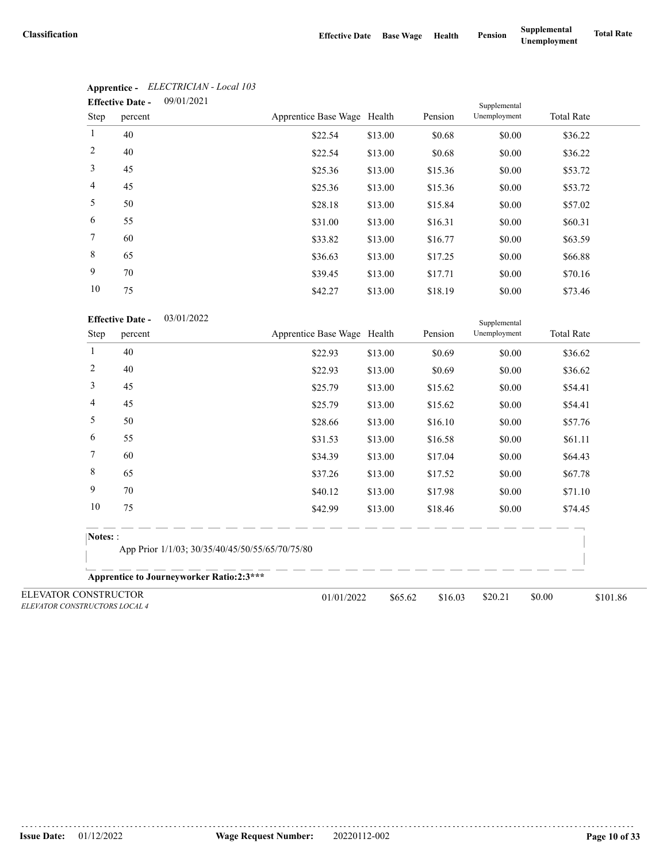|                | 09/01/2021<br><b>Effective Date -</b> |                             |         |         |              |                   |
|----------------|---------------------------------------|-----------------------------|---------|---------|--------------|-------------------|
| Step           | percent                               | Apprentice Base Wage Health |         | Pension | Unemployment | <b>Total Rate</b> |
| $\mathbf{1}$   | 40                                    | \$22.54                     | \$13.00 | \$0.68  | \$0.00       | \$36.22           |
| 2              | 40                                    | \$22.54                     | \$13.00 | \$0.68  | \$0.00       | \$36.22           |
| 3              | 45                                    | \$25.36                     | \$13.00 | \$15.36 | \$0.00       | \$53.72           |
| $\overline{4}$ | 45                                    | \$25.36                     | \$13.00 | \$15.36 | \$0.00       | \$53.72           |
| 5              | 50                                    | \$28.18                     | \$13.00 | \$15.84 | \$0.00       | \$57.02           |
| 6              | 55                                    | \$31.00                     | \$13.00 | \$16.31 | \$0.00       | \$60.31           |
| $\tau$         | 60                                    | \$33.82                     | \$13.00 | \$16.77 | \$0.00       | \$63.59           |
| 8              | 65                                    | \$36.63                     | \$13.00 | \$17.25 | \$0.00       | \$66.88           |
| 9              | 70                                    | \$39.45                     | \$13.00 | \$17.71 | \$0.00       | \$70.16           |
| 10             | 75                                    | \$42.27                     | \$13.00 | \$18.19 | \$0.00       | \$73.46           |

# **Apprentice -** *ELECTRICIAN - Local 103*

| <b>Effective Date -</b> | 03/01/2022 |
|-------------------------|------------|
|-------------------------|------------|

|                                                       | <b>Effective Date -</b>                         | 03/01/2022                                       |         |         | Supplemental |                   |          |  |
|-------------------------------------------------------|-------------------------------------------------|--------------------------------------------------|---------|---------|--------------|-------------------|----------|--|
| Step                                                  | percent                                         | Apprentice Base Wage Health                      |         | Pension | Unemployment | <b>Total Rate</b> |          |  |
| 1                                                     | 40                                              | \$22.93                                          | \$13.00 | \$0.69  | \$0.00       | \$36.62           |          |  |
| $\overline{c}$                                        | 40                                              | \$22.93                                          | \$13.00 | \$0.69  | \$0.00       | \$36.62           |          |  |
| 3                                                     | 45                                              | \$25.79                                          | \$13.00 | \$15.62 | \$0.00       | \$54.41           |          |  |
| 4                                                     | 45                                              | \$25.79                                          | \$13.00 | \$15.62 | \$0.00       | \$54.41           |          |  |
| 5                                                     | 50                                              | \$28.66                                          | \$13.00 | \$16.10 | \$0.00       | \$57.76           |          |  |
| 6                                                     | 55                                              | \$31.53                                          | \$13.00 | \$16.58 | \$0.00       | \$61.11           |          |  |
| $\overline{7}$                                        | 60                                              | \$34.39                                          | \$13.00 | \$17.04 | \$0.00       | \$64.43           |          |  |
| 8                                                     | 65                                              | \$37.26                                          | \$13.00 | \$17.52 | \$0.00       | \$67.78           |          |  |
| 9                                                     | 70                                              | \$40.12                                          | \$13.00 | \$17.98 | \$0.00       | \$71.10           |          |  |
| 10                                                    | 75                                              | \$42.99                                          | \$13.00 | \$18.46 | \$0.00       | \$74.45           |          |  |
| Notes: :                                              |                                                 |                                                  |         |         |              |                   |          |  |
|                                                       | App Prior 1/1/03; 30/35/40/45/50/55/65/70/75/80 |                                                  |         |         |              |                   |          |  |
|                                                       |                                                 | <b>Apprentice to Journeyworker Ratio:2:3 ***</b> |         |         |              |                   |          |  |
| ELEVATOR CONSTRUCTOR<br>ELEVATOR CONSTRUCTORS LOCAL 4 |                                                 | 01/01/2022                                       | \$65.62 | \$16.03 | \$20.21      | \$0.00            | \$101.86 |  |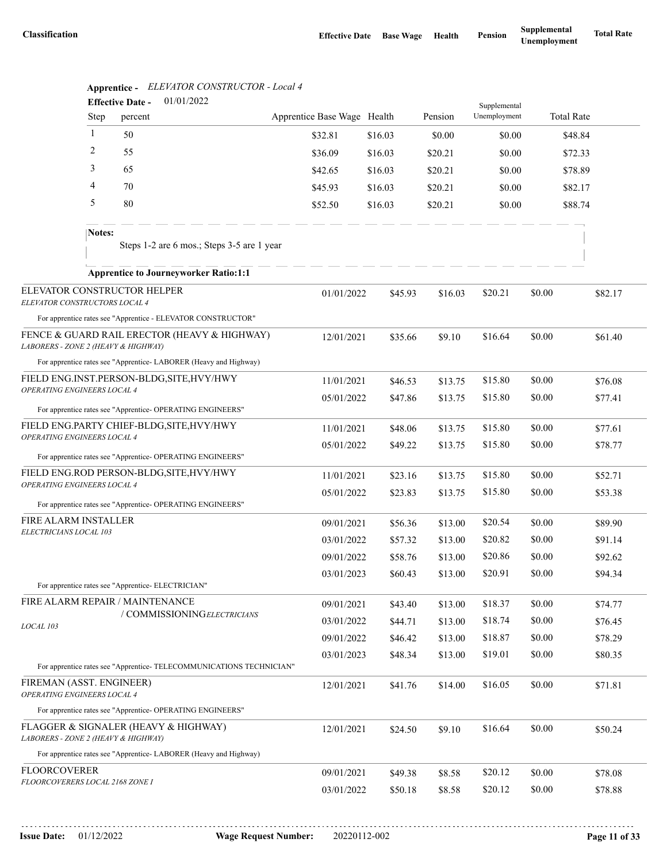|                                                                             | 01/01/2022<br><b>Effective Date -</b> |                                                    |                                                                      |                             |                    |                    | Supplemental       |                  |                    |  |
|-----------------------------------------------------------------------------|---------------------------------------|----------------------------------------------------|----------------------------------------------------------------------|-----------------------------|--------------------|--------------------|--------------------|------------------|--------------------|--|
|                                                                             | <b>Step</b>                           | percent                                            |                                                                      | Apprentice Base Wage Health |                    | Pension            | Unemployment       |                  | <b>Total Rate</b>  |  |
|                                                                             | $\mathbf{1}$                          | 50                                                 |                                                                      | \$32.81                     | \$16.03            | \$0.00             | \$0.00             |                  | \$48.84            |  |
|                                                                             | 2                                     | 55                                                 |                                                                      | \$36.09                     | \$16.03            | \$20.21            | \$0.00             |                  | \$72.33            |  |
|                                                                             | 3                                     | 65                                                 |                                                                      | \$42.65                     | \$16.03            | \$20.21            | \$0.00             |                  | \$78.89            |  |
|                                                                             | 4                                     | 70                                                 |                                                                      | \$45.93                     | \$16.03            | \$20.21            | \$0.00             |                  | \$82.17            |  |
|                                                                             | 5                                     | 80                                                 |                                                                      | \$52.50                     | \$16.03            | \$20.21            | \$0.00             |                  | \$88.74            |  |
|                                                                             | Notes:                                |                                                    | Steps 1-2 are 6 mos.; Steps 3-5 are 1 year                           |                             |                    |                    |                    |                  |                    |  |
|                                                                             |                                       |                                                    | <b>Apprentice to Journeyworker Ratio:1:1</b>                         |                             |                    |                    |                    |                  |                    |  |
| ELEVATOR CONSTRUCTOR HELPER<br>ELEVATOR CONSTRUCTORS LOCAL 4                |                                       |                                                    |                                                                      | 01/01/2022                  | \$45.93            | \$16.03            | \$20.21            | \$0.00           | \$82.17            |  |
|                                                                             |                                       |                                                    | For apprentice rates see "Apprentice - ELEVATOR CONSTRUCTOR"         |                             |                    |                    |                    |                  |                    |  |
| LABORERS - ZONE 2 (HEAVY & HIGHWAY)                                         |                                       |                                                    | FENCE & GUARD RAIL ERECTOR (HEAVY & HIGHWAY)                         | 12/01/2021                  | \$35.66            | \$9.10             | \$16.64            | \$0.00           | \$61.40            |  |
|                                                                             |                                       |                                                    | For apprentice rates see "Apprentice-LABORER (Heavy and Highway)     |                             |                    |                    |                    |                  |                    |  |
| FIELD ENG.INST.PERSON-BLDG, SITE, HVY/HWY<br>OPERATING ENGINEERS LOCAL 4    |                                       |                                                    | 11/01/2021                                                           | \$46.53                     | \$13.75            | \$15.80            | \$0.00             | \$76.08          |                    |  |
|                                                                             |                                       |                                                    | For apprentice rates see "Apprentice- OPERATING ENGINEERS"           | 05/01/2022                  | \$47.86            | \$13.75            | \$15.80            | \$0.00           | \$77.41            |  |
| FIELD ENG.PARTY CHIEF-BLDG, SITE, HVY/HWY                                   |                                       |                                                    | 11/01/2021                                                           | \$48.06                     | \$13.75            | \$15.80            | \$0.00             | \$77.61          |                    |  |
| OPERATING ENGINEERS LOCAL 4                                                 |                                       |                                                    |                                                                      | 05/01/2022                  | \$49.22            | \$13.75            | \$15.80            | \$0.00           | \$78.77            |  |
|                                                                             |                                       |                                                    | For apprentice rates see "Apprentice- OPERATING ENGINEERS"           |                             |                    |                    |                    |                  |                    |  |
| FIELD ENG.ROD PERSON-BLDG, SITE, HVY/HWY<br>OPERATING ENGINEERS LOCAL 4     |                                       |                                                    |                                                                      | 11/01/2021                  | \$23.16            | \$13.75            | \$15.80            | \$0.00           | \$52.71            |  |
|                                                                             |                                       |                                                    |                                                                      | 05/01/2022                  | \$23.83            | \$13.75            | \$15.80            | \$0.00           | \$53.38            |  |
| FIRE ALARM INSTALLER                                                        |                                       |                                                    | For apprentice rates see "Apprentice- OPERATING ENGINEERS"           |                             |                    |                    |                    |                  |                    |  |
| ELECTRICIANS LOCAL 103                                                      |                                       |                                                    |                                                                      | 09/01/2021<br>03/01/2022    | \$56.36<br>\$57.32 | \$13.00<br>\$13.00 | \$20.54<br>\$20.82 | \$0.00<br>\$0.00 | \$89.90<br>\$91.14 |  |
|                                                                             |                                       |                                                    |                                                                      | 09/01/2022                  | \$58.76            | \$13.00            | \$20.86            | \$0.00           | \$92.62            |  |
|                                                                             |                                       |                                                    |                                                                      | 03/01/2023                  | \$60.43            | \$13.00            | \$20.91            | \$0.00           | \$94.34            |  |
|                                                                             |                                       | For apprentice rates see "Apprentice- ELECTRICIAN" |                                                                      |                             |                    |                    |                    |                  |                    |  |
| FIRE ALARM REPAIR / MAINTENANCE                                             |                                       |                                                    |                                                                      | 09/01/2021                  | \$43.40            | \$13.00            | \$18.37            | \$0.00           | \$74.77            |  |
| LOCAL 103                                                                   |                                       |                                                    | / COMMISSIONINGELECTRICIANS                                          | 03/01/2022                  | \$44.71            | \$13.00            | \$18.74            | \$0.00           | \$76.45            |  |
|                                                                             |                                       |                                                    |                                                                      | 09/01/2022                  | \$46.42            | \$13.00            | \$18.87            | \$0.00           | \$78.29            |  |
|                                                                             |                                       |                                                    |                                                                      | 03/01/2023                  | \$48.34            | \$13.00            | \$19.01            | \$0.00           | \$80.35            |  |
| FIREMAN (ASST. ENGINEER)                                                    |                                       |                                                    | For apprentice rates see "Apprentice- TELECOMMUNICATIONS TECHNICIAN" |                             |                    |                    |                    |                  |                    |  |
| OPERATING ENGINEERS LOCAL 4                                                 |                                       |                                                    |                                                                      | 12/01/2021                  | \$41.76            | \$14.00            | \$16.05            | \$0.00           | \$71.81            |  |
|                                                                             |                                       |                                                    | For apprentice rates see "Apprentice- OPERATING ENGINEERS"           |                             |                    |                    |                    |                  |                    |  |
| FLAGGER & SIGNALER (HEAVY & HIGHWAY)<br>LABORERS - ZONE 2 (HEAVY & HIGHWAY) |                                       |                                                    |                                                                      | 12/01/2021                  | \$24.50            | \$9.10             | \$16.64            | \$0.00           | \$50.24            |  |
|                                                                             |                                       |                                                    | For apprentice rates see "Apprentice-LABORER (Heavy and Highway)     |                             |                    |                    |                    |                  |                    |  |
| <b>FLOORCOVERER</b><br><i>FLOORCOVERERS LOCAL 2168 ZONE I</i>               |                                       |                                                    |                                                                      | 09/01/2021                  | \$49.38            | \$8.58             | \$20.12            | \$0.00           | \$78.08            |  |
|                                                                             |                                       |                                                    |                                                                      | 03/01/2022                  | \$50.18            | \$8.58             | \$20.12            | \$0.00           | \$78.88            |  |

# **Apprentice -** *ELEVATOR CONSTRUCTOR - Local 4*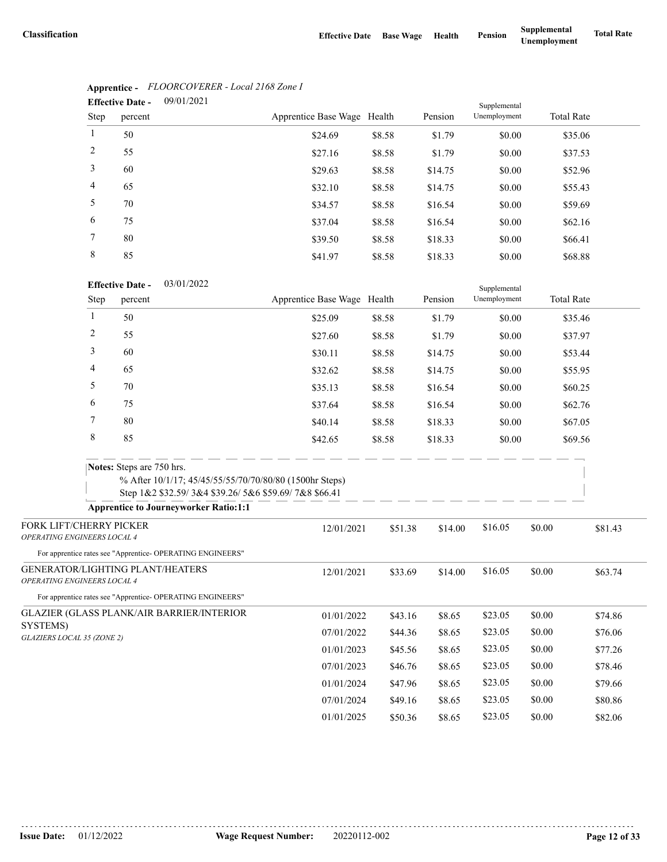| <b>Effective Date -</b> |         | 09/01/2021 |                             |        | Supplemental |              |                   |  |
|-------------------------|---------|------------|-----------------------------|--------|--------------|--------------|-------------------|--|
| Step                    | percent |            | Apprentice Base Wage Health |        | Pension      | Unemployment | <b>Total Rate</b> |  |
|                         | 50      |            | \$24.69                     | \$8.58 | \$1.79       | \$0.00       | \$35.06           |  |
| 2                       | 55      |            | \$27.16                     | \$8.58 | \$1.79       | \$0.00       | \$37.53           |  |
| 3                       | 60      |            | \$29.63                     | \$8.58 | \$14.75      | \$0.00       | \$52.96           |  |
| $\overline{4}$          | 65      |            | \$32.10                     | \$8.58 | \$14.75      | \$0.00       | \$55.43           |  |
| 5                       | 70      |            | \$34.57                     | \$8.58 | \$16.54      | \$0.00       | \$59.69           |  |
| 6                       | 75      |            | \$37.04                     | \$8.58 | \$16.54      | \$0.00       | \$62.16           |  |
| 7                       | 80      |            | \$39.50                     | \$8.58 | \$18.33      | \$0.00       | \$66.41           |  |
| 8                       | 85      |            | \$41.97                     | \$8.58 | \$18.33      | \$0.00       | \$68.88           |  |

## **Apprentice -** *FLOORCOVERER - Local 2168 Zone I*

#### 03/01/2022 **Effective Date -**

|                                        |      | <b>Effective Date -</b><br>03/01/2022                                     |                                                                                                                 |                             |         | Supplemental |              |        |                   |
|----------------------------------------|------|---------------------------------------------------------------------------|-----------------------------------------------------------------------------------------------------------------|-----------------------------|---------|--------------|--------------|--------|-------------------|
|                                        | Step | percent                                                                   |                                                                                                                 | Apprentice Base Wage Health |         | Pension      | Unemployment |        | <b>Total Rate</b> |
|                                        | 1    | 50                                                                        |                                                                                                                 | \$25.09                     | \$8.58  | \$1.79       | \$0.00       |        | \$35.46           |
|                                        | 2    | 55                                                                        |                                                                                                                 | \$27.60                     | \$8.58  | \$1.79       | \$0.00       |        | \$37.97           |
|                                        | 3    | 60                                                                        |                                                                                                                 | \$30.11                     | \$8.58  | \$14.75      | \$0.00       |        | \$53.44           |
|                                        | 4    | 65                                                                        |                                                                                                                 | \$32.62                     | \$8.58  | \$14.75      | \$0.00       |        | \$55.95           |
|                                        | 5    | 70                                                                        |                                                                                                                 | \$35.13                     | \$8.58  | \$16.54      | \$0.00       |        | \$60.25           |
|                                        | 6    | 75                                                                        |                                                                                                                 | \$37.64                     | \$8.58  | \$16.54      | \$0.00       |        | \$62.76           |
|                                        | 7    | 80                                                                        |                                                                                                                 | \$40.14                     | \$8.58  | \$18.33      | \$0.00       |        | \$67.05           |
|                                        | 8    | 85                                                                        |                                                                                                                 | \$42.65                     | \$8.58  | \$18.33      | \$0.00       |        | \$69.56           |
|                                        |      | Notes: Steps are 750 hrs.<br><b>Apprentice to Journeyworker Ratio:1:1</b> | % After 10/1/17; 45/45/55/55/70/70/80/80 (1500hr Steps)<br>Step 1&2 \$32.59/3&4 \$39.26/5&6 \$59.69/7&8 \$66.41 |                             |         |              |              |        |                   |
| FORK LIFT/CHERRY PICKER                |      |                                                                           |                                                                                                                 | 12/01/2021                  | \$51.38 | \$14.00      | \$16.05      | \$0.00 | \$81.43           |
| OPERATING ENGINEERS LOCAL 4            |      |                                                                           |                                                                                                                 |                             |         |              |              |        |                   |
|                                        |      | For apprentice rates see "Apprentice- OPERATING ENGINEERS"                |                                                                                                                 |                             |         |              |              |        |                   |
| OPERATING ENGINEERS LOCAL 4            |      | GENERATOR/LIGHTING PLANT/HEATERS                                          |                                                                                                                 | 12/01/2021                  | \$33.69 | \$14.00      | \$16.05      | \$0.00 | \$63.74           |
|                                        |      | For apprentice rates see "Apprentice- OPERATING ENGINEERS"                |                                                                                                                 |                             |         |              |              |        |                   |
|                                        |      | <b>GLAZIER (GLASS PLANK/AIR BARRIER/INTERIOR</b>                          |                                                                                                                 | 01/01/2022                  | \$43.16 | \$8.65       | \$23.05      | \$0.00 | \$74.86           |
| SYSTEMS)<br>GLAZIERS LOCAL 35 (ZONE 2) |      |                                                                           |                                                                                                                 | 07/01/2022                  | \$44.36 | \$8.65       | \$23.05      | \$0.00 | \$76.06           |
|                                        |      |                                                                           |                                                                                                                 | 01/01/2023                  | \$45.56 | \$8.65       | \$23.05      | \$0.00 | \$77.26           |
|                                        |      |                                                                           |                                                                                                                 | 07/01/2023                  | \$46.76 | \$8.65       | \$23.05      | \$0.00 | \$78.46           |
|                                        |      |                                                                           |                                                                                                                 | 01/01/2024                  | \$47.96 | \$8.65       | \$23.05      | \$0.00 | \$79.66           |
|                                        |      |                                                                           |                                                                                                                 | 07/01/2024                  | \$49.16 | \$8.65       | \$23.05      | \$0.00 | \$80.86           |
|                                        |      |                                                                           |                                                                                                                 | 01/01/2025                  | \$50.36 | \$8.65       | \$23.05      | \$0.00 | \$82.06           |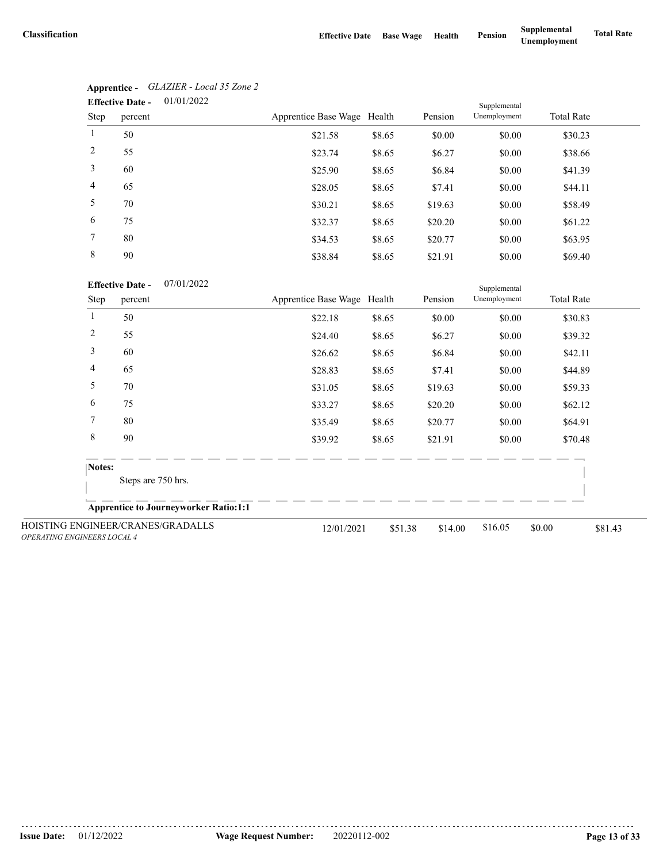|                 | 01/01/2022<br><b>Effective Date -</b> |                             |        |         | Supplemental |                   |
|-----------------|---------------------------------------|-----------------------------|--------|---------|--------------|-------------------|
| Step            | percent                               | Apprentice Base Wage Health |        | Pension | Unemployment | <b>Total Rate</b> |
| $\mathbf{1}$    | 50                                    | \$21.58                     | \$8.65 | \$0.00  | \$0.00       | \$30.23           |
| 2               | 55                                    | \$23.74                     | \$8.65 | \$6.27  | \$0.00       | \$38.66           |
| 3               | 60                                    | \$25.90                     | \$8.65 | \$6.84  | \$0.00       | \$41.39           |
| $\overline{4}$  | 65                                    | \$28.05                     | \$8.65 | \$7.41  | \$0.00       | \$44.11           |
| 5               | 70                                    | \$30.21                     | \$8.65 | \$19.63 | \$0.00       | \$58.49           |
| 6               | 75                                    | \$32.37                     | \$8.65 | \$20.20 | \$0.00       | \$61.22           |
| $7\phantom{.0}$ | 80                                    | \$34.53                     | \$8.65 | \$20.77 | \$0.00       | \$63.95           |
| 8               | 90                                    | \$38.84                     | \$8.65 | \$21.91 | \$0.00       | \$69.40           |

| Apprentice -            | GLAZIER - Local 35 Zone 2 |
|-------------------------|---------------------------|
| <b>Effective Date -</b> | 01/01/2022                |

07/01/2022 **Effective Date -**

|                                    | <b>Effective Date -</b>                      | 07/01/2022 |                             |         |         | Supplemental |                   |         |
|------------------------------------|----------------------------------------------|------------|-----------------------------|---------|---------|--------------|-------------------|---------|
| Step                               | percent                                      |            | Apprentice Base Wage Health |         | Pension | Unemployment | <b>Total Rate</b> |         |
| 1                                  | 50                                           |            | \$22.18                     | \$8.65  | \$0.00  | \$0.00       | \$30.83           |         |
| 2                                  | 55                                           |            | \$24.40                     | \$8.65  | \$6.27  | \$0.00       | \$39.32           |         |
| 3                                  | 60                                           |            | \$26.62                     | \$8.65  | \$6.84  | \$0.00       | \$42.11           |         |
| 4                                  | 65                                           |            | \$28.83                     | \$8.65  | \$7.41  | \$0.00       | \$44.89           |         |
| 5                                  | 70                                           |            | \$31.05                     | \$8.65  | \$19.63 | \$0.00       | \$59.33           |         |
| 6                                  | 75                                           |            | \$33.27                     | \$8.65  | \$20.20 | \$0.00       | \$62.12           |         |
| 7                                  | 80                                           |            | \$35.49                     | \$8.65  | \$20.77 | \$0.00       | \$64.91           |         |
| 8                                  | 90                                           |            | \$39.92                     | \$8.65  | \$21.91 | \$0.00       | \$70.48           |         |
|                                    | Notes:                                       |            |                             |         |         |              |                   |         |
|                                    | Steps are 750 hrs.                           |            |                             |         |         |              |                   |         |
|                                    | <b>Apprentice to Journeyworker Ratio:1:1</b> |            |                             |         |         |              |                   |         |
| <b>OPERATING ENGINEERS LOCAL 4</b> | HOISTING ENGINEER/CRANES/GRADALLS            |            | 12/01/2021                  | \$51.38 | \$14.00 | \$16.05      | \$0.00            | \$81.43 |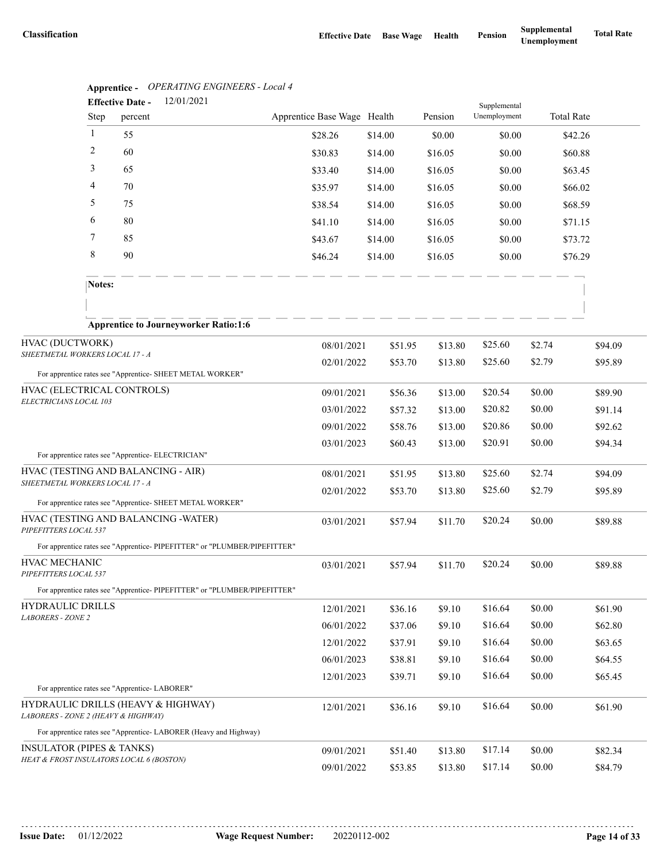|                                        |              | <b>Apprentice -</b> Or ENATING ENGINEERS - Local 4<br>12/01/2021<br><b>Effective Date -</b> |                             |         |         |                              |        |                   |
|----------------------------------------|--------------|---------------------------------------------------------------------------------------------|-----------------------------|---------|---------|------------------------------|--------|-------------------|
|                                        | Step         | percent                                                                                     | Apprentice Base Wage Health |         | Pension | Supplemental<br>Unemployment |        | <b>Total Rate</b> |
|                                        | $\mathbf{1}$ | 55                                                                                          | \$28.26                     | \$14.00 | \$0.00  | \$0.00                       |        | \$42.26           |
|                                        | 2            | 60                                                                                          | \$30.83                     | \$14.00 | \$16.05 | \$0.00                       |        | \$60.88           |
|                                        | 3            | 65                                                                                          | \$33.40                     | \$14.00 | \$16.05 | \$0.00                       |        | \$63.45           |
|                                        | 4            | 70                                                                                          | \$35.97                     | \$14.00 | \$16.05 | \$0.00                       |        | \$66.02           |
|                                        | 5            | 75                                                                                          | \$38.54                     | \$14.00 | \$16.05 | \$0.00                       |        | \$68.59           |
|                                        | 6            | 80                                                                                          | \$41.10                     | \$14.00 | \$16.05 | \$0.00                       |        | \$71.15           |
|                                        | 7            | 85                                                                                          | \$43.67                     | \$14.00 | \$16.05 | \$0.00                       |        | \$73.72           |
|                                        | 8            | 90                                                                                          | \$46.24                     | \$14.00 | \$16.05 | \$0.00                       |        | \$76.29           |
|                                        | Notes:       |                                                                                             |                             |         |         |                              |        |                   |
|                                        |              | <b>Apprentice to Journeyworker Ratio:1:6</b>                                                |                             |         |         |                              |        |                   |
| HVAC (DUCTWORK)                        |              |                                                                                             | 08/01/2021                  | \$51.95 | \$13.80 | \$25.60                      | \$2.74 | \$94.09           |
| SHEETMETAL WORKERS LOCAL 17 - A        |              |                                                                                             | 02/01/2022                  | \$53.70 | \$13.80 | \$25.60                      | \$2.79 | \$95.89           |
|                                        |              | For apprentice rates see "Apprentice- SHEET METAL WORKER"                                   |                             |         |         |                              |        |                   |
| HVAC (ELECTRICAL CONTROLS)             |              |                                                                                             | 09/01/2021                  | \$56.36 | \$13.00 | \$20.54                      | \$0.00 | \$89.90           |
| ELECTRICIANS LOCAL 103                 |              |                                                                                             | 03/01/2022                  | \$57.32 | \$13.00 | \$20.82                      | \$0.00 | \$91.14           |
|                                        |              |                                                                                             | 09/01/2022                  | \$58.76 | \$13.00 | \$20.86                      | \$0.00 | \$92.62           |
|                                        |              |                                                                                             | 03/01/2023                  | \$60.43 | \$13.00 | \$20.91                      | \$0.00 | \$94.34           |
|                                        |              | For apprentice rates see "Apprentice- ELECTRICIAN"                                          |                             |         |         |                              |        |                   |
| SHEETMETAL WORKERS LOCAL 17 - A        |              | HVAC (TESTING AND BALANCING - AIR)                                                          | 08/01/2021                  | \$51.95 | \$13.80 | \$25.60                      | \$2.74 | \$94.09           |
|                                        |              | For apprentice rates see "Apprentice- SHEET METAL WORKER"                                   | 02/01/2022                  | \$53.70 | \$13.80 | \$25.60                      | \$2.79 | \$95.89           |
| PIPEFITTERS LOCAL 537                  |              | HVAC (TESTING AND BALANCING - WATER)                                                        | 03/01/2021                  | \$57.94 | \$11.70 | \$20.24                      | \$0.00 | \$89.88           |
|                                        |              | For apprentice rates see "Apprentice- PIPEFITTER" or "PLUMBER/PIPEFITTER"                   |                             |         |         |                              |        |                   |
| HVAC MECHANIC<br>PIPEFITTERS LOCAL 537 |              |                                                                                             | 03/01/2021                  | \$57.94 | \$11.70 | \$20.24                      | \$0.00 | \$89.88           |
|                                        |              | For apprentice rates see "Apprentice-PIPEFITTER" or "PLUMBER/PIPEFITTER"                    |                             |         |         |                              |        |                   |
| <b>HYDRAULIC DRILLS</b>                |              |                                                                                             | 12/01/2021                  | \$36.16 | \$9.10  | \$16.64                      | \$0.00 | \$61.90           |
| <b>LABORERS - ZONE 2</b>               |              |                                                                                             | 06/01/2022                  | \$37.06 | \$9.10  | \$16.64                      | \$0.00 | \$62.80           |
|                                        |              |                                                                                             | 12/01/2022                  | \$37.91 | \$9.10  | \$16.64                      | \$0.00 | \$63.65           |
|                                        |              |                                                                                             | 06/01/2023                  | \$38.81 | \$9.10  | \$16.64                      | \$0.00 | \$64.55           |
|                                        |              |                                                                                             | 12/01/2023                  | \$39.71 | \$9.10  | \$16.64                      | \$0.00 | \$65.45           |
|                                        |              | For apprentice rates see "Apprentice-LABORER"                                               |                             |         |         |                              |        |                   |
| LABORERS - ZONE 2 (HEAVY & HIGHWAY)    |              | HYDRAULIC DRILLS (HEAVY & HIGHWAY)                                                          | 12/01/2021                  | \$36.16 | \$9.10  | \$16.64                      | \$0.00 | \$61.90           |
|                                        |              | For apprentice rates see "Apprentice-LABORER (Heavy and Highway)                            |                             |         |         |                              |        |                   |
| <b>INSULATOR (PIPES &amp; TANKS)</b>   |              | HEAT & FROST INSULATORS LOCAL 6 (BOSTON)                                                    | 09/01/2021                  | \$51.40 | \$13.80 | \$17.14                      | \$0.00 | \$82.34           |
|                                        |              |                                                                                             | 09/01/2022                  | \$53.85 | \$13.80 | \$17.14                      | \$0.00 | \$84.79           |

**Apprentice -** *OPERATING ENGINEERS - Local 4*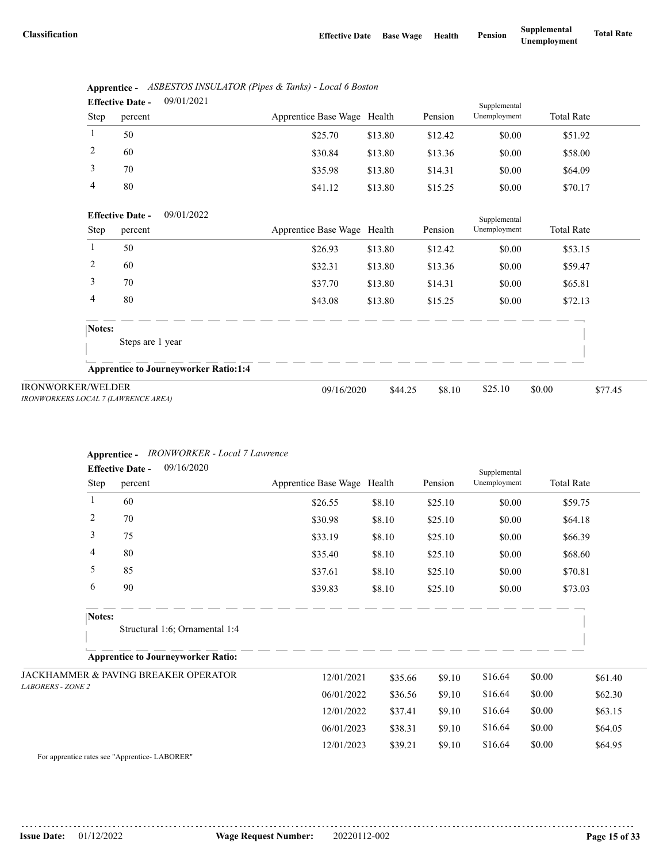|      | <b>Effective Date -</b> | 09/01/2021 |                             |         |         | Supplemental |                   |  |
|------|-------------------------|------------|-----------------------------|---------|---------|--------------|-------------------|--|
| Step | percent                 |            | Apprentice Base Wage Health |         | Pension | Unemployment | <b>Total Rate</b> |  |
|      | 50                      |            | \$25.70                     | \$13.80 | \$12.42 | \$0.00       | \$51.92           |  |
| 2    | 60                      |            | \$30.84                     | \$13.80 | \$13.36 | \$0.00       | \$58.00           |  |
| 3    | 70                      |            | \$35.98                     | \$13.80 | \$14.31 | \$0.00       | \$64.09           |  |
| 4    | 80                      |            | \$41.12                     | \$13.80 | \$15.25 | \$0.00       | \$70.17           |  |

|      | Apprentice - ASBESTOS INSULATOR (Pipes & Tanks) - Local 6 Boston |
|------|------------------------------------------------------------------|
| $ -$ | 001010001                                                        |

|                                                                 | 09/01/2022<br><b>Effective Date -</b>        |                             |         |         | Supplemental |                   |         |
|-----------------------------------------------------------------|----------------------------------------------|-----------------------------|---------|---------|--------------|-------------------|---------|
| Step                                                            | percent                                      | Apprentice Base Wage Health |         | Pension | Unemployment | <b>Total Rate</b> |         |
|                                                                 | 50                                           | \$26.93                     | \$13.80 | \$12.42 | \$0.00       | \$53.15           |         |
| 2                                                               | 60                                           | \$32.31                     | \$13.80 | \$13.36 | \$0.00       | \$59.47           |         |
| 3                                                               | 70                                           | \$37.70                     | \$13.80 | \$14.31 | \$0.00       | \$65.81           |         |
| 4                                                               | 80                                           | \$43.08                     | \$13.80 | \$15.25 | \$0.00       | \$72.13           |         |
| Notes:                                                          |                                              |                             |         |         |              |                   |         |
|                                                                 | Steps are 1 year                             |                             |         |         |              |                   |         |
|                                                                 | <b>Apprentice to Journeyworker Ratio:1:4</b> |                             |         |         |              |                   |         |
| <b>IRONWORKER/WELDER</b><br>IRONWORKERS LOCAL 7 (LAWRENCE AREA) |                                              | 09/16/2020                  | \$44.25 | \$8.10  | \$25.10      | \$0.00            | \$77.45 |

### **Apprentice -** *IRONWORKER - Local 7 Lawrence*

|                          |                | 09/16/2020<br><b>Effective Date -</b>     |                             |         |         | Supplemental |                   |         |
|--------------------------|----------------|-------------------------------------------|-----------------------------|---------|---------|--------------|-------------------|---------|
|                          | Step           | percent                                   | Apprentice Base Wage Health |         | Pension | Unemployment | <b>Total Rate</b> |         |
|                          | 1              | 60                                        | \$26.55                     | \$8.10  | \$25.10 | \$0.00       |                   | \$59.75 |
|                          | $\overline{c}$ | 70                                        | \$30.98                     | \$8.10  | \$25.10 | \$0.00       |                   | \$64.18 |
|                          | 3              | 75                                        | \$33.19                     | \$8.10  | \$25.10 | \$0.00       |                   | \$66.39 |
|                          | 4              | 80                                        | \$35.40                     | \$8.10  | \$25.10 | \$0.00       |                   | \$68.60 |
|                          | 5              | 85                                        | \$37.61                     | \$8.10  | \$25.10 | \$0.00       |                   | \$70.81 |
|                          | 6              | 90                                        | \$39.83                     | \$8.10  | \$25.10 | \$0.00       |                   | \$73.03 |
|                          | Notes:         |                                           |                             |         |         |              |                   |         |
|                          |                | Structural 1:6; Ornamental 1:4            |                             |         |         |              |                   |         |
|                          |                | <b>Apprentice to Journeyworker Ratio:</b> |                             |         |         |              |                   |         |
|                          |                | JACKHAMMER & PAVING BREAKER OPERATOR      | 12/01/2021                  | \$35.66 | \$9.10  | \$16.64      | \$0.00            | \$61.40 |
| <b>LABORERS - ZONE 2</b> |                |                                           | 06/01/2022                  | \$36.56 | \$9.10  | \$16.64      | \$0.00            | \$62.30 |
|                          |                |                                           | 12/01/2022                  | \$37.41 | \$9.10  | \$16.64      | \$0.00            | \$63.15 |
|                          |                |                                           | 06/01/2023                  | \$38.31 | \$9.10  | \$16.64      | \$0.00            | \$64.05 |
|                          |                |                                           | 12/01/2023                  | \$39.21 | \$9.10  | \$16.64      | \$0.00            | \$64.95 |

For apprentice rates see "Apprentice- LABORER"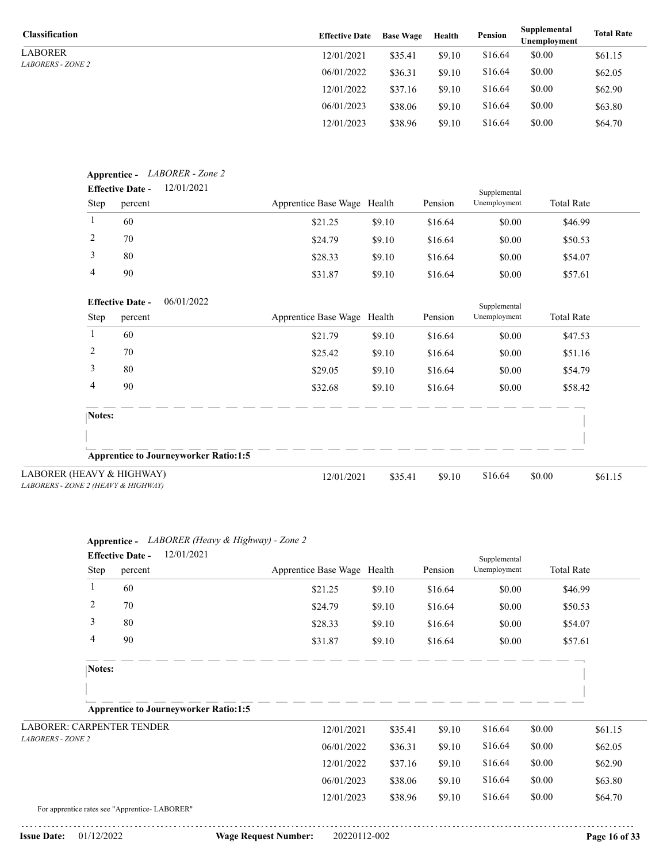LABORER *LABORERS - ZONE 2*

| <b>Classification</b>    | <b>Effective Date</b> | <b>Base Wage</b> | Health | Pension | Supplemental<br>Unemployment | <b>Total Rate</b> |
|--------------------------|-----------------------|------------------|--------|---------|------------------------------|-------------------|
| LABORER                  | 12/01/2021            | \$35.41          | \$9.10 | \$16.64 | \$0.00                       | \$61.15           |
| <i>LABORERS - ZONE 2</i> | 06/01/2022            | \$36.31          | \$9.10 | \$16.64 | \$0.00                       | \$62.05           |
|                          | 12/01/2022            | \$37.16          | \$9.10 | \$16.64 | \$0.00                       | \$62.90           |
|                          | 06/01/2023            | \$38.06          | \$9.10 | \$16.64 | \$0.00                       | \$63.80           |
|                          | 12/01/2023            | \$38.96          | \$9.10 | \$16.64 | \$0.00                       | \$64.70           |

| Step<br>percent<br>1<br>60<br>2<br>70<br>3<br>80<br>4<br>90<br><b>Effective Date -</b><br>Step<br>percent<br>60<br>1<br>2<br>70<br>3<br>80 | 06/01/2022 | Apprentice Base Wage Health<br>\$21.25<br>\$24.79<br>\$28.33<br>\$31.87<br>Apprentice Base Wage Health<br>\$21.79 | \$9.10<br>\$9.10<br>\$9.10<br>\$9.10<br>\$9.10 | Pension<br>\$16.64<br>\$16.64<br>\$16.64<br>\$16.64<br>Pension | Unemployment<br>\$0.00<br>\$0.00<br>\$0.00<br>\$0.00<br>Supplemental<br>Unemployment | <b>Total Rate</b><br>\$46.99<br>\$50.53<br>\$54.07<br>\$57.61<br><b>Total Rate</b> |
|--------------------------------------------------------------------------------------------------------------------------------------------|------------|-------------------------------------------------------------------------------------------------------------------|------------------------------------------------|----------------------------------------------------------------|--------------------------------------------------------------------------------------|------------------------------------------------------------------------------------|
|                                                                                                                                            |            |                                                                                                                   |                                                |                                                                |                                                                                      |                                                                                    |
|                                                                                                                                            |            |                                                                                                                   |                                                |                                                                |                                                                                      |                                                                                    |
|                                                                                                                                            |            |                                                                                                                   |                                                |                                                                |                                                                                      |                                                                                    |
|                                                                                                                                            |            |                                                                                                                   |                                                |                                                                |                                                                                      |                                                                                    |
|                                                                                                                                            |            |                                                                                                                   |                                                |                                                                |                                                                                      |                                                                                    |
|                                                                                                                                            |            |                                                                                                                   |                                                |                                                                |                                                                                      |                                                                                    |
|                                                                                                                                            |            |                                                                                                                   |                                                |                                                                |                                                                                      |                                                                                    |
|                                                                                                                                            |            |                                                                                                                   |                                                | \$16.64                                                        | \$0.00                                                                               | \$47.53                                                                            |
|                                                                                                                                            |            | \$25.42                                                                                                           | \$9.10                                         | \$16.64                                                        | \$0.00                                                                               | \$51.16                                                                            |
|                                                                                                                                            |            | \$29.05                                                                                                           | \$9.10                                         | \$16.64                                                        | \$0.00                                                                               | \$54.79                                                                            |
| 4<br>90                                                                                                                                    |            | \$32.68                                                                                                           | \$9.10                                         | \$16.64                                                        | \$0.00                                                                               | \$58.42                                                                            |
| Notes:                                                                                                                                     |            |                                                                                                                   |                                                |                                                                |                                                                                      |                                                                                    |
|                                                                                                                                            |            |                                                                                                                   |                                                |                                                                |                                                                                      |                                                                                    |
| <b>Apprentice to Journeyworker Ratio:1:5</b>                                                                                               |            |                                                                                                                   |                                                |                                                                |                                                                                      |                                                                                    |

| LABORER (HEAVY & HIGHWAY)           |
|-------------------------------------|
| LABORERS - ZONE 2 (HEAVY & HIGHWAY) |

|                                  |        | Apprentice - LABORER (Heavy & Highway) - Zone 2  |                             |         |         |                              |                   |         |
|----------------------------------|--------|--------------------------------------------------|-----------------------------|---------|---------|------------------------------|-------------------|---------|
|                                  | Step   | 12/01/2021<br><b>Effective Date -</b><br>percent | Apprentice Base Wage Health |         | Pension | Supplemental<br>Unemployment | <b>Total Rate</b> |         |
|                                  | 1      | 60                                               | \$21.25                     | \$9.10  | \$16.64 | \$0.00                       | \$46.99           |         |
|                                  | 2      | 70                                               | \$24.79                     | \$9.10  | \$16.64 | \$0.00                       | \$50.53           |         |
|                                  | 3      | 80                                               | \$28.33                     | \$9.10  | \$16.64 | \$0.00                       | \$54.07           |         |
|                                  | 4      | 90                                               | \$31.87                     | \$9.10  | \$16.64 | \$0.00                       | \$57.61           |         |
|                                  | Notes: |                                                  |                             |         |         |                              |                   |         |
|                                  |        | <b>Apprentice to Journeyworker Ratio:1:5</b>     |                             |         |         |                              |                   |         |
| <b>LABORER: CARPENTER TENDER</b> |        |                                                  | 12/01/2021                  | \$35.41 | \$9.10  | \$16.64                      | \$0.00            | \$61.15 |
| <b>LABORERS - ZONE 2</b>         |        |                                                  | 06/01/2022                  | \$36.31 | \$9.10  | \$16.64                      | \$0.00            | \$62.05 |
|                                  |        |                                                  | 12/01/2022                  | \$37.16 | \$9.10  | \$16.64                      | \$0.00            | \$62.90 |
|                                  |        |                                                  | 06/01/2023                  | \$38.06 | \$9.10  | \$16.64                      | \$0.00            | \$63.80 |
|                                  |        |                                                  | 12/01/2023                  | \$38.96 | \$9.10  | \$16.64                      | \$0.00            | \$64.70 |
|                                  |        | For apprentice rates see "Apprentice-LABORER"    |                             |         |         |                              |                   |         |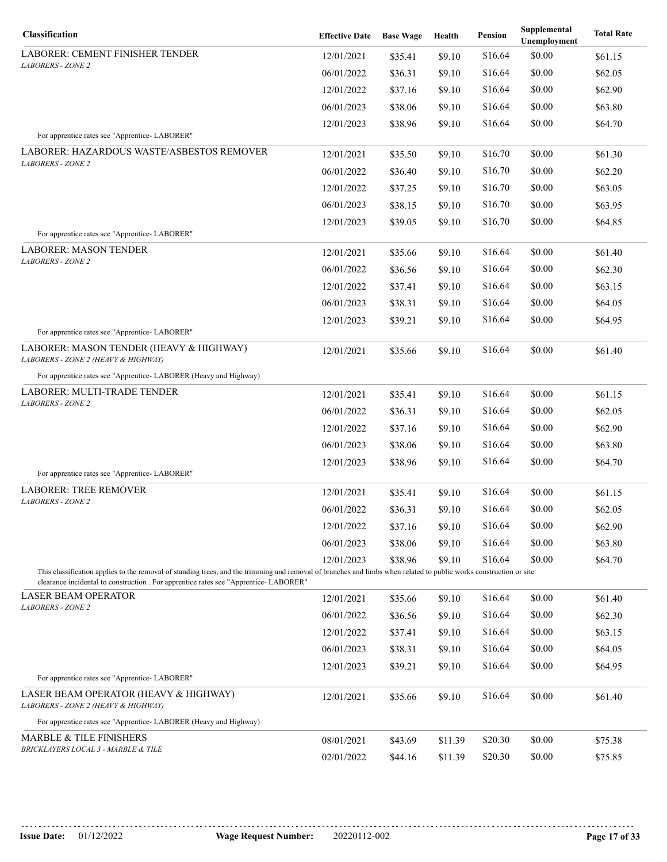| Classification                                                                                                                                                                                                                                            | <b>Effective Date</b> | <b>Base Wage</b> | Health  | Pension            | Supplemental<br>Unemployment | <b>Total Rate</b>  |
|-----------------------------------------------------------------------------------------------------------------------------------------------------------------------------------------------------------------------------------------------------------|-----------------------|------------------|---------|--------------------|------------------------------|--------------------|
| <b>LABORER: CEMENT FINISHER TENDER</b>                                                                                                                                                                                                                    | 12/01/2021            | \$35.41          | \$9.10  | \$16.64            | \$0.00                       | \$61.15            |
| <b>LABORERS - ZONE 2</b>                                                                                                                                                                                                                                  | 06/01/2022            | \$36.31          | \$9.10  | \$16.64            | \$0.00                       | \$62.05            |
|                                                                                                                                                                                                                                                           | 12/01/2022            | \$37.16          | \$9.10  | \$16.64            | \$0.00                       | \$62.90            |
|                                                                                                                                                                                                                                                           | 06/01/2023            | \$38.06          | \$9.10  | \$16.64            | \$0.00                       | \$63.80            |
| For apprentice rates see "Apprentice- LABORER"                                                                                                                                                                                                            | 12/01/2023            | \$38.96          | \$9.10  | \$16.64            | \$0.00                       | \$64.70            |
| LABORER: HAZARDOUS WASTE/ASBESTOS REMOVER                                                                                                                                                                                                                 |                       |                  |         |                    |                              |                    |
| <b>LABORERS - ZONE 2</b>                                                                                                                                                                                                                                  | 12/01/2021            | \$35.50          | \$9.10  | \$16.70<br>\$16.70 | \$0.00                       | \$61.30<br>\$62.20 |
|                                                                                                                                                                                                                                                           | 06/01/2022            | \$36.40          | \$9.10  | \$16.70            | \$0.00<br>\$0.00             |                    |
|                                                                                                                                                                                                                                                           | 12/01/2022            | \$37.25          | \$9.10  |                    |                              | \$63.05            |
|                                                                                                                                                                                                                                                           | 06/01/2023            | \$38.15          | \$9.10  | \$16.70            | \$0.00                       | \$63.95            |
| For apprentice rates see "Apprentice-LABORER"                                                                                                                                                                                                             | 12/01/2023            | \$39.05          | \$9.10  | \$16.70            | \$0.00                       | \$64.85            |
| <b>LABORER: MASON TENDER</b>                                                                                                                                                                                                                              | 12/01/2021            | \$35.66          | \$9.10  | \$16.64            | \$0.00                       | \$61.40            |
| <b>LABORERS - ZONE 2</b>                                                                                                                                                                                                                                  | 06/01/2022            | \$36.56          | \$9.10  | \$16.64            | \$0.00                       | \$62.30            |
|                                                                                                                                                                                                                                                           | 12/01/2022            | \$37.41          | \$9.10  | \$16.64            | \$0.00                       | \$63.15            |
|                                                                                                                                                                                                                                                           | 06/01/2023            | \$38.31          | \$9.10  | \$16.64            | \$0.00                       | \$64.05            |
|                                                                                                                                                                                                                                                           | 12/01/2023            | \$39.21          | \$9.10  | \$16.64            | \$0.00                       | \$64.95            |
| For apprentice rates see "Apprentice- LABORER"                                                                                                                                                                                                            |                       |                  |         |                    |                              |                    |
| LABORER: MASON TENDER (HEAVY & HIGHWAY)<br>LABORERS - ZONE 2 (HEAVY & HIGHWAY)                                                                                                                                                                            | 12/01/2021            | \$35.66          | \$9.10  | \$16.64            | \$0.00                       | \$61.40            |
| For apprentice rates see "Apprentice- LABORER (Heavy and Highway)                                                                                                                                                                                         |                       |                  |         |                    |                              |                    |
| LABORER: MULTI-TRADE TENDER                                                                                                                                                                                                                               | 12/01/2021            | \$35.41          | \$9.10  | \$16.64            | \$0.00                       | \$61.15            |
| <b>LABORERS - ZONE 2</b>                                                                                                                                                                                                                                  | 06/01/2022            | \$36.31          | \$9.10  | \$16.64            | \$0.00                       | \$62.05            |
|                                                                                                                                                                                                                                                           | 12/01/2022            | \$37.16          | \$9.10  | \$16.64            | \$0.00                       | \$62.90            |
|                                                                                                                                                                                                                                                           | 06/01/2023            | \$38.06          | \$9.10  | \$16.64            | \$0.00                       | \$63.80            |
|                                                                                                                                                                                                                                                           | 12/01/2023            | \$38.96          | \$9.10  | \$16.64            | \$0.00                       | \$64.70            |
| For apprentice rates see "Apprentice-LABORER"                                                                                                                                                                                                             |                       |                  |         |                    |                              |                    |
| <b>LABORER: TREE REMOVER</b><br><b>LABORERS - ZONE 2</b>                                                                                                                                                                                                  | 12/01/2021            | \$35.41          | \$9.10  | \$16.64            | \$0.00                       | \$61.15            |
|                                                                                                                                                                                                                                                           | 06/01/2022            | \$36.31          | \$9.10  | \$16.64            | \$0.00                       | \$62.05            |
|                                                                                                                                                                                                                                                           | 12/01/2022            | \$37.16          | \$9.10  | \$16.64            | \$0.00                       | \$62.90            |
|                                                                                                                                                                                                                                                           | 06/01/2023            | \$38.06          | \$9.10  | \$16.64            | \$0.00                       | \$63.80            |
|                                                                                                                                                                                                                                                           | 12/01/2023            | \$38.96          | \$9.10  | \$16.64            | \$0.00                       | \$64.70            |
| This classification applies to the removal of standing trees, and the trimming and removal of branches and limbs when related to public works construction or site<br>clearance incidental to construction. For apprentice rates see "Apprentice-LABORER" |                       |                  |         |                    |                              |                    |
| <b>LASER BEAM OPERATOR</b>                                                                                                                                                                                                                                | 12/01/2021            | \$35.66          | \$9.10  | \$16.64            | \$0.00                       | \$61.40            |
| <b>LABORERS - ZONE 2</b>                                                                                                                                                                                                                                  | 06/01/2022            | \$36.56          | \$9.10  | \$16.64            | \$0.00                       | \$62.30            |
|                                                                                                                                                                                                                                                           | 12/01/2022            | \$37.41          | \$9.10  | \$16.64            | \$0.00                       | \$63.15            |
|                                                                                                                                                                                                                                                           | 06/01/2023            | \$38.31          | \$9.10  | \$16.64            | \$0.00                       | \$64.05            |
|                                                                                                                                                                                                                                                           | 12/01/2023            | \$39.21          | \$9.10  | \$16.64            | \$0.00                       | \$64.95            |
| For apprentice rates see "Apprentice- LABORER"                                                                                                                                                                                                            |                       |                  |         |                    |                              |                    |
| LASER BEAM OPERATOR (HEAVY & HIGHWAY)<br>LABORERS - ZONE 2 (HEAVY & HIGHWAY)                                                                                                                                                                              | 12/01/2021            | \$35.66          | \$9.10  | \$16.64            | \$0.00                       | \$61.40            |
| For apprentice rates see "Apprentice- LABORER (Heavy and Highway)                                                                                                                                                                                         |                       |                  |         |                    |                              |                    |
| <b>MARBLE &amp; TILE FINISHERS</b>                                                                                                                                                                                                                        | 08/01/2021            | \$43.69          | \$11.39 | \$20.30            | \$0.00                       | \$75.38            |
| BRICKLAYERS LOCAL 3 - MARBLE & TILE                                                                                                                                                                                                                       | 02/01/2022            | \$44.16          | \$11.39 | \$20.30            | \$0.00                       | \$75.85            |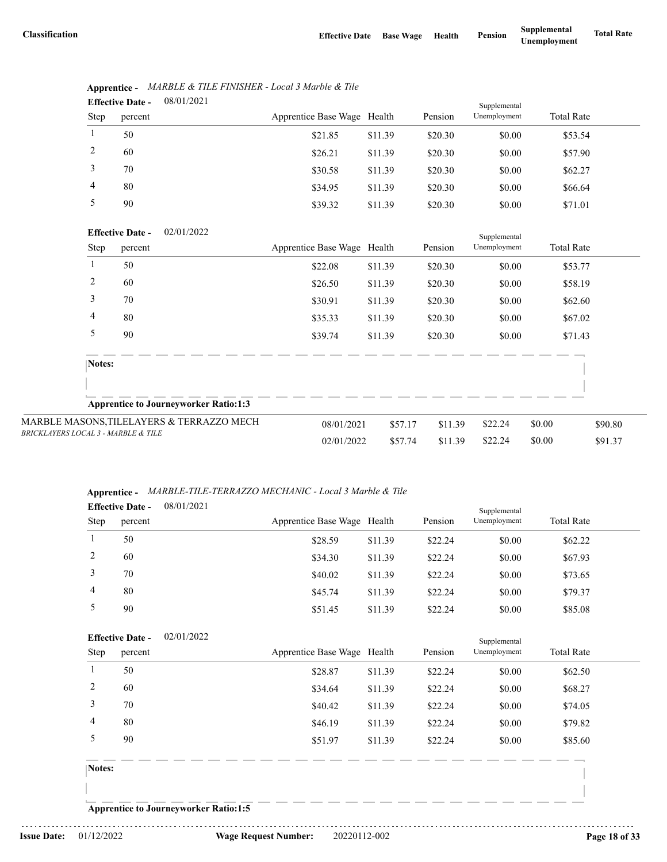|      | <b>Effective Date -</b> | 08/01/2021 |                             |         |         | Supplemental |                   |  |
|------|-------------------------|------------|-----------------------------|---------|---------|--------------|-------------------|--|
| Step | percent                 |            | Apprentice Base Wage Health |         | Pension | Unemployment | <b>Total Rate</b> |  |
|      | 50                      |            | \$21.85                     | \$11.39 | \$20.30 | \$0.00       | \$53.54           |  |
| 2    | 60                      |            | \$26.21                     | \$11.39 | \$20.30 | \$0.00       | \$57.90           |  |
| 3    | 70                      |            | \$30.58                     | \$11.39 | \$20.30 | \$0.00       | \$62.27           |  |
| 4    | 80                      |            | \$34.95                     | \$11.39 | \$20.30 | \$0.00       | \$66.64           |  |
| 5    | 90                      |            | \$39.32                     | \$11.39 | \$20.30 | \$0.00       | \$71.01           |  |

# **Apprentice -** *MARBLE & TILE FINISHER - Local 3 Marble & Tile*

| <b>Effective Date -</b> | 02/01/2022 |
|-------------------------|------------|
|                         |            |

|                                                | <b>Effective Date -</b> | 02/01/2022                                   | Supplemental                |         |         |              |                   |         |
|------------------------------------------------|-------------------------|----------------------------------------------|-----------------------------|---------|---------|--------------|-------------------|---------|
| Step                                           | percent                 |                                              | Apprentice Base Wage Health |         | Pension | Unemployment | <b>Total Rate</b> |         |
|                                                | 50                      |                                              | \$22.08                     | \$11.39 | \$20.30 | \$0.00       | \$53.77           |         |
| 2                                              | 60                      |                                              | \$26.50                     | \$11.39 | \$20.30 | \$0.00       | \$58.19           |         |
| 3                                              | 70                      |                                              | \$30.91                     | \$11.39 | \$20.30 | \$0.00       | \$62.60           |         |
| 4                                              | 80                      |                                              | \$35.33                     | \$11.39 | \$20.30 | \$0.00       | \$67.02           |         |
| 5                                              | 90                      |                                              | \$39.74                     | \$11.39 | \$20.30 | \$0.00       | \$71.43           |         |
| Notes:                                         |                         |                                              |                             |         |         |              |                   |         |
|                                                |                         | <b>Apprentice to Journeyworker Ratio:1:3</b> |                             |         |         |              |                   |         |
|                                                |                         | MARBLE MASONS, TILELAYERS & TERRAZZO MECH    | 08/01/2021                  | \$57.17 | \$11.39 | \$22.24      | \$0.00            | \$90.80 |
| <b>BRICKLAYERS LOCAL 3 - MARBLE &amp; TILE</b> |                         |                                              | 02/01/2022                  | \$57.74 | \$11.39 | \$22.24      | \$0.00            | \$91.37 |

#### **Apprentice -** *MARBLE-TILE-TERRAZZO MECHANIC - Local 3 Marble & Tile*

| <b>Effective Date -</b> |         | 08/01/2021 |                             |         |         | Supplemental |                   |  |
|-------------------------|---------|------------|-----------------------------|---------|---------|--------------|-------------------|--|
| <b>Step</b>             | percent |            | Apprentice Base Wage Health |         | Pension | Unemployment | <b>Total Rate</b> |  |
|                         | 50      |            | \$28.59                     | \$11.39 | \$22.24 | \$0.00       | \$62.22           |  |
|                         | 60      |            | \$34.30                     | \$11.39 | \$22.24 | \$0.00       | \$67.93           |  |
|                         | 70      |            | \$40.02                     | \$11.39 | \$22.24 | \$0.00       | \$73.65           |  |
| 4                       | 80      |            | \$45.74                     | \$11.39 | \$22.24 | \$0.00       | \$79.37           |  |
|                         | 90      |            | \$51.45                     | \$11.39 | \$22.24 | \$0.00       | \$85.08           |  |

|                | <b>Effective Date -</b> | 02/01/2022 |                             |         |         | Supplemental |                   |
|----------------|-------------------------|------------|-----------------------------|---------|---------|--------------|-------------------|
| Step           | percent                 |            | Apprentice Base Wage Health |         | Pension | Unemployment | <b>Total Rate</b> |
| 1              | 50                      |            | \$28.87                     | \$11.39 | \$22.24 | \$0.00       | \$62.50           |
| 2              | 60                      |            | \$34.64                     | \$11.39 | \$22.24 | \$0.00       | \$68.27           |
| $\overline{3}$ | 70                      |            | \$40.42                     | \$11.39 | \$22.24 | \$0.00       | \$74.05           |
| $\overline{4}$ | 80                      |            | \$46.19                     | \$11.39 | \$22.24 | \$0.00       | \$79.82           |
| 5              | 90                      |            | \$51.97                     | \$11.39 | \$22.24 | \$0.00       | \$85.60           |
| Notes:         |                         |            |                             |         |         |              |                   |
|                |                         |            |                             |         |         |              |                   |

**Apprentice to Journeyworker Ratio:1:5**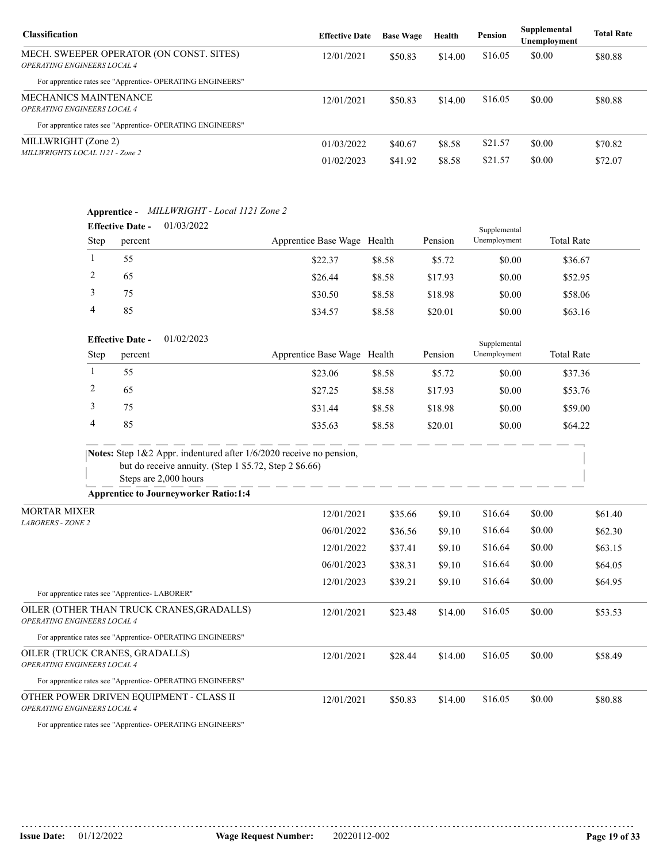| <b>Classification</b>                                                                 | <b>Effective Date</b> | <b>Base Wage</b> | Health  | <b>Pension</b> | Supplemental<br>Unemployment | <b>Total Rate</b> |
|---------------------------------------------------------------------------------------|-----------------------|------------------|---------|----------------|------------------------------|-------------------|
| MECH. SWEEPER OPERATOR (ON CONST. SITES)<br><i><b>OPERATING ENGINEERS LOCAL 4</b></i> | 12/01/2021            | \$50.83          | \$14.00 | \$16.05        | \$0.00                       | \$80.88           |
| For apprentice rates see "Apprentice-OPERATING ENGINEERS"                             |                       |                  |         |                |                              |                   |
| MECHANICS MAINTENANCE<br><i><b>OPERATING ENGINEERS LOCAL 4</b></i>                    | 12/01/2021            | \$50.83          | \$14.00 | \$16.05        | \$0.00                       | \$80.88           |
| For apprentice rates see "Apprentice-OPERATING ENGINEERS"                             |                       |                  |         |                |                              |                   |
| MILLWRIGHT (Zone 2)<br>MILLWRIGHTS LOCAL 1121 - Zone 2                                | 01/03/2022            | \$40.67          | \$8.58  | \$21.57        | \$0.00                       | \$70.82           |
|                                                                                       | 01/02/2023            | \$41.92          | \$8.58  | \$21.57        | \$0.00                       | \$72.07           |

## **Apprentice -** *MILLWRIGHT - Local 1121 Zone 2*

| <b>Effective Date -</b> |         | 01/03/2022 |                             |        |         | Supplemental |                   |  |  |
|-------------------------|---------|------------|-----------------------------|--------|---------|--------------|-------------------|--|--|
| <b>Step</b>             | percent |            | Apprentice Base Wage Health |        | Pension | Unemployment | <b>Total Rate</b> |  |  |
|                         | 55      |            | \$22.37                     | \$8.58 | \$5.72  | \$0.00       | \$36.67           |  |  |
|                         | 65      |            | \$26.44                     | \$8.58 | \$17.93 | \$0.00       | \$52.95           |  |  |
|                         | 75      |            | \$30.50                     | \$8.58 | \$18.98 | \$0.00       | \$58.06           |  |  |
| 4                       | 85      |            | \$34.57                     | \$8.58 | \$20.01 | \$0.00       | \$63.16           |  |  |

#### 01/02/2023 **Effective Date -**

|             | <b>Effective Date -</b> | 01/02/2023 | Supplemental                |        |         |              |                   |  |  |
|-------------|-------------------------|------------|-----------------------------|--------|---------|--------------|-------------------|--|--|
| <b>Step</b> | percent                 |            | Apprentice Base Wage Health |        | Pension | Unemployment | <b>Total Rate</b> |  |  |
|             | 55                      |            | \$23.06                     | \$8.58 | \$5.72  | \$0.00       | \$37.36           |  |  |
|             | 65                      |            | \$27.25                     | \$8.58 | \$17.93 | \$0.00       | \$53.76           |  |  |
|             | 75                      |            | \$31.44                     | \$8.58 | \$18.98 | \$0.00       | \$59.00           |  |  |
|             | 85                      |            | \$35.63                     | \$8.58 | \$20.01 | \$0.00       | \$64.22           |  |  |

| <b>Notes:</b> Step $1\&2$ Appr. indentured after $1/6/2020$ receive no pension, |
|---------------------------------------------------------------------------------|
| but do receive annuity. (Step 1 $$5.72$ , Step 2 $$6.66$ )                      |
| Steps are 2,000 hours                                                           |

**Apprentice to Journeyworker Ratio:1:4**

| <b>MORTAR MIXER</b>                                                             | 12/01/2021 | \$35.66 | \$9.10  | \$16.64 | \$0.00 | \$61.40 |
|---------------------------------------------------------------------------------|------------|---------|---------|---------|--------|---------|
| <b>LABORERS - ZONE 2</b>                                                        | 06/01/2022 | \$36.56 | \$9.10  | \$16.64 | \$0.00 | \$62.30 |
|                                                                                 | 12/01/2022 | \$37.41 | \$9.10  | \$16.64 | \$0.00 | \$63.15 |
|                                                                                 | 06/01/2023 | \$38.31 | \$9.10  | \$16.64 | \$0.00 | \$64.05 |
|                                                                                 | 12/01/2023 | \$39.21 | \$9.10  | \$16.64 | \$0.00 | \$64.95 |
| For apprentice rates see "Apprentice-LABORER"                                   |            |         |         |         |        |         |
| OILER (OTHER THAN TRUCK CRANES, GRADALLS)<br><b>OPERATING ENGINEERS LOCAL 4</b> | 12/01/2021 | \$23.48 | \$14.00 | \$16.05 | \$0.00 | \$53.53 |
| For apprentice rates see "Apprentice- OPERATING ENGINEERS"                      |            |         |         |         |        |         |
| OILER (TRUCK CRANES, GRADALLS)<br><b>OPERATING ENGINEERS LOCAL 4</b>            | 12/01/2021 | \$28.44 | \$14.00 | \$16.05 | \$0.00 | \$58.49 |
| For apprentice rates see "Apprentice- OPERATING ENGINEERS"                      |            |         |         |         |        |         |
| OTHER POWER DRIVEN EQUIPMENT - CLASS II<br><b>OPERATING ENGINEERS LOCAL 4</b>   | 12/01/2021 | \$50.83 | \$14.00 | \$16.05 | \$0.00 | \$80.88 |

For apprentice rates see "Apprentice- OPERATING ENGINEERS"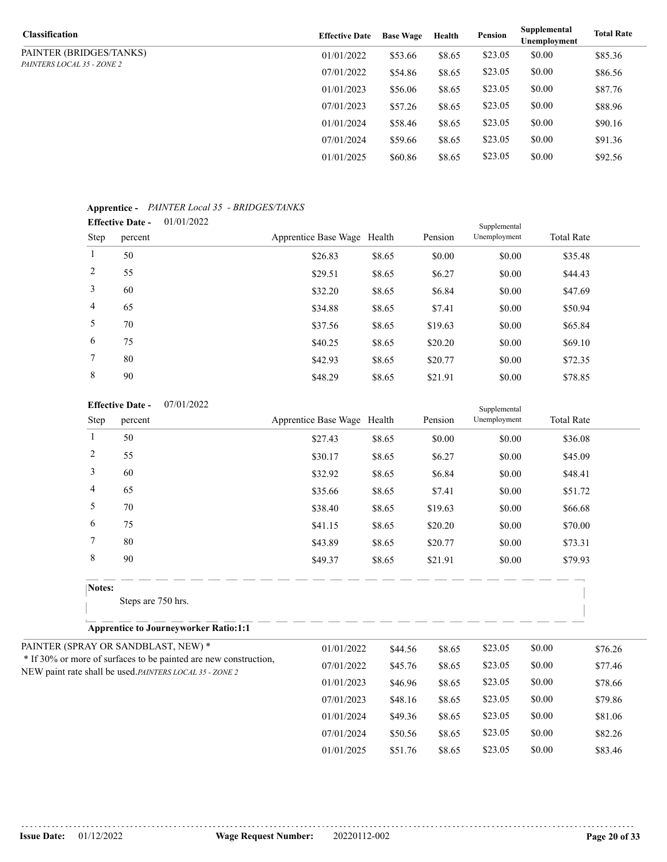| Classification                    | <b>Effective Date</b> | <b>Base Wage</b> | Health | Pension | Supplemental<br>Unemployment | <b>Total Rate</b> |
|-----------------------------------|-----------------------|------------------|--------|---------|------------------------------|-------------------|
| PAINTER (BRIDGES/TANKS)           | 01/01/2022            | \$53.66          | \$8.65 | \$23.05 | \$0.00                       | \$85.36           |
| <i>PAINTERS LOCAL 35 - ZONE 2</i> | 07/01/2022            | \$54.86          | \$8.65 | \$23.05 | \$0.00                       | \$86.56           |
|                                   | 01/01/2023            | \$56.06          | \$8.65 | \$23.05 | \$0.00                       | \$87.76           |
|                                   | 07/01/2023            | \$57.26          | \$8.65 | \$23.05 | \$0.00                       | \$88.96           |
|                                   | 01/01/2024            | \$58.46          | \$8.65 | \$23.05 | \$0.00                       | \$90.16           |
|                                   | 07/01/2024            | \$59.66          | \$8.65 | \$23.05 | \$0.00                       | \$91.36           |
|                                   | 01/01/2025            | \$60.86          | \$8.65 | \$23.05 | \$0.00                       | \$92.56           |

#### **Apprentice -** *PAINTER Local 35 - BRIDGES/TANKS*

|                 | <b>Effective Date -</b> | 01/01/2022 |                             |        |         | Supplemental |                   |
|-----------------|-------------------------|------------|-----------------------------|--------|---------|--------------|-------------------|
| Step            | percent                 |            | Apprentice Base Wage Health |        | Pension | Unemployment | <b>Total Rate</b> |
| 1               | 50                      |            | \$26.83                     | \$8.65 | \$0.00  | \$0.00       | \$35.48           |
| 2               | 55                      |            | \$29.51                     | \$8.65 | \$6.27  | \$0.00       | \$44.43           |
| 3               | 60                      |            | \$32.20                     | \$8.65 | \$6.84  | \$0.00       | \$47.69           |
| $\overline{4}$  | 65                      |            | \$34.88                     | \$8.65 | \$7.41  | \$0.00       | \$50.94           |
| 5               | 70                      |            | \$37.56                     | \$8.65 | \$19.63 | \$0.00       | \$65.84           |
| 6               | 75                      |            | \$40.25                     | \$8.65 | \$20.20 | \$0.00       | \$69.10           |
| $7\phantom{.0}$ | 80                      |            | \$42.93                     | \$8.65 | \$20.77 | \$0.00       | \$72.35           |
| 8               | 90                      |            | \$48.29                     | \$8.65 | \$21.91 | \$0.00       | \$78.85           |

#### 07/01/2022 **Effective Date -**

|                                                          | 07/01/2022<br><b>Effective Date -</b>                            |                             |         |         |              |        |                   |
|----------------------------------------------------------|------------------------------------------------------------------|-----------------------------|---------|---------|--------------|--------|-------------------|
| Step                                                     | percent                                                          | Apprentice Base Wage Health |         | Pension | Unemployment |        | <b>Total Rate</b> |
| $\mathbf{1}$                                             | 50                                                               | \$27.43                     | \$8.65  | \$0.00  | \$0.00       |        | \$36.08           |
| $\overline{c}$                                           | 55                                                               | \$30.17                     | \$8.65  | \$6.27  | \$0.00       |        | \$45.09           |
| 3                                                        | 60                                                               | \$32.92                     | \$8.65  | \$6.84  | \$0.00       |        | \$48.41           |
| 4                                                        | 65                                                               | \$35.66                     | \$8.65  | \$7.41  | \$0.00       |        | \$51.72           |
| 5                                                        | 70                                                               | \$38.40                     | \$8.65  | \$19.63 | \$0.00       |        | \$66.68           |
| 6                                                        | 75                                                               | \$41.15                     | \$8.65  | \$20.20 | \$0.00       |        | \$70.00           |
| $\overline{7}$                                           | 80                                                               | \$43.89                     | \$8.65  | \$20.77 | \$0.00       |        | \$73.31           |
| 8                                                        | 90                                                               | \$49.37                     | \$8.65  | \$21.91 | \$0.00       |        | \$79.93           |
| Notes:                                                   |                                                                  |                             |         |         |              |        |                   |
|                                                          | Steps are 750 hrs.                                               |                             |         |         |              |        |                   |
|                                                          | <b>Apprentice to Journeyworker Ratio:1:1</b>                     |                             |         |         |              |        |                   |
|                                                          | PAINTER (SPRAY OR SANDBLAST, NEW) *                              | 01/01/2022                  | \$44.56 | \$8.65  | \$23.05      | \$0.00 | \$76.26           |
|                                                          | * If 30% or more of surfaces to be painted are new construction, | 07/01/2022                  | \$45.76 | \$8.65  | \$23.05      | \$0.00 | \$77.46           |
| NEW paint rate shall be used. PAINTERS LOCAL 35 - ZONE 2 |                                                                  | 01/01/2023                  | \$46.96 | \$8.65  | \$23.05      | \$0.00 | \$78.66           |
|                                                          |                                                                  | 07/01/2023                  | \$48.16 | \$8.65  | \$23.05      | \$0.00 | \$79.86           |
|                                                          |                                                                  | 01/01/2024                  | \$49.36 | \$8.65  | \$23.05      | \$0.00 | \$81.06           |
|                                                          |                                                                  | 07/01/2024                  | \$50.56 | \$8.65  | \$23.05      | \$0.00 | \$82.26           |

01/01/2025 \$51.76 \$8.65 \$23.05 \$0.00 \$83.46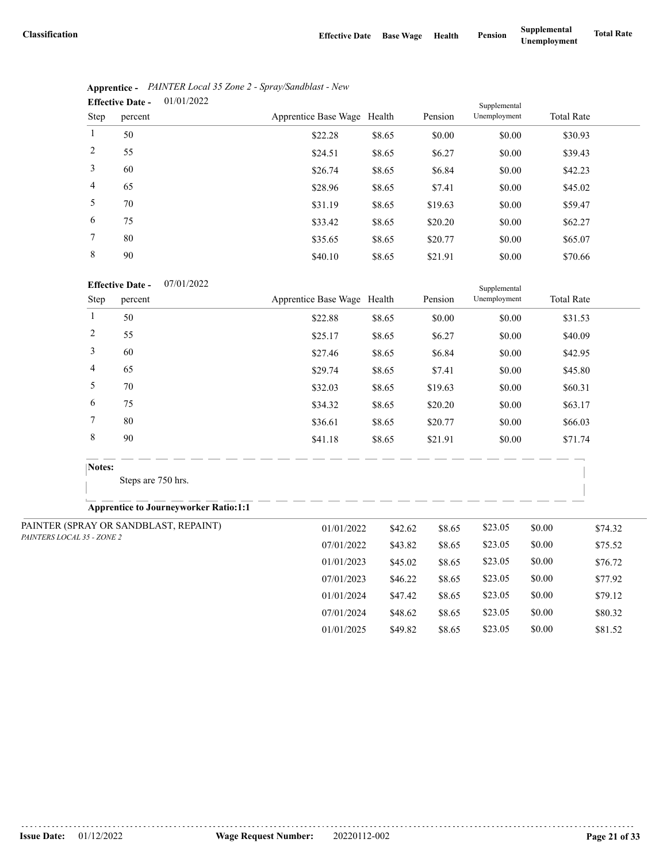07/01/2024 \$48.62 \$8.65 \$23.05 \$0.00 \$80.32 01/01/2025 \$49.82 \$8.65 \$23.05 \$0.00 \$81.52

|                | 01/01/2022<br><b>Effective Date -</b> |                             |        |         | Supplemental |                   |  |
|----------------|---------------------------------------|-----------------------------|--------|---------|--------------|-------------------|--|
| Step           | percent                               | Apprentice Base Wage Health |        | Pension | Unemployment | <b>Total Rate</b> |  |
| 1              | 50                                    | \$22.28                     | \$8.65 | \$0.00  | \$0.00       | \$30.93           |  |
| 2              | 55                                    | \$24.51                     | \$8.65 | \$6.27  | \$0.00       | \$39.43           |  |
| 3              | 60                                    | \$26.74                     | \$8.65 | \$6.84  | \$0.00       | \$42.23           |  |
| $\overline{4}$ | 65                                    | \$28.96                     | \$8.65 | \$7.41  | \$0.00       | \$45.02           |  |
| 5              | 70                                    | \$31.19                     | \$8.65 | \$19.63 | \$0.00       | \$59.47           |  |
| 6              | 75                                    | \$33.42                     | \$8.65 | \$20.20 | \$0.00       | \$62.27           |  |
| 7              | 80                                    | \$35.65                     | \$8.65 | \$20.77 | \$0.00       | \$65.07           |  |
| 8              | 90                                    | \$40.10                     | \$8.65 | \$21.91 | \$0.00       | \$70.66           |  |

| Apprentice - PAINTER Local 35 Zone 2 - Spray/Sandblast - New |
|--------------------------------------------------------------|
| $\mathbf{Fff}_0$ otivo Dato $01/01/2022$                     |

#### 07/01/2022 **Effective Date -**

|                            | 07/01/2022<br><b>Effective Date -</b>        |                             |         | Supplemental |              |        |                   |
|----------------------------|----------------------------------------------|-----------------------------|---------|--------------|--------------|--------|-------------------|
| Step                       | percent                                      | Apprentice Base Wage Health |         | Pension      | Unemployment |        | <b>Total Rate</b> |
| 1                          | 50                                           | \$22.88                     | \$8.65  | \$0.00       | \$0.00       |        | \$31.53           |
| 2                          | 55                                           | \$25.17                     | \$8.65  | \$6.27       | \$0.00       |        | \$40.09           |
| 3                          | 60                                           | \$27.46                     | \$8.65  | \$6.84       | \$0.00       |        | \$42.95           |
| 4                          | 65                                           | \$29.74                     | \$8.65  | \$7.41       | \$0.00       |        | \$45.80           |
| 5                          | 70                                           | \$32.03                     | \$8.65  | \$19.63      | \$0.00       |        | \$60.31           |
| 6                          | 75                                           | \$34.32                     | \$8.65  | \$20.20      | \$0.00       |        | \$63.17           |
| 7                          | 80                                           | \$36.61                     | \$8.65  | \$20.77      | \$0.00       |        | \$66.03           |
| $\,$ 8 $\,$                | 90                                           | \$41.18                     | \$8.65  | \$21.91      | \$0.00       |        | \$71.74           |
|                            | Notes:                                       |                             |         |              |              |        |                   |
|                            | Steps are 750 hrs.                           |                             |         |              |              |        |                   |
|                            | <b>Apprentice to Journeyworker Ratio:1:1</b> |                             |         |              |              |        |                   |
|                            | PAINTER (SPRAY OR SANDBLAST, REPAINT)        | 01/01/2022                  | \$42.62 | \$8.65       | \$23.05      | \$0.00 | \$74.32           |
| PAINTERS LOCAL 35 - ZONE 2 |                                              | 07/01/2022                  | \$43.82 | \$8.65       | \$23.05      | \$0.00 | \$75.52           |
|                            |                                              | 01/01/2023                  | \$45.02 | \$8.65       | \$23.05      | \$0.00 | \$76.72           |
|                            |                                              | 07/01/2023                  | \$46.22 | \$8.65       | \$23.05      | \$0.00 | \$77.92           |
|                            |                                              | 01/01/2024                  | \$47.42 | \$8.65       | \$23.05      | \$0.00 | \$79.12           |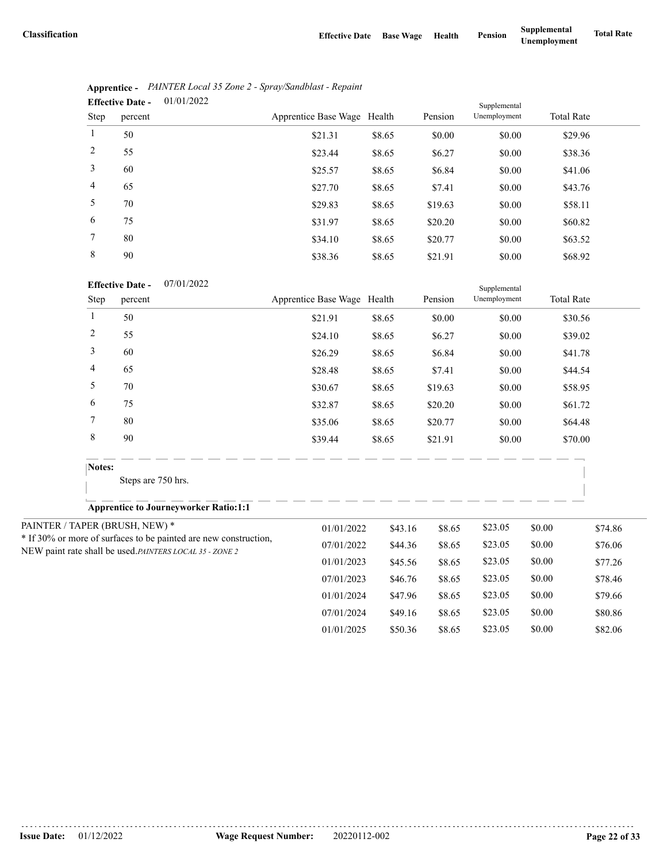|                | 01/01/2022<br><b>Effective Date -</b> |                             |        |         | Supplemental |                   |  |
|----------------|---------------------------------------|-----------------------------|--------|---------|--------------|-------------------|--|
| Step           | percent                               | Apprentice Base Wage Health |        | Pension | Unemployment | <b>Total Rate</b> |  |
| 1              | 50                                    | \$21.31                     | \$8.65 | \$0.00  | \$0.00       | \$29.96           |  |
| 2              | 55                                    | \$23.44                     | \$8.65 | \$6.27  | \$0.00       | \$38.36           |  |
| 3              | 60                                    | \$25.57                     | \$8.65 | \$6.84  | \$0.00       | \$41.06           |  |
| $\overline{4}$ | 65                                    | \$27.70                     | \$8.65 | \$7.41  | \$0.00       | \$43.76           |  |
| 5              | 70                                    | \$29.83                     | \$8.65 | \$19.63 | \$0.00       | \$58.11           |  |
| 6              | 75                                    | \$31.97                     | \$8.65 | \$20.20 | \$0.00       | \$60.82           |  |
| 7              | 80                                    | \$34.10                     | \$8.65 | \$20.77 | \$0.00       | \$63.52           |  |
| 8              | 90                                    | \$38.36                     | \$8.65 | \$21.91 | \$0.00       | \$68.92           |  |

|                               | Apprentice - PAINTER Local 35 Zone 2 - Spray/Sandblast - Repaint |
|-------------------------------|------------------------------------------------------------------|
| Effective Date $-$ 01/01/2022 |                                                                  |

| 07/01/2022 |
|------------|
|            |

|                | <b>Effective Date -</b><br>07/01/2022                            |                             |         |         | Supplemental |        |                   |
|----------------|------------------------------------------------------------------|-----------------------------|---------|---------|--------------|--------|-------------------|
| Step           | percent                                                          | Apprentice Base Wage Health |         | Pension | Unemployment |        | <b>Total Rate</b> |
| $\mathbf{1}$   | 50                                                               | \$21.91                     | \$8.65  | \$0.00  | \$0.00       |        | \$30.56           |
| $\overline{c}$ | 55                                                               | \$24.10                     | \$8.65  | \$6.27  | \$0.00       |        | \$39.02           |
| 3              | 60                                                               | \$26.29                     | \$8.65  | \$6.84  | \$0.00       |        | \$41.78           |
| 4              | 65                                                               | \$28.48                     | \$8.65  | \$7.41  | \$0.00       |        | \$44.54           |
| 5              | 70                                                               | \$30.67                     | \$8.65  | \$19.63 | \$0.00       |        | \$58.95           |
| 6              | 75                                                               | \$32.87                     | \$8.65  | \$20.20 | \$0.00       |        | \$61.72           |
| 7              | 80                                                               | \$35.06                     | \$8.65  | \$20.77 | \$0.00       |        | \$64.48           |
| $\,8\,$        | 90                                                               | \$39.44                     | \$8.65  | \$21.91 | \$0.00       |        | \$70.00           |
| Notes:         |                                                                  |                             |         |         |              |        |                   |
|                | Steps are 750 hrs.                                               |                             |         |         |              |        |                   |
|                | <b>Apprentice to Journeyworker Ratio:1:1</b>                     |                             |         |         |              |        |                   |
|                | PAINTER / TAPER (BRUSH, NEW) *                                   | 01/01/2022                  | \$43.16 | \$8.65  | \$23.05      | \$0.00 | \$74.86           |
|                | * If 30% or more of surfaces to be painted are new construction, | 07/01/2022                  | \$44.36 | \$8.65  | \$23.05      | \$0.00 | \$76.06           |
|                | NEW paint rate shall be used.PAINTERS LOCAL 35 - ZONE 2          | 01/01/2023                  | \$45.56 | \$8.65  | \$23.05      | \$0.00 | \$77.26           |
|                |                                                                  | 07/01/2023                  | \$46.76 | \$8.65  | \$23.05      | \$0.00 | \$78.46           |
|                |                                                                  | 01/01/2024                  | \$47.96 | \$8.65  | \$23.05      | \$0.00 | \$79.66           |
|                |                                                                  | 07/01/2024                  | \$49.16 | \$8.65  | \$23.05      | \$0.00 | \$80.86           |
|                |                                                                  | 01/01/2025                  | \$50.36 | \$8.65  | \$23.05      | \$0.00 | \$82.06           |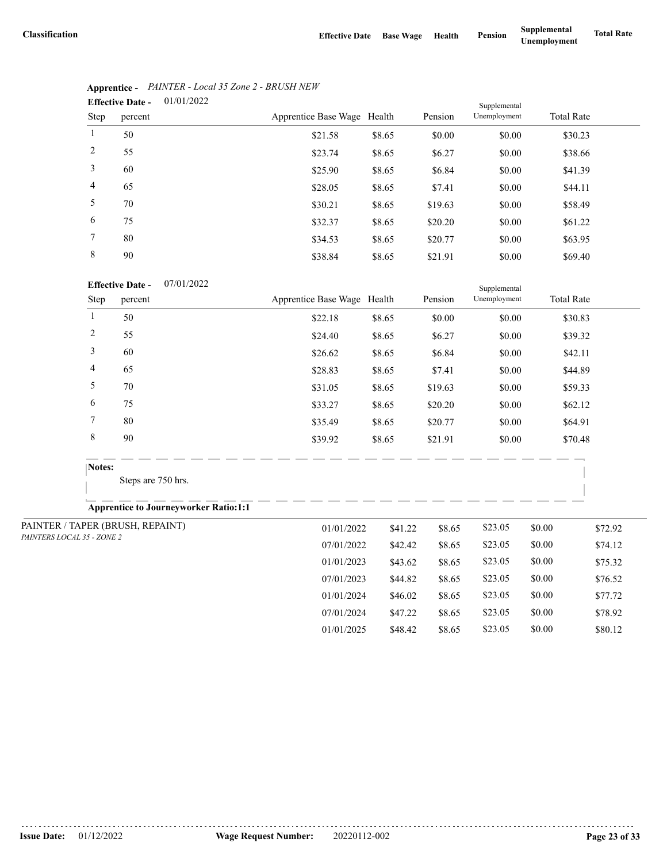07/01/2024 \$47.22 \$8.65 \$23.05 \$0.00 \$78.92 01/01/2025 \$48.42 \$8.65 \$23.05 \$0.00 \$80.12

|                | 01/01/2022<br><b>Effective Date -</b> |                             |        |         | Supplemental |                   |  |
|----------------|---------------------------------------|-----------------------------|--------|---------|--------------|-------------------|--|
| Step           | percent                               | Apprentice Base Wage Health |        | Pension | Unemployment | <b>Total Rate</b> |  |
| 1              | 50                                    | \$21.58                     | \$8.65 | \$0.00  | \$0.00       | \$30.23           |  |
| 2              | 55                                    | \$23.74                     | \$8.65 | \$6.27  | \$0.00       | \$38.66           |  |
| 3              | 60                                    | \$25.90                     | \$8.65 | \$6.84  | \$0.00       | \$41.39           |  |
| $\overline{4}$ | 65                                    | \$28.05                     | \$8.65 | \$7.41  | \$0.00       | \$44.11           |  |
| 5              | 70                                    | \$30.21                     | \$8.65 | \$19.63 | \$0.00       | \$58.49           |  |
| 6              | 75                                    | \$32.37                     | \$8.65 | \$20.20 | \$0.00       | \$61.22           |  |
| 7              | 80                                    | \$34.53                     | \$8.65 | \$20.77 | \$0.00       | \$63.95           |  |
| 8              | 90                                    | \$38.84                     | \$8.65 | \$21.91 | \$0.00       | \$69.40           |  |

# **Apprentice -** *PAINTER - Local 35 Zone 2 - BRUSH NEW*

#### 07/01/2022 **Effective Date -**

|                            | <b>Effective Date -</b><br>07/01/2022        |                             |         |         | Supplemental |        |                   |
|----------------------------|----------------------------------------------|-----------------------------|---------|---------|--------------|--------|-------------------|
| Step                       | percent                                      | Apprentice Base Wage Health |         | Pension | Unemployment |        | <b>Total Rate</b> |
| 1                          | 50                                           | \$22.18                     | \$8.65  | \$0.00  | \$0.00       |        | \$30.83           |
| $\overline{c}$             | 55                                           | \$24.40                     | \$8.65  | \$6.27  | \$0.00       |        | \$39.32           |
| 3                          | 60                                           | \$26.62                     | \$8.65  | \$6.84  | \$0.00       |        | \$42.11           |
| 4                          | 65                                           | \$28.83                     | \$8.65  | \$7.41  | \$0.00       |        | \$44.89           |
| 5                          | 70                                           | \$31.05                     | \$8.65  | \$19.63 | \$0.00       |        | \$59.33           |
| 6                          | 75                                           | \$33.27                     | \$8.65  | \$20.20 | \$0.00       |        | \$62.12           |
| 7                          | 80                                           | \$35.49                     | \$8.65  | \$20.77 | \$0.00       |        | \$64.91           |
| $\,$ 8 $\,$                | 90                                           | \$39.92                     | \$8.65  | \$21.91 | \$0.00       |        | \$70.48           |
|                            | Notes:                                       |                             |         |         |              |        |                   |
|                            | Steps are 750 hrs.                           |                             |         |         |              |        |                   |
|                            | <b>Apprentice to Journeyworker Ratio:1:1</b> |                             |         |         |              |        |                   |
|                            | PAINTER / TAPER (BRUSH, REPAINT)             | 01/01/2022                  | \$41.22 | \$8.65  | \$23.05      | \$0.00 | \$72.92           |
| PAINTERS LOCAL 35 - ZONE 2 |                                              | 07/01/2022                  | \$42.42 | \$8.65  | \$23.05      | \$0.00 | \$74.12           |
|                            |                                              | 01/01/2023                  | \$43.62 | \$8.65  | \$23.05      | \$0.00 | \$75.32           |
|                            |                                              | 07/01/2023                  | \$44.82 | \$8.65  | \$23.05      | \$0.00 | \$76.52           |
|                            |                                              | 01/01/2024                  | \$46.02 | \$8.65  | \$23.05      | \$0.00 | \$77.72           |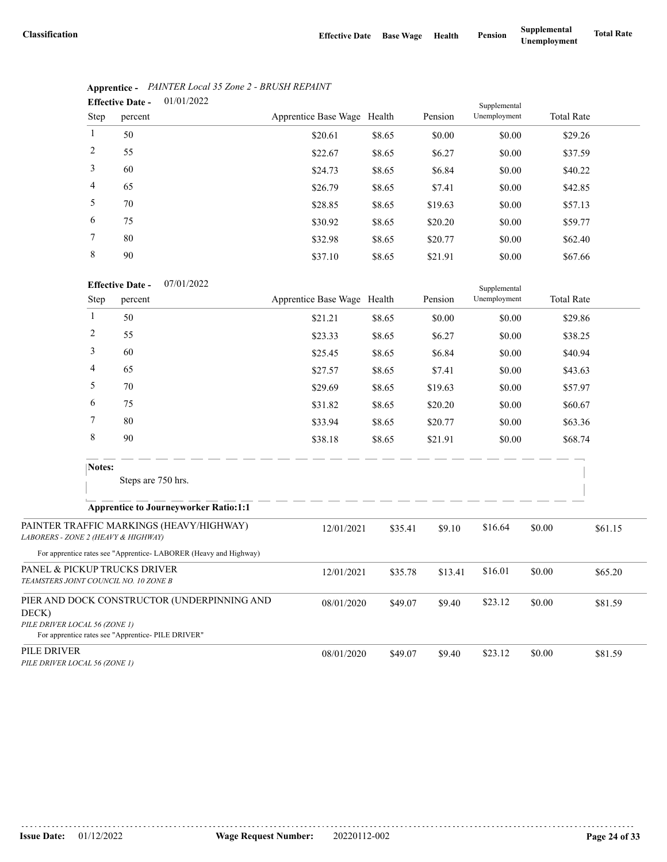Supplemental

|                | 01/01/2022<br><b>Effective Date -</b> |                             |        |         | Supplemental |                   |
|----------------|---------------------------------------|-----------------------------|--------|---------|--------------|-------------------|
| Step           | percent                               | Apprentice Base Wage Health |        | Pension | Unemployment | <b>Total Rate</b> |
| $\mathbf{1}$   | 50                                    | \$20.61                     | \$8.65 | \$0.00  | \$0.00       | \$29.26           |
| 2              | 55                                    | \$22.67                     | \$8.65 | \$6.27  | \$0.00       | \$37.59           |
| 3              | 60                                    | \$24.73                     | \$8.65 | \$6.84  | \$0.00       | \$40.22           |
| $\overline{4}$ | 65                                    | \$26.79                     | \$8.65 | \$7.41  | \$0.00       | \$42.85           |
| 5              | 70                                    | \$28.85                     | \$8.65 | \$19.63 | \$0.00       | \$57.13           |
| 6              | 75                                    | \$30.92                     | \$8.65 | \$20.20 | \$0.00       | \$59.77           |
| 7              | 80                                    | \$32.98                     | \$8.65 | \$20.77 | \$0.00       | \$62.40           |
| 8              | 90                                    | \$37.10                     | \$8.65 | \$21.91 | \$0.00       | \$67.66           |

# **Apprentice -** *PAINTER Local 35 Zone 2 - BRUSH REPAINT*

| <b>Effective Date -</b> | 07/01/2022 |
|-------------------------|------------|
|                         |            |

|                                              | Step   | percent                                                                                           | Apprentice Base Wage Health |         | Pension | Unemployment |        | <b>Total Rate</b> |
|----------------------------------------------|--------|---------------------------------------------------------------------------------------------------|-----------------------------|---------|---------|--------------|--------|-------------------|
|                                              | 1      | 50                                                                                                | \$21.21                     | \$8.65  | \$0.00  | \$0.00       |        | \$29.86           |
|                                              | 2      | 55                                                                                                | \$23.33                     | \$8.65  | \$6.27  | \$0.00       |        | \$38.25           |
|                                              | 3      | 60                                                                                                | \$25.45                     | \$8.65  | \$6.84  | \$0.00       |        | \$40.94           |
|                                              | 4      | 65                                                                                                | \$27.57                     | \$8.65  | \$7.41  | \$0.00       |        | \$43.63           |
|                                              | 5      | 70                                                                                                | \$29.69                     | \$8.65  | \$19.63 | \$0.00       |        | \$57.97           |
|                                              | 6      | 75                                                                                                | \$31.82                     | \$8.65  | \$20.20 | \$0.00       |        | \$60.67           |
|                                              | 7      | 80                                                                                                | \$33.94                     | \$8.65  | \$20.77 | \$0.00       |        | \$63.36           |
|                                              | 8      | 90                                                                                                | \$38.18                     | \$8.65  | \$21.91 | \$0.00       |        | \$68.74           |
|                                              | Notes: | Steps are 750 hrs.                                                                                |                             |         |         |              |        |                   |
|                                              |        | <b>Apprentice to Journeyworker Ratio:1:1</b>                                                      |                             |         |         |              |        |                   |
| LABORERS - ZONE 2 (HEAVY & HIGHWAY)          |        | PAINTER TRAFFIC MARKINGS (HEAVY/HIGHWAY)                                                          | 12/01/2021                  | \$35.41 | \$9.10  | \$16.64      | \$0.00 | \$61.15           |
|                                              |        | For apprentice rates see "Apprentice-LABORER (Heavy and Highway)                                  |                             |         |         |              |        |                   |
| TEAMSTERS JOINT COUNCIL NO. 10 ZONE B        |        | PANEL & PICKUP TRUCKS DRIVER                                                                      | 12/01/2021                  | \$35.78 | \$13.41 | \$16.01      | \$0.00 | \$65.20           |
| DECK)<br>PILE DRIVER LOCAL 56 (ZONE 1)       |        | PIER AND DOCK CONSTRUCTOR (UNDERPINNING AND<br>For apprentice rates see "Apprentice- PILE DRIVER" | 08/01/2020                  | \$49.07 | \$9.40  | \$23.12      | \$0.00 | \$81.59           |
| PILE DRIVER<br>PILE DRIVER LOCAL 56 (ZONE 1) |        |                                                                                                   | 08/01/2020                  | \$49.07 | \$9.40  | \$23.12      | \$0.00 | \$81.59           |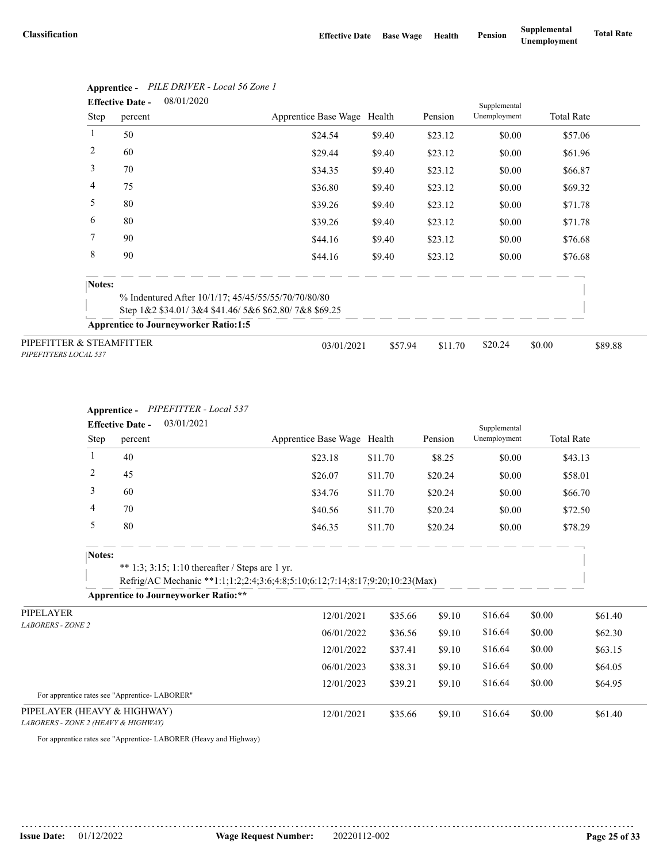|                                                   | <b>Effective Date -</b> | 08/01/2020                                           |                             |         |         | Supplemental |                   |         |
|---------------------------------------------------|-------------------------|------------------------------------------------------|-----------------------------|---------|---------|--------------|-------------------|---------|
|                                                   | Step<br>percent         |                                                      | Apprentice Base Wage Health |         | Pension | Unemployment | <b>Total Rate</b> |         |
| 1                                                 | 50                      |                                                      | \$24.54                     | \$9.40  | \$23.12 | \$0.00       | \$57.06           |         |
| 2                                                 | 60                      |                                                      | \$29.44                     | \$9.40  | \$23.12 | \$0.00       | \$61.96           |         |
| 3                                                 | 70                      |                                                      | \$34.35                     | \$9.40  | \$23.12 | \$0.00       | \$66.87           |         |
| 4                                                 | 75                      |                                                      | \$36.80                     | \$9.40  | \$23.12 | \$0.00       | \$69.32           |         |
| 5                                                 | 80                      |                                                      | \$39.26                     | \$9.40  | \$23.12 | \$0.00       | \$71.78           |         |
| 6                                                 | 80                      |                                                      | \$39.26                     | \$9.40  | \$23.12 | \$0.00       | \$71.78           |         |
| 7                                                 | 90                      |                                                      | \$44.16                     | \$9.40  | \$23.12 | \$0.00       | \$76.68           |         |
| 8                                                 | 90                      |                                                      | \$44.16                     | \$9.40  | \$23.12 | \$0.00       | \$76.68           |         |
|                                                   | Notes:                  |                                                      |                             |         |         |              |                   |         |
|                                                   |                         | % Indentured After 10/1/17; 45/45/55/55/70/70/80/80  |                             |         |         |              |                   |         |
|                                                   |                         | Step 1&2 \$34.01/3&4 \$41.46/5&6 \$62.80/7&8 \$69.25 |                             |         |         |              |                   |         |
|                                                   |                         | <b>Apprentice to Journeyworker Ratio:1:5</b>         |                             |         |         |              |                   |         |
| PIPEFITTER & STEAMFITTER<br>PIPEFITTERS LOCAL 537 |                         |                                                      | 03/01/2021                  | \$57.94 | \$11.70 | \$20.24      | \$0.00            | \$89.88 |

# **Apprentice -** *PILE DRIVER - Local 56 Zone 1*

### **Apprentice -** *PIPEFITTER - Local 537*

|                                     | 03/01/2021<br><b>Effective Date -</b> |                                               |                                                                                                                                 |                             |         |         | Supplemental |                   |         |
|-------------------------------------|---------------------------------------|-----------------------------------------------|---------------------------------------------------------------------------------------------------------------------------------|-----------------------------|---------|---------|--------------|-------------------|---------|
|                                     | Step                                  | percent                                       |                                                                                                                                 | Apprentice Base Wage Health |         | Pension | Unemployment | <b>Total Rate</b> |         |
|                                     | 1                                     | 40                                            |                                                                                                                                 | \$23.18                     | \$11.70 | \$8.25  | \$0.00       | \$43.13           |         |
|                                     | $\overline{c}$                        | 45                                            |                                                                                                                                 | \$26.07                     | \$11.70 | \$20.24 | \$0.00       | \$58.01           |         |
|                                     | 3                                     | 60                                            |                                                                                                                                 | \$34.76                     | \$11.70 | \$20.24 | \$0.00       | \$66.70           |         |
|                                     | 4                                     | 70                                            |                                                                                                                                 | \$40.56                     | \$11.70 | \$20.24 | \$0.00       | \$72.50           |         |
|                                     | 5                                     | 80                                            |                                                                                                                                 | \$46.35                     | \$11.70 | \$20.24 | \$0.00       | \$78.29           |         |
|                                     | Notes:                                |                                               | ** 1:3; 3:15; 1:10 thereafter / Steps are 1 yr.<br>Refrig/AC Mechanic **1:1;1:2;2:4;3:6;4:8;5:10;6:12;7:14;8:17;9:20;10:23(Max) |                             |         |         |              |                   |         |
|                                     |                                       |                                               | <b>Apprentice to Journeyworker Ratio:**</b>                                                                                     |                             |         |         |              |                   |         |
| PIPELAYER                           |                                       |                                               |                                                                                                                                 | 12/01/2021                  | \$35.66 | \$9.10  | \$16.64      | \$0.00            | \$61.40 |
| <b>LABORERS - ZONE 2</b>            |                                       |                                               |                                                                                                                                 | 06/01/2022                  | \$36.56 | \$9.10  | \$16.64      | \$0.00            | \$62.30 |
|                                     |                                       |                                               |                                                                                                                                 | 12/01/2022                  | \$37.41 | \$9.10  | \$16.64      | \$0.00            | \$63.15 |
|                                     |                                       |                                               |                                                                                                                                 | 06/01/2023                  | \$38.31 | \$9.10  | \$16.64      | \$0.00            | \$64.05 |
|                                     |                                       | For apprentice rates see "Apprentice-LABORER" |                                                                                                                                 | 12/01/2023                  | \$39.21 | \$9.10  | \$16.64      | \$0.00            | \$64.95 |
| PIPELAYER (HEAVY & HIGHWAY)         |                                       |                                               |                                                                                                                                 | 12/01/2021                  | \$35.66 | \$9.10  | \$16.64      | \$0.00            | \$61.40 |
| LABORERS - ZONE 2 (HEAVY & HIGHWAY) |                                       |                                               |                                                                                                                                 |                             |         |         |              |                   |         |

For apprentice rates see "Apprentice- LABORER (Heavy and Highway)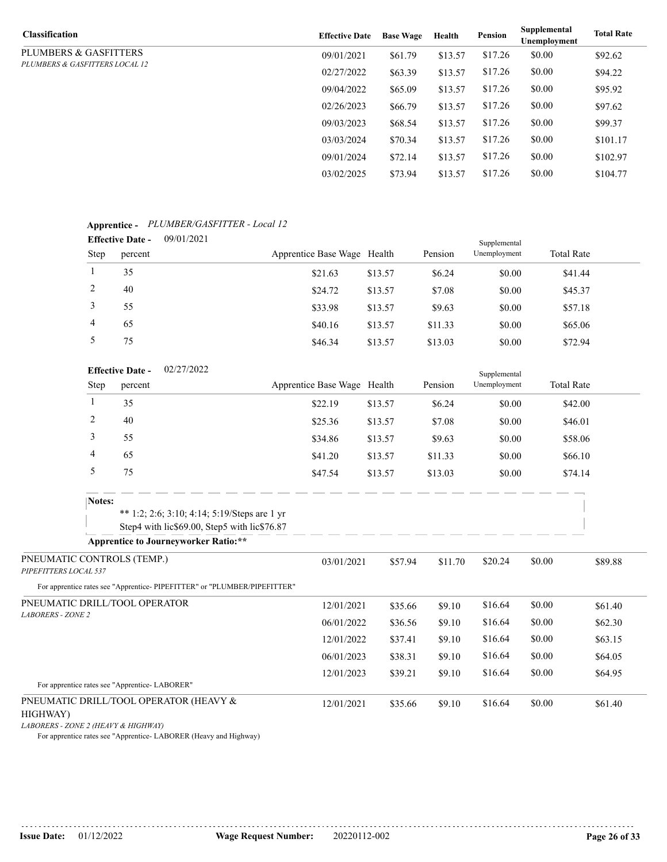| <b>Classification</b>          | <b>Effective Date</b> | <b>Base Wage</b> | Health  | <b>Pension</b> | Supplemental<br>Unemployment | <b>Total Rate</b> |
|--------------------------------|-----------------------|------------------|---------|----------------|------------------------------|-------------------|
| PLUMBERS & GASFITTERS          | 09/01/2021            | \$61.79          | \$13.57 | \$17.26        | \$0.00                       | \$92.62           |
| PLUMBERS & GASFITTERS LOCAL 12 | 02/27/2022            | \$63.39          | \$13.57 | \$17.26        | \$0.00                       | \$94.22           |
|                                | 09/04/2022            | \$65.09          | \$13.57 | \$17.26        | \$0.00                       | \$95.92           |
|                                | 02/26/2023            | \$66.79          | \$13.57 | \$17.26        | \$0.00                       | \$97.62           |
|                                | 09/03/2023            | \$68.54          | \$13.57 | \$17.26        | \$0.00                       | \$99.37           |
|                                | 03/03/2024            | \$70.34          | \$13.57 | \$17.26        | \$0.00                       | \$101.17          |
|                                | 09/01/2024            | \$72.14          | \$13.57 | \$17.26        | \$0.00                       | \$102.97          |
|                                | 03/02/2025            | \$73.94          | \$13.57 | \$17.26        | \$0.00                       | \$104.77          |

#### **Apprentice -** *PLUMBER/GASFITTER - Local 12* 09/01/2021 **Effective Date -**

|      | Lifecuve Date -<br>07012021 |                             |         |         | Supplemental |                   |  |
|------|-----------------------------|-----------------------------|---------|---------|--------------|-------------------|--|
| Step | percent                     | Apprentice Base Wage Health |         | Pension | Unemployment | <b>Total Rate</b> |  |
|      | 35                          | \$21.63                     | \$13.57 | \$6.24  | \$0.00       | \$41.44           |  |
| 2    | 40                          | \$24.72                     | \$13.57 | \$7.08  | \$0.00       | \$45.37           |  |
|      | 55                          | \$33.98                     | \$13.57 | \$9.63  | \$0.00       | \$57.18           |  |
| 4    | 65                          | \$40.16                     | \$13.57 | \$11.33 | \$0.00       | \$65.06           |  |
|      | 75                          | \$46.34                     | \$13.57 | \$13.03 | \$0.00       | \$72.94           |  |

|                                                     |        | 02/27/2022<br><b>Effective Date -</b>                                                        |                             |         |         | Supplemental |                   |         |
|-----------------------------------------------------|--------|----------------------------------------------------------------------------------------------|-----------------------------|---------|---------|--------------|-------------------|---------|
|                                                     | Step   | percent                                                                                      | Apprentice Base Wage Health |         | Pension | Unemployment | <b>Total Rate</b> |         |
|                                                     | 1      | 35                                                                                           | \$22.19                     | \$13.57 | \$6.24  | \$0.00       | \$42.00           |         |
|                                                     | 2      | 40                                                                                           | \$25.36                     | \$13.57 | \$7.08  | \$0.00       | \$46.01           |         |
|                                                     | 3      | 55                                                                                           | \$34.86                     | \$13.57 | \$9.63  | \$0.00       | \$58.06           |         |
|                                                     | 4      | 65                                                                                           | \$41.20                     | \$13.57 | \$11.33 | \$0.00       | \$66.10           |         |
|                                                     | 5      | 75                                                                                           | \$47.54                     | \$13.57 | \$13.03 | \$0.00       | \$74.14           |         |
|                                                     | Notes: | ** 1:2; 2:6; 3:10; 4:14; 5:19/Steps are 1 yr<br>Step4 with lic\$69.00, Step5 with lic\$76.87 |                             |         |         |              |                   |         |
|                                                     |        | <b>Apprentice to Journeyworker Ratio:**</b>                                                  |                             |         |         |              |                   |         |
| PNEUMATIC CONTROLS (TEMP.)<br>PIPEFITTERS LOCAL 537 |        |                                                                                              | 03/01/2021                  | \$57.94 | \$11.70 | \$20.24      | \$0.00            | \$89.88 |
|                                                     |        | For apprentice rates see "Apprentice- PIPEFITTER" or "PLUMBER/PIPEFITTER"                    |                             |         |         |              |                   |         |
|                                                     |        | PNEUMATIC DRILL/TOOL OPERATOR                                                                | 12/01/2021                  | \$35.66 | \$9.10  | \$16.64      | \$0.00            | \$61.40 |
| <b>LABORERS - ZONE 2</b>                            |        |                                                                                              | 06/01/2022                  | \$36.56 | \$9.10  | \$16.64      | \$0.00            | \$62.30 |
|                                                     |        |                                                                                              | 12/01/2022                  | \$37.41 | \$9.10  | \$16.64      | \$0.00            | \$63.15 |
|                                                     |        |                                                                                              | 06/01/2023                  | \$38.31 | \$9.10  | \$16.64      | \$0.00            | \$64.05 |
|                                                     |        |                                                                                              | 12/01/2023                  | \$39.21 | \$9.10  | \$16.64      | \$0.00            | \$64.95 |
|                                                     |        | For apprentice rates see "Apprentice-LABORER"                                                |                             |         |         |              |                   |         |

#### PNEUMATIC DRILL/TOOL OPERATOR (HEAVY &

#### HIGHWAY)

*LABORERS - ZONE 2 (HEAVY & HIGHWAY)*

For apprentice rates see "Apprentice- LABORER (Heavy and Highway)

12/01/2021 \$35.66 \$9.10 \$16.64 \$0.00 \$61.40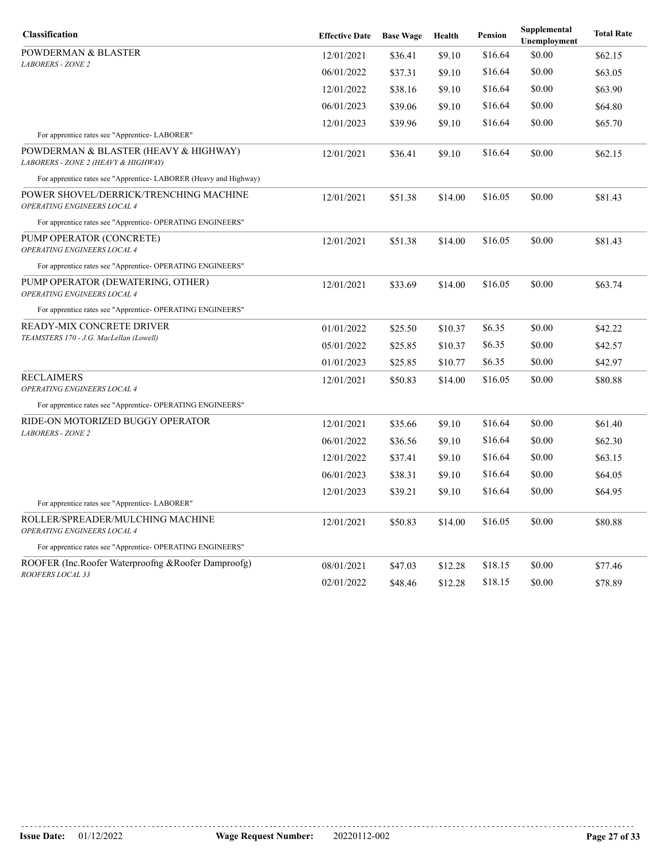| Classification                                                               | <b>Effective Date</b> | <b>Base Wage</b> | Health  | <b>Pension</b> | Supplemental<br>Unemployment | <b>Total Rate</b> |
|------------------------------------------------------------------------------|-----------------------|------------------|---------|----------------|------------------------------|-------------------|
| POWDERMAN & BLASTER                                                          | 12/01/2021            | \$36.41          | \$9.10  | \$16.64        | \$0.00                       | \$62.15           |
| <b>LABORERS - ZONE 2</b>                                                     | 06/01/2022            | \$37.31          | \$9.10  | \$16.64        | \$0.00                       | \$63.05           |
|                                                                              | 12/01/2022            | \$38.16          | \$9.10  | \$16.64        | \$0.00                       | \$63.90           |
|                                                                              | 06/01/2023            | \$39.06          | \$9.10  | \$16.64        | \$0.00                       | \$64.80           |
|                                                                              | 12/01/2023            | \$39.96          | \$9.10  | \$16.64        | \$0.00                       | \$65.70           |
| For apprentice rates see "Apprentice-LABORER"                                |                       |                  |         |                |                              |                   |
| POWDERMAN & BLASTER (HEAVY & HIGHWAY)<br>LABORERS - ZONE 2 (HEAVY & HIGHWAY) | 12/01/2021            | \$36.41          | \$9.10  | \$16.64        | \$0.00                       | \$62.15           |
| For apprentice rates see "Apprentice- LABORER (Heavy and Highway)            |                       |                  |         |                |                              |                   |
| POWER SHOVEL/DERRICK/TRENCHING MACHINE<br>OPERATING ENGINEERS LOCAL 4        | 12/01/2021            | \$51.38          | \$14.00 | \$16.05        | \$0.00                       | \$81.43           |
| For apprentice rates see "Apprentice- OPERATING ENGINEERS"                   |                       |                  |         |                |                              |                   |
| PUMP OPERATOR (CONCRETE)<br>OPERATING ENGINEERS LOCAL 4                      | 12/01/2021            | \$51.38          | \$14.00 | \$16.05        | \$0.00                       | \$81.43           |
| For apprentice rates see "Apprentice- OPERATING ENGINEERS"                   |                       |                  |         |                |                              |                   |
| PUMP OPERATOR (DEWATERING, OTHER)<br>OPERATING ENGINEERS LOCAL 4             | 12/01/2021            | \$33.69          | \$14.00 | \$16.05        | \$0.00                       | \$63.74           |
| For apprentice rates see "Apprentice- OPERATING ENGINEERS"                   |                       |                  |         |                |                              |                   |
| READY-MIX CONCRETE DRIVER                                                    | 01/01/2022            | \$25.50          | \$10.37 | \$6.35         | \$0.00                       | \$42.22           |
| TEAMSTERS 170 - J.G. MacLellan (Lowell)                                      | 05/01/2022            | \$25.85          | \$10.37 | \$6.35         | \$0.00                       | \$42.57           |
|                                                                              | 01/01/2023            | \$25.85          | \$10.77 | \$6.35         | \$0.00                       | \$42.97           |
| RECLAIMERS                                                                   | 12/01/2021            | \$50.83          | \$14.00 | \$16.05        | \$0.00                       | \$80.88           |
| <b>OPERATING ENGINEERS LOCAL 4</b>                                           |                       |                  |         |                |                              |                   |
| For apprentice rates see "Apprentice- OPERATING ENGINEERS"                   |                       |                  |         |                |                              |                   |
| RIDE-ON MOTORIZED BUGGY OPERATOR<br><b>LABORERS - ZONE 2</b>                 | 12/01/2021            | \$35.66          | \$9.10  | \$16.64        | \$0.00                       | \$61.40           |
|                                                                              | 06/01/2022            | \$36.56          | \$9.10  | \$16.64        | \$0.00                       | \$62.30           |
|                                                                              | 12/01/2022            | \$37.41          | \$9.10  | \$16.64        | \$0.00                       | \$63.15           |
|                                                                              | 06/01/2023            | \$38.31          | \$9.10  | \$16.64        | \$0.00                       | \$64.05           |
|                                                                              | 12/01/2023            | \$39.21          | \$9.10  | \$16.64        | \$0.00                       | \$64.95           |
| For apprentice rates see "Apprentice-LABORER"                                |                       |                  |         |                |                              |                   |
| ROLLER/SPREADER/MULCHING MACHINE<br><b>OPERATING ENGINEERS LOCAL 4</b>       | 12/01/2021            | \$50.83          | \$14.00 | \$16.05        | \$0.00                       | \$80.88           |
| For apprentice rates see "Apprentice- OPERATING ENGINEERS"                   |                       |                  |         |                |                              |                   |
| ROOFER (Inc.Roofer Waterproofng &Roofer Damproofg)                           | 08/01/2021            | \$47.03          | \$12.28 | \$18.15        | \$0.00                       | \$77.46           |
| ROOFERS LOCAL 33                                                             | 02/01/2022            | \$48.46          | \$12.28 | \$18.15        | \$0.00                       | \$78.89           |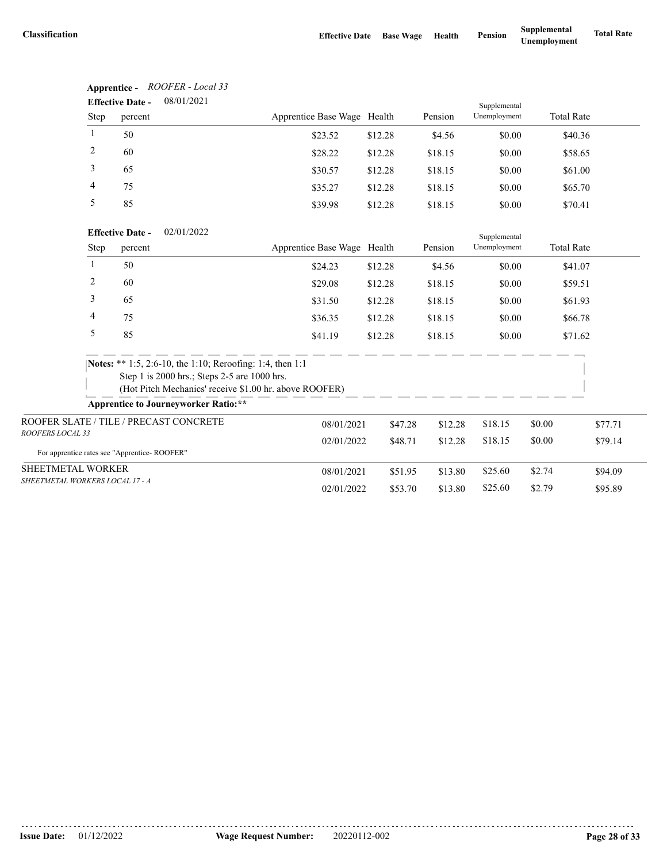**Apprentice -** *ROOFER - Local 33*

|                                              | <b>Effective Date -</b> | 08/01/2021                                                |                             |         |         | Supplemental |                   |         |
|----------------------------------------------|-------------------------|-----------------------------------------------------------|-----------------------------|---------|---------|--------------|-------------------|---------|
| Step                                         | percent                 |                                                           | Apprentice Base Wage Health |         | Pension | Unemployment | <b>Total Rate</b> |         |
| 1                                            | 50                      |                                                           | \$23.52                     | \$12.28 | \$4.56  | \$0.00       | \$40.36           |         |
| $\overline{c}$                               | 60                      |                                                           | \$28.22                     | \$12.28 | \$18.15 | \$0.00       | \$58.65           |         |
| 3                                            | 65                      |                                                           | \$30.57                     | \$12.28 | \$18.15 | \$0.00       | \$61.00           |         |
| 4                                            | 75                      |                                                           | \$35.27                     | \$12.28 | \$18.15 | \$0.00       | \$65.70           |         |
| 5                                            | 85                      |                                                           | \$39.98                     | \$12.28 | \$18.15 | \$0.00       | \$70.41           |         |
|                                              | <b>Effective Date -</b> | 02/01/2022                                                |                             |         |         | Supplemental |                   |         |
| Step                                         | percent                 |                                                           | Apprentice Base Wage Health |         | Pension | Unemployment | <b>Total Rate</b> |         |
| $\mathbf{1}$                                 | 50                      |                                                           | \$24.23                     | \$12.28 | \$4.56  | \$0.00       | \$41.07           |         |
| 2                                            | 60                      |                                                           | \$29.08                     | \$12.28 | \$18.15 | \$0.00       | \$59.51           |         |
| 3                                            | 65                      |                                                           | \$31.50                     | \$12.28 | \$18.15 | \$0.00       | \$61.93           |         |
| 4                                            | 75                      |                                                           | \$36.35                     | \$12.28 | \$18.15 | \$0.00       | \$66.78           |         |
| 5                                            | 85                      |                                                           | \$41.19                     | \$12.28 | \$18.15 | \$0.00       | \$71.62           |         |
|                                              |                         | Notes: ** 1:5, 2:6-10, the 1:10; Reroofing: 1:4, then 1:1 |                             |         |         |              |                   |         |
|                                              |                         | Step 1 is 2000 hrs.; Steps 2-5 are 1000 hrs.              |                             |         |         |              |                   |         |
|                                              |                         | (Hot Pitch Mechanics' receive \$1.00 hr. above ROOFER)    |                             |         |         |              |                   |         |
|                                              |                         | <b>Apprentice to Journeyworker Ratio:**</b>               |                             |         |         |              |                   |         |
| ROOFER SLATE / TILE / PRECAST CONCRETE       |                         |                                                           | 08/01/2021                  | \$47.28 | \$12.28 | \$18.15      | \$0.00            | \$77.71 |
| ROOFERS LOCAL 33                             |                         |                                                           | 02/01/2022                  | \$48.71 | \$12.28 | \$18.15      | \$0.00            | \$79.14 |
| For apprentice rates see "Apprentice-ROOFER" |                         |                                                           |                             |         |         |              |                   |         |
| SHEETMETAL WORKER                            |                         |                                                           | 08/01/2021                  | \$51.95 | \$13.80 | \$25.60      | \$2.74            | \$94.09 |
| SHEETMETAL WORKERS LOCAL 17 - A              |                         |                                                           | 02/01/2022                  | \$53.70 | \$13.80 | \$25.60      | \$2.79            | \$95.89 |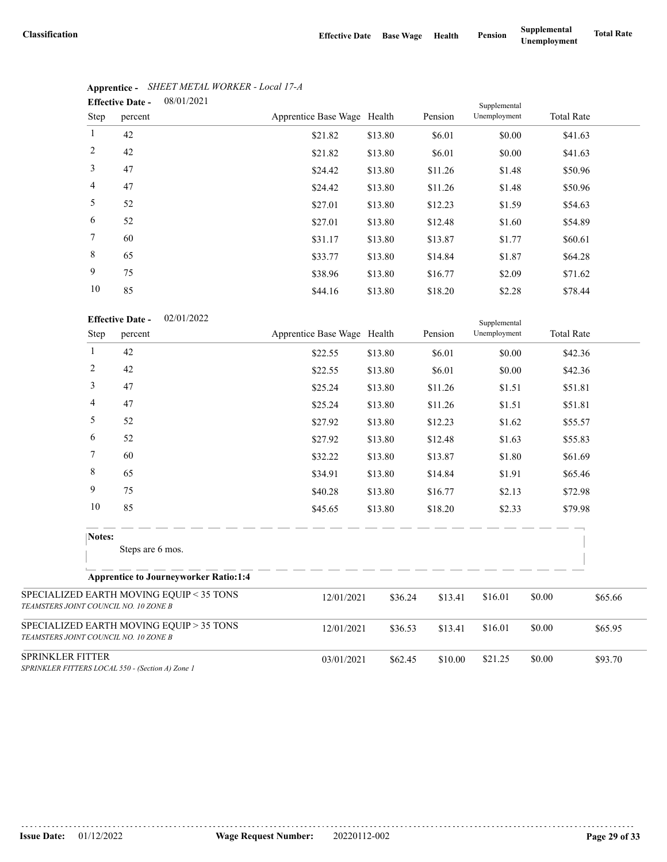| 08/01/2021<br><b>Effective Date -</b><br>Supplemental |         |  |                             |         |         |              |                   |  |  |
|-------------------------------------------------------|---------|--|-----------------------------|---------|---------|--------------|-------------------|--|--|
| Step                                                  | percent |  | Apprentice Base Wage Health |         | Pension | Unemployment | <b>Total Rate</b> |  |  |
| 1                                                     | 42      |  | \$21.82                     | \$13.80 | \$6.01  | \$0.00       | \$41.63           |  |  |
| 2                                                     | 42      |  | \$21.82                     | \$13.80 | \$6.01  | \$0.00       | \$41.63           |  |  |
| 3                                                     | 47      |  | \$24.42                     | \$13.80 | \$11.26 | \$1.48       | \$50.96           |  |  |
| 4                                                     | 47      |  | \$24.42                     | \$13.80 | \$11.26 | \$1.48       | \$50.96           |  |  |
| 5                                                     | 52      |  | \$27.01                     | \$13.80 | \$12.23 | \$1.59       | \$54.63           |  |  |
| 6                                                     | 52      |  | \$27.01                     | \$13.80 | \$12.48 | \$1.60       | \$54.89           |  |  |
| $\tau$                                                | 60      |  | \$31.17                     | \$13.80 | \$13.87 | \$1.77       | \$60.61           |  |  |
| 8                                                     | 65      |  | \$33.77                     | \$13.80 | \$14.84 | \$1.87       | \$64.28           |  |  |
| 9                                                     | 75      |  | \$38.96                     | \$13.80 | \$16.77 | \$2.09       | \$71.62           |  |  |
| 10                                                    | 85      |  | \$44.16                     | \$13.80 | \$18.20 | \$2.28       | \$78.44           |  |  |

### **Apprentice -** *SHEET METAL WORKER - Local 17-A*

|                                       | 10             | 85                                               | \$44.16                     | \$13.80 | \$18.20 | \$2.28                       |        | \$78.44           |
|---------------------------------------|----------------|--------------------------------------------------|-----------------------------|---------|---------|------------------------------|--------|-------------------|
|                                       | Step           | 02/01/2022<br><b>Effective Date -</b><br>percent | Apprentice Base Wage Health |         | Pension | Supplemental<br>Unemployment |        | <b>Total Rate</b> |
|                                       | $\mathbf{1}$   | 42                                               | \$22.55                     | \$13.80 | \$6.01  | \$0.00                       |        | \$42.36           |
|                                       | $\overline{c}$ | 42                                               | \$22.55                     | \$13.80 | \$6.01  | \$0.00                       |        | \$42.36           |
|                                       | 3              | 47                                               | \$25.24                     | \$13.80 | \$11.26 | \$1.51                       |        | \$51.81           |
|                                       | 4              | 47                                               | \$25.24                     | \$13.80 | \$11.26 | \$1.51                       |        | \$51.81           |
|                                       | 5              | 52                                               | \$27.92                     | \$13.80 | \$12.23 | \$1.62                       |        | \$55.57           |
|                                       | 6              | 52                                               | \$27.92                     | \$13.80 | \$12.48 | \$1.63                       |        | \$55.83           |
|                                       | 7              | 60                                               | \$32.22                     | \$13.80 | \$13.87 | \$1.80                       |        | \$61.69           |
|                                       | 8              | 65                                               | \$34.91                     | \$13.80 | \$14.84 | \$1.91                       |        | \$65.46           |
|                                       | 9              | 75                                               | \$40.28                     | \$13.80 | \$16.77 | \$2.13                       |        | \$72.98           |
|                                       | 10             | 85                                               | \$45.65                     | \$13.80 | \$18.20 | \$2.33                       |        | \$79.98           |
|                                       | Notes:         | Steps are 6 mos.                                 |                             |         |         |                              |        |                   |
|                                       |                | <b>Apprentice to Journeyworker Ratio:1:4</b>     |                             |         |         |                              |        |                   |
| TEAMSTERS JOINT COUNCIL NO. 10 ZONE B |                | SPECIALIZED EARTH MOVING EQUIP < 35 TONS         | 12/01/2021                  | \$36.24 | \$13.41 | \$16.01                      | \$0.00 | \$65.66           |
| TEAMSTERS JOINT COUNCIL NO. 10 ZONE B |                | SPECIALIZED EARTH MOVING EQUIP > 35 TONS         | 12/01/2021                  | \$36.53 | \$13.41 | \$16.01                      | \$0.00 | \$65.95           |
| SPRINKLER FITTER                      |                | SPRINKLER FITTERS LOCAL 550 - (Section A) Zone 1 | 03/01/2021                  | \$62.45 | \$10.00 | \$21.25                      | \$0.00 | \$93.70           |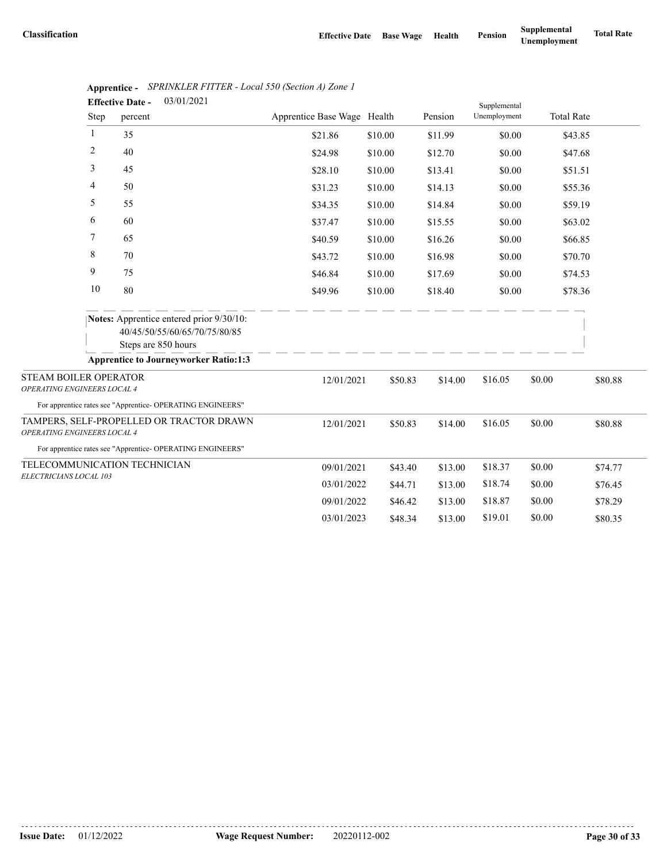|                                                             |      | 03/01/2021<br><b>Effective Date -</b>                                                                   |                             |         |         | Supplemental |        |                   |
|-------------------------------------------------------------|------|---------------------------------------------------------------------------------------------------------|-----------------------------|---------|---------|--------------|--------|-------------------|
|                                                             | Step | percent                                                                                                 | Apprentice Base Wage Health |         | Pension | Unemployment |        | <b>Total Rate</b> |
|                                                             | -1   | 35                                                                                                      | \$21.86                     | \$10.00 | \$11.99 | \$0.00       |        | \$43.85           |
|                                                             | 2    | 40                                                                                                      | \$24.98                     | \$10.00 | \$12.70 | \$0.00       |        | \$47.68           |
|                                                             | 3    | 45                                                                                                      | \$28.10                     | \$10.00 | \$13.41 | \$0.00       |        | \$51.51           |
|                                                             | 4    | 50                                                                                                      | \$31.23                     | \$10.00 | \$14.13 | \$0.00       |        | \$55.36           |
|                                                             | 5    | 55                                                                                                      | \$34.35                     | \$10.00 | \$14.84 | \$0.00       |        | \$59.19           |
|                                                             | 6    | 60                                                                                                      | \$37.47                     | \$10.00 | \$15.55 | \$0.00       |        | \$63.02           |
|                                                             | 7    | 65                                                                                                      | \$40.59                     | \$10.00 | \$16.26 | \$0.00       |        | \$66.85           |
|                                                             | 8    | 70                                                                                                      | \$43.72                     | \$10.00 | \$16.98 | \$0.00       |        | \$70.70           |
|                                                             | 9    | 75                                                                                                      | \$46.84                     | \$10.00 | \$17.69 | \$0.00       |        | \$74.53           |
|                                                             | 10   | 80                                                                                                      | \$49.96                     | \$10.00 | \$18.40 | \$0.00       |        | \$78.36           |
|                                                             |      | <b>Notes:</b> Apprentice entered prior 9/30/10:<br>40/45/50/55/60/65/70/75/80/85<br>Steps are 850 hours |                             |         |         |              |        |                   |
|                                                             |      | <b>Apprentice to Journeyworker Ratio:1:3</b>                                                            |                             |         |         |              |        |                   |
| <b>STEAM BOILER OPERATOR</b><br>OPERATING ENGINEERS LOCAL 4 |      |                                                                                                         | 12/01/2021                  | \$50.83 | \$14.00 | \$16.05      | \$0.00 | \$80.88           |
|                                                             |      | For apprentice rates see "Apprentice- OPERATING ENGINEERS"                                              |                             |         |         |              |        |                   |
| OPERATING ENGINEERS LOCAL 4                                 |      | TAMPERS, SELF-PROPELLED OR TRACTOR DRAWN                                                                | 12/01/2021                  | \$50.83 | \$14.00 | \$16.05      | \$0.00 | \$80.88           |
|                                                             |      | For apprentice rates see "Apprentice- OPERATING ENGINEERS"                                              |                             |         |         |              |        |                   |
|                                                             |      | TELECOMMUNICATION TECHNICIAN                                                                            | 09/01/2021                  | \$43.40 | \$13.00 | \$18.37      | \$0.00 | \$74.77           |
| ELECTRICIANS LOCAL 103                                      |      |                                                                                                         | 03/01/2022                  | \$44.71 | \$13.00 | \$18.74      | \$0.00 | \$76.45           |
|                                                             |      |                                                                                                         | 09/01/2022                  | \$46.42 | \$13.00 | \$18.87      | \$0.00 | \$78.29           |
|                                                             |      |                                                                                                         | 03/01/2023                  | \$48.34 | \$13.00 | \$19.01      | \$0.00 | \$80.35           |

|                         | Apprentice - SPRINKLER FITTER - Local 550 (Section A) Zone 1 |
|-------------------------|--------------------------------------------------------------|
| <b>Effective Date -</b> | 03/01/2021                                                   |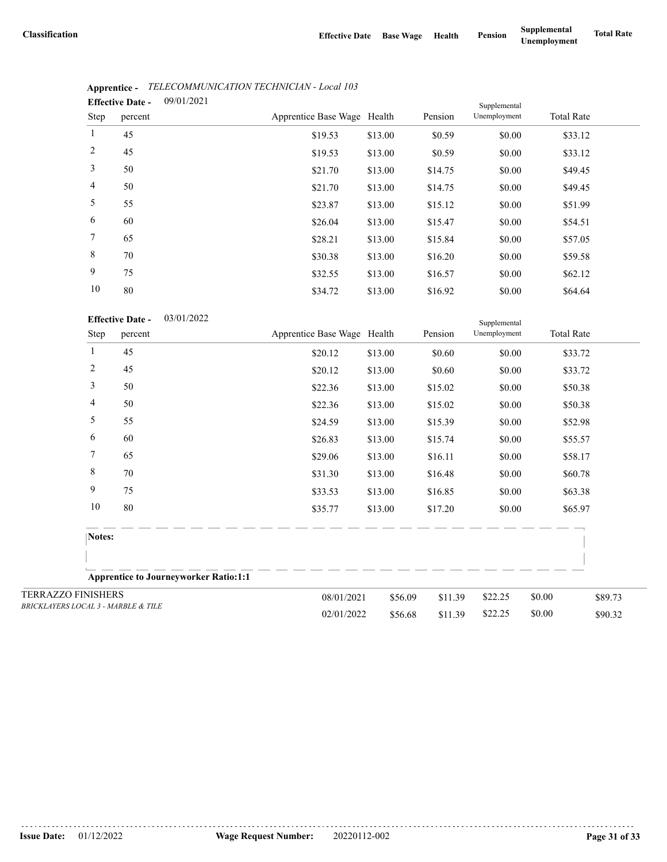|                 | <b>Effective Date -</b> | 09/01/2021 |                             |         |         | Supplemental |                   |  |
|-----------------|-------------------------|------------|-----------------------------|---------|---------|--------------|-------------------|--|
| Step            | percent                 |            | Apprentice Base Wage Health |         | Pension | Unemployment | <b>Total Rate</b> |  |
| $\mathbf{1}$    | 45                      |            | \$19.53                     | \$13.00 | \$0.59  | \$0.00       | \$33.12           |  |
| $\overline{2}$  | 45                      |            | \$19.53                     | \$13.00 | \$0.59  | \$0.00       | \$33.12           |  |
| 3               | 50                      |            | \$21.70                     | \$13.00 | \$14.75 | \$0.00       | \$49.45           |  |
| $\overline{4}$  | 50                      |            | \$21.70                     | \$13.00 | \$14.75 | \$0.00       | \$49.45           |  |
| 5               | 55                      |            | \$23.87                     | \$13.00 | \$15.12 | \$0.00       | \$51.99           |  |
| 6               | 60                      |            | \$26.04                     | \$13.00 | \$15.47 | \$0.00       | \$54.51           |  |
| $7\phantom{.0}$ | 65                      |            | \$28.21                     | \$13.00 | \$15.84 | \$0.00       | \$57.05           |  |
| 8               | 70                      |            | \$30.38                     | \$13.00 | \$16.20 | \$0.00       | \$59.58           |  |
| 9               | 75                      |            | \$32.55                     | \$13.00 | \$16.57 | \$0.00       | \$62.12           |  |
| 10              | 80                      |            | \$34.72                     | \$13.00 | \$16.92 | \$0.00       | \$64.64           |  |

### **Apprentice -** *TELECOMMUNICATION TECHNICIAN - Local 103*

|                                                |        |                         |                                              | ے ہ ہ∓ر ب                   | <b>ψ15.00</b> | 010.72  | $\mathcal{V}$ | PUT.UT            |         |
|------------------------------------------------|--------|-------------------------|----------------------------------------------|-----------------------------|---------------|---------|---------------|-------------------|---------|
|                                                |        | <b>Effective Date -</b> | 03/01/2022                                   |                             |               |         | Supplemental  |                   |         |
|                                                | Step   | percent                 |                                              | Apprentice Base Wage Health |               | Pension | Unemployment  | <b>Total Rate</b> |         |
|                                                | 1      | 45                      |                                              | \$20.12                     | \$13.00       | \$0.60  | \$0.00        | \$33.72           |         |
|                                                | 2      | 45                      |                                              | \$20.12                     | \$13.00       | \$0.60  | \$0.00        | \$33.72           |         |
|                                                | 3      | 50                      |                                              | \$22.36                     | \$13.00       | \$15.02 | \$0.00        | \$50.38           |         |
|                                                | 4      | 50                      |                                              | \$22.36                     | \$13.00       | \$15.02 | \$0.00        | \$50.38           |         |
|                                                | 5      | 55                      |                                              | \$24.59                     | \$13.00       | \$15.39 | \$0.00        | \$52.98           |         |
|                                                | 6      | 60                      |                                              | \$26.83                     | \$13.00       | \$15.74 | \$0.00        | \$55.57           |         |
|                                                | $\tau$ | 65                      |                                              | \$29.06                     | \$13.00       | \$16.11 | \$0.00        | \$58.17           |         |
|                                                | 8      | 70                      |                                              | \$31.30                     | \$13.00       | \$16.48 | \$0.00        | \$60.78           |         |
|                                                | 9      | 75                      |                                              | \$33.53                     | \$13.00       | \$16.85 | \$0.00        | \$63.38           |         |
|                                                | 10     | 80                      |                                              | \$35.77                     | \$13.00       | \$17.20 | \$0.00        | \$65.97           |         |
|                                                | Notes: |                         |                                              |                             |               |         |               |                   |         |
|                                                |        |                         |                                              |                             |               |         |               |                   |         |
|                                                |        |                         | <b>Apprentice to Journeyworker Ratio:1:1</b> |                             |               |         |               |                   |         |
| <b>TERRAZZO FINISHERS</b>                      |        |                         |                                              | 08/01/2021                  | \$56.09       | \$11.39 | \$22.25       | \$0.00            | \$89.73 |
| <b>BRICKLAYERS LOCAL 3 - MARBLE &amp; TILE</b> |        |                         |                                              | 02/01/2022                  | \$56.68       | \$11.39 | \$22.25       | \$0.00            | \$90.32 |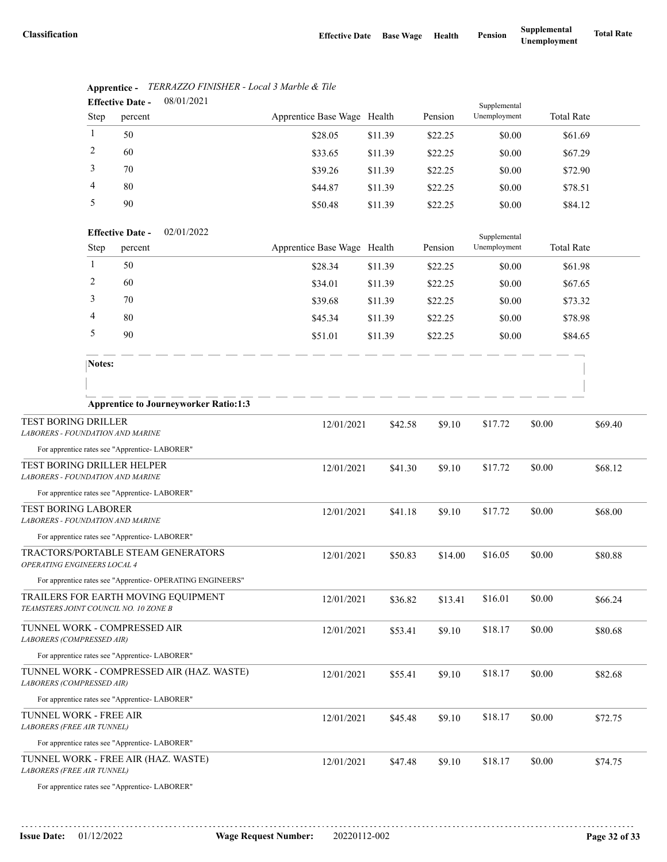|                                                                          |                                       | <b>Effective Date -</b> | 08/01/2021                                                 |                             |         | Supplemental |              |                   |         |
|--------------------------------------------------------------------------|---------------------------------------|-------------------------|------------------------------------------------------------|-----------------------------|---------|--------------|--------------|-------------------|---------|
|                                                                          | Step                                  | percent                 |                                                            | Apprentice Base Wage Health |         | Pension      | Unemployment | <b>Total Rate</b> |         |
|                                                                          | 1                                     | 50                      |                                                            | \$28.05                     | \$11.39 | \$22.25      | \$0.00       | \$61.69           |         |
|                                                                          | 2                                     | 60                      |                                                            | \$33.65                     | \$11.39 | \$22.25      | \$0.00       | \$67.29           |         |
|                                                                          | 3                                     | 70                      |                                                            | \$39.26                     | \$11.39 | \$22.25      | \$0.00       | \$72.90           |         |
|                                                                          | 4                                     | 80                      |                                                            | \$44.87                     | \$11.39 | \$22.25      | \$0.00       | \$78.51           |         |
|                                                                          | 5                                     | 90                      |                                                            | \$50.48                     | \$11.39 | \$22.25      | \$0.00       | \$84.12           |         |
|                                                                          | 02/01/2022<br><b>Effective Date -</b> |                         |                                                            |                             |         |              | Supplemental |                   |         |
|                                                                          | Step                                  | percent                 |                                                            | Apprentice Base Wage Health |         | Pension      | Unemployment | <b>Total Rate</b> |         |
|                                                                          | $\mathbf{1}$                          | 50                      |                                                            | \$28.34                     | \$11.39 | \$22.25      | \$0.00       | \$61.98           |         |
|                                                                          | 2                                     | 60                      |                                                            | \$34.01                     | \$11.39 | \$22.25      | \$0.00       | \$67.65           |         |
|                                                                          | 3                                     | 70                      |                                                            | \$39.68                     | \$11.39 | \$22.25      | \$0.00       | \$73.32           |         |
|                                                                          | 4                                     | 80                      |                                                            | \$45.34                     | \$11.39 | \$22.25      | \$0.00       | \$78.98           |         |
|                                                                          | 5                                     | 90                      |                                                            | \$51.01                     | \$11.39 | \$22.25      | \$0.00       | \$84.65           |         |
|                                                                          | Notes:                                |                         |                                                            |                             |         |              |              |                   |         |
|                                                                          |                                       |                         |                                                            |                             |         |              |              |                   |         |
|                                                                          |                                       |                         | <b>Apprentice to Journeyworker Ratio:1:3</b>               |                             |         |              |              |                   |         |
| TEST BORING DRILLER<br><b>LABORERS - FOUNDATION AND MARINE</b>           |                                       |                         |                                                            | 12/01/2021                  | \$42.58 | \$9.10       | \$17.72      | \$0.00            | \$69.40 |
| For apprentice rates see "Apprentice- LABORER"                           |                                       |                         |                                                            |                             |         |              |              |                   |         |
| TEST BORING DRILLER HELPER<br><b>LABORERS - FOUNDATION AND MARINE</b>    |                                       |                         |                                                            | 12/01/2021                  | \$41.30 | \$9.10       | \$17.72      | \$0.00            | \$68.12 |
| For apprentice rates see "Apprentice-LABORER"                            |                                       |                         |                                                            |                             |         |              |              |                   |         |
| <b>TEST BORING LABORER</b><br><b>LABORERS - FOUNDATION AND MARINE</b>    |                                       |                         |                                                            | 12/01/2021                  | \$41.18 | \$9.10       | \$17.72      | \$0.00            | \$68.00 |
| For apprentice rates see "Apprentice- LABORER"                           |                                       |                         |                                                            |                             |         |              |              |                   |         |
| OPERATING ENGINEERS LOCAL 4                                              |                                       |                         | TRACTORS/PORTABLE STEAM GENERATORS                         | 12/01/2021                  | \$50.83 | \$14.00      | \$16.05      | \$0.00            | \$80.88 |
|                                                                          |                                       |                         | For apprentice rates see "Apprentice- OPERATING ENGINEERS" |                             |         |              |              |                   |         |
| TEAMSTERS JOINT COUNCIL NO. 10 ZONE B                                    |                                       |                         | TRAILERS FOR EARTH MOVING EQUIPMENT                        | 12/01/2021                  | \$36.82 | \$13.41      | \$16.01      | \$0.00            | \$66.24 |
| TUNNEL WORK - COMPRESSED AIR<br>LABORERS (COMPRESSED AIR)                |                                       |                         |                                                            | 12/01/2021                  | \$53.41 | \$9.10       | \$18.17      | \$0.00            | \$80.68 |
| For apprentice rates see "Apprentice- LABORER"                           |                                       |                         |                                                            |                             |         |              |              |                   |         |
| TUNNEL WORK - COMPRESSED AIR (HAZ. WASTE)<br>LABORERS (COMPRESSED AIR)   |                                       |                         | 12/01/2021                                                 | \$55.41                     | \$9.10  | \$18.17      | \$0.00       | \$82.68           |         |
| For apprentice rates see "Apprentice- LABORER"                           |                                       |                         |                                                            |                             |         |              |              |                   |         |
| TUNNEL WORK - FREE AIR<br>LABORERS (FREE AIR TUNNEL)                     |                                       |                         |                                                            | 12/01/2021                  | \$45.48 | \$9.10       | \$18.17      | \$0.00            | \$72.75 |
| For apprentice rates see "Apprentice- LABORER"                           |                                       |                         |                                                            |                             |         |              |              |                   |         |
| TUNNEL WORK - FREE AIR (HAZ. WASTE)<br><b>LABORERS (FREE AIR TUNNEL)</b> |                                       |                         |                                                            | 12/01/2021                  | \$47.48 | \$9.10       | \$18.17      | \$0.00            | \$74.75 |
| For apprentice rates see "Apprentice-LABORER"                            |                                       |                         |                                                            |                             |         |              |              |                   |         |

#### **Apprentice -** *TERRAZZO FINISHER - Local 3 Marble & Tile* 08/01/2021